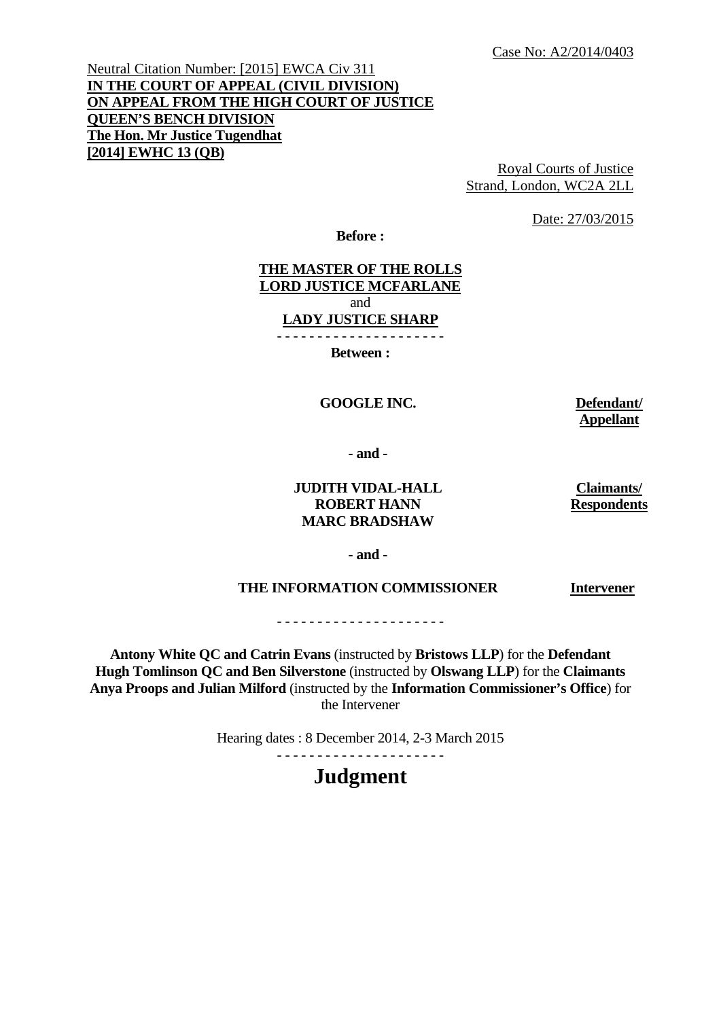Neutral Citation Number: [2015] EWCA Civ 311 **IN THE COURT OF APPEAL (CIVIL DIVISION) ON APPEAL FROM THE HIGH COURT OF JUSTICE QUEEN'S BENCH DIVISION The Hon. Mr Justice Tugendhat [2014] EWHC 13 (QB)** 

Royal Courts of Justice Strand, London, WC2A 2LL

Date: 27/03/2015

**Before :** 

#### **THE MASTER OF THE ROLLS LORD JUSTICE MCFARLANE**  and **LADY JUSTICE SHARP**  - - - - - - - - - - - - - - - - - - - - -

**Between :** 

#### **GOOGLE INC. Defendant/**

**Appellant** 

 **- and -** 

#### **JUDITH VIDAL-HALL ROBERT HANN MARC BRADSHAW**

**Claimants/ Respondents**

**- and -** 

#### **THE INFORMATION COMMISSIONER**

**Intervener** 

- - - - - - - - - - - - - - - - - - - - -

**Antony White QC and Catrin Evans** (instructed by **Bristows LLP**) for the **Defendant Hugh Tomlinson QC and Ben Silverstone** (instructed by **Olswang LLP**) for the **Claimants Anya Proops and Julian Milford** (instructed by the **Information Commissioner's Office**) for the Intervener

Hearing dates : 8 December 2014, 2-3 March 2015

- - - - - - - - - - - - - - - - - - - - -

# **Judgment**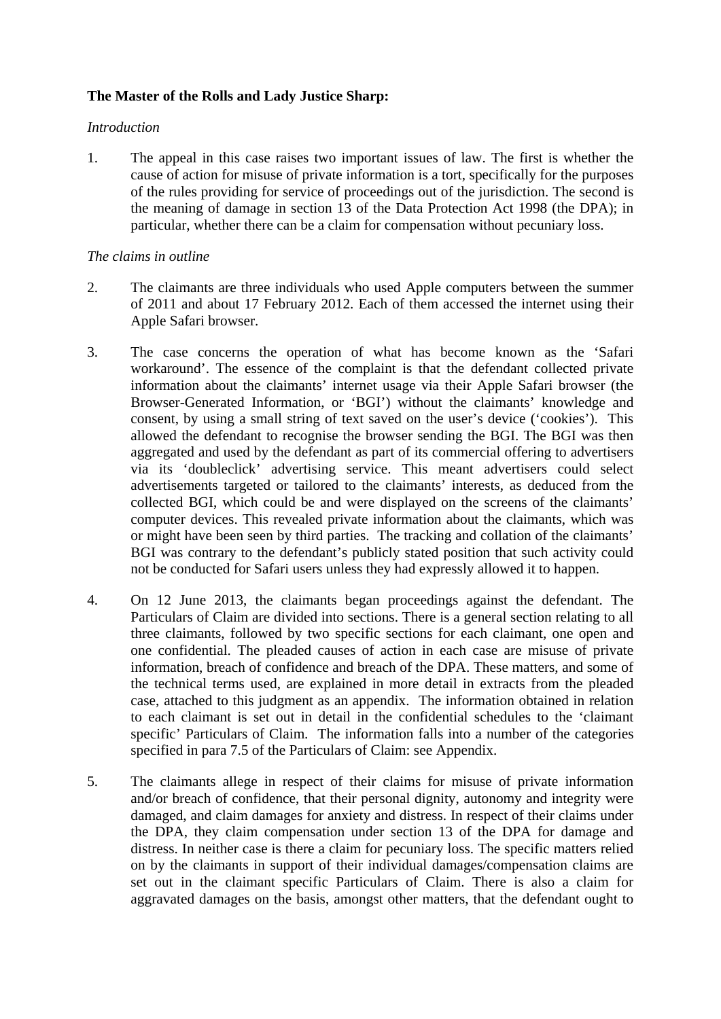# **The Master of the Rolls and Lady Justice Sharp:**

### *Introduction*

1. The appeal in this case raises two important issues of law. The first is whether the cause of action for misuse of private information is a tort, specifically for the purposes of the rules providing for service of proceedings out of the jurisdiction. The second is the meaning of damage in section 13 of the Data Protection Act 1998 (the DPA); in particular, whether there can be a claim for compensation without pecuniary loss.

# *The claims in outline*

- 2. The claimants are three individuals who used Apple computers between the summer of 2011 and about 17 February 2012. Each of them accessed the internet using their Apple Safari browser.
- 3. The case concerns the operation of what has become known as the 'Safari workaround'. The essence of the complaint is that the defendant collected private information about the claimants' internet usage via their Apple Safari browser (the Browser-Generated Information, or 'BGI') without the claimants' knowledge and consent, by using a small string of text saved on the user's device ('cookies'). This allowed the defendant to recognise the browser sending the BGI. The BGI was then aggregated and used by the defendant as part of its commercial offering to advertisers via its 'doubleclick' advertising service. This meant advertisers could select advertisements targeted or tailored to the claimants' interests, as deduced from the collected BGI, which could be and were displayed on the screens of the claimants' computer devices. This revealed private information about the claimants, which was or might have been seen by third parties. The tracking and collation of the claimants' BGI was contrary to the defendant's publicly stated position that such activity could not be conducted for Safari users unless they had expressly allowed it to happen.
- 4. On 12 June 2013, the claimants began proceedings against the defendant. The Particulars of Claim are divided into sections. There is a general section relating to all three claimants, followed by two specific sections for each claimant, one open and one confidential. The pleaded causes of action in each case are misuse of private information, breach of confidence and breach of the DPA. These matters, and some of the technical terms used, are explained in more detail in extracts from the pleaded case, attached to this judgment as an appendix. The information obtained in relation to each claimant is set out in detail in the confidential schedules to the 'claimant specific' Particulars of Claim. The information falls into a number of the categories specified in para 7.5 of the Particulars of Claim: see Appendix.
- 5. The claimants allege in respect of their claims for misuse of private information and/or breach of confidence, that their personal dignity, autonomy and integrity were damaged, and claim damages for anxiety and distress. In respect of their claims under the DPA, they claim compensation under section 13 of the DPA for damage and distress. In neither case is there a claim for pecuniary loss. The specific matters relied on by the claimants in support of their individual damages/compensation claims are set out in the claimant specific Particulars of Claim. There is also a claim for aggravated damages on the basis, amongst other matters, that the defendant ought to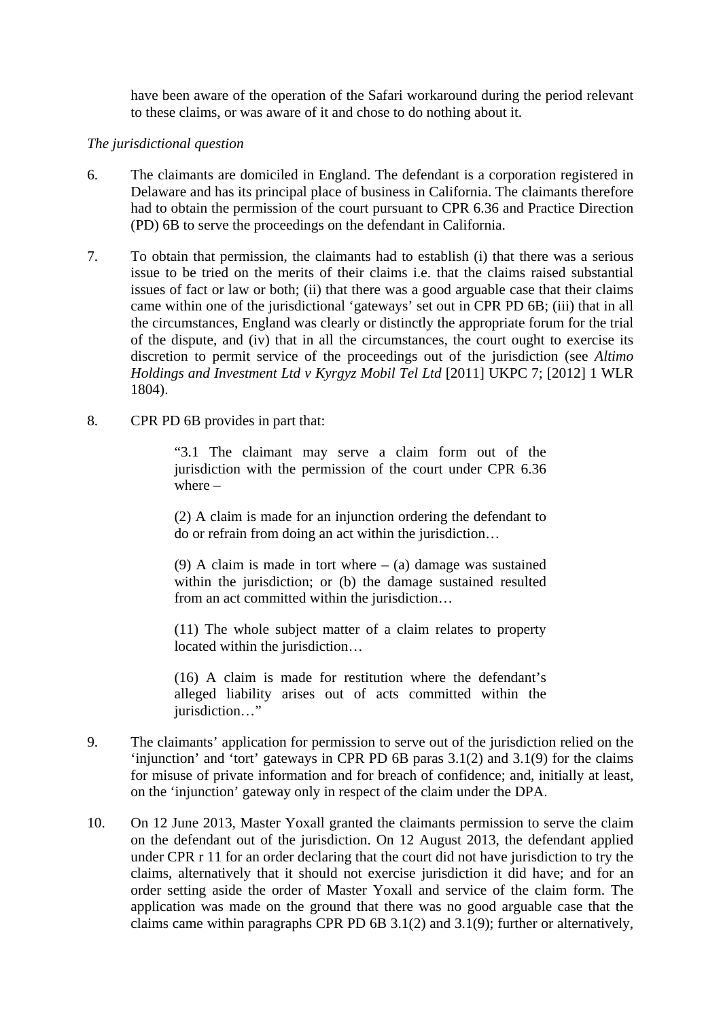have been aware of the operation of the Safari workaround during the period relevant to these claims, or was aware of it and chose to do nothing about it.

### *The jurisdictional question*

- 6. The claimants are domiciled in England. The defendant is a corporation registered in Delaware and has its principal place of business in California. The claimants therefore had to obtain the permission of the court pursuant to CPR 6.36 and Practice Direction (PD) 6B to serve the proceedings on the defendant in California.
- 7. To obtain that permission, the claimants had to establish (i) that there was a serious issue to be tried on the merits of their claims i.e. that the claims raised substantial issues of fact or law or both; (ii) that there was a good arguable case that their claims came within one of the jurisdictional 'gateways' set out in CPR PD 6B; (iii) that in all the circumstances, England was clearly or distinctly the appropriate forum for the trial of the dispute, and (iv) that in all the circumstances, the court ought to exercise its discretion to permit service of the proceedings out of the jurisdiction (see *Altimo Holdings and Investment Ltd v Kyrgyz Mobil Tel Ltd* [2011] UKPC 7; [2012] 1 WLR 1804).
- 8. CPR PD 6B provides in part that:

"3.1 The claimant may serve a claim form out of the jurisdiction with the permission of the court under CPR 6.36 where –

(2) A claim is made for an injunction ordering the defendant to do or refrain from doing an act within the jurisdiction…

(9) A claim is made in tort where  $-$  (a) damage was sustained within the jurisdiction; or (b) the damage sustained resulted from an act committed within the jurisdiction…

(11) The whole subject matter of a claim relates to property located within the jurisdiction…

(16) A claim is made for restitution where the defendant's alleged liability arises out of acts committed within the jurisdiction…"

- 9. The claimants' application for permission to serve out of the jurisdiction relied on the 'injunction' and 'tort' gateways in CPR PD 6B paras 3.1(2) and 3.1(9) for the claims for misuse of private information and for breach of confidence; and, initially at least, on the 'injunction' gateway only in respect of the claim under the DPA.
- 10. On 12 June 2013, Master Yoxall granted the claimants permission to serve the claim on the defendant out of the jurisdiction. On 12 August 2013, the defendant applied under CPR r 11 for an order declaring that the court did not have jurisdiction to try the claims, alternatively that it should not exercise jurisdiction it did have; and for an order setting aside the order of Master Yoxall and service of the claim form. The application was made on the ground that there was no good arguable case that the claims came within paragraphs CPR PD 6B 3.1(2) and 3.1(9); further or alternatively,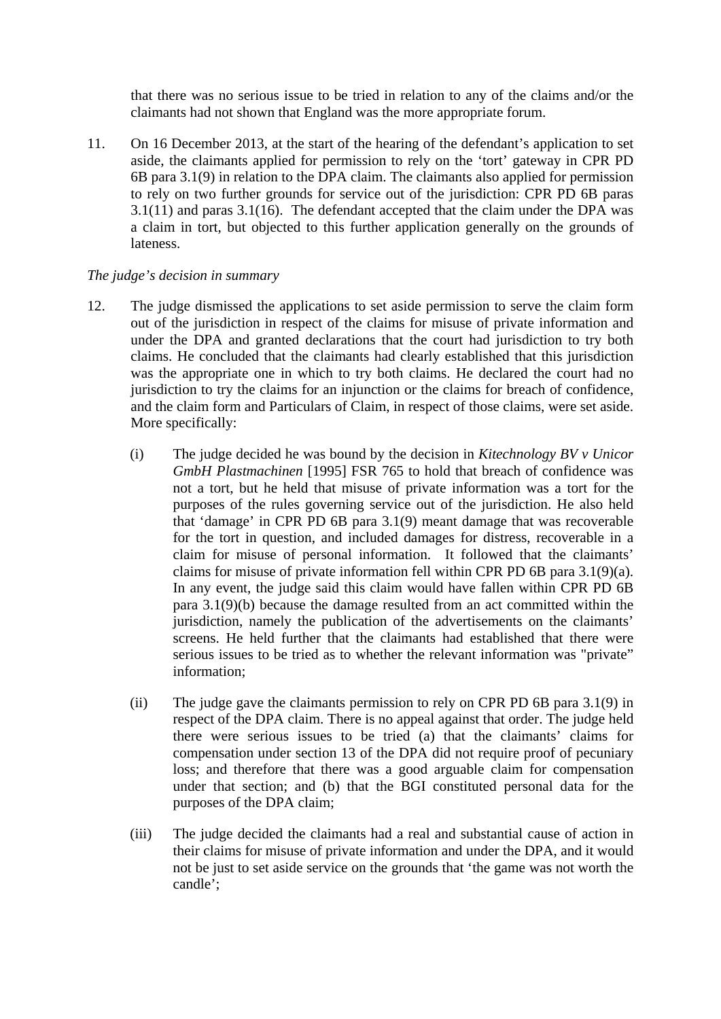that there was no serious issue to be tried in relation to any of the claims and/or the claimants had not shown that England was the more appropriate forum.

11. On 16 December 2013, at the start of the hearing of the defendant's application to set aside, the claimants applied for permission to rely on the 'tort' gateway in CPR PD 6B para 3.1(9) in relation to the DPA claim. The claimants also applied for permission to rely on two further grounds for service out of the jurisdiction: CPR PD 6B paras 3.1(11) and paras 3.1(16). The defendant accepted that the claim under the DPA was a claim in tort, but objected to this further application generally on the grounds of lateness.

# *The judge's decision in summary*

- 12. The judge dismissed the applications to set aside permission to serve the claim form out of the jurisdiction in respect of the claims for misuse of private information and under the DPA and granted declarations that the court had jurisdiction to try both claims. He concluded that the claimants had clearly established that this jurisdiction was the appropriate one in which to try both claims. He declared the court had no jurisdiction to try the claims for an injunction or the claims for breach of confidence, and the claim form and Particulars of Claim, in respect of those claims, were set aside. More specifically:
	- (i) The judge decided he was bound by the decision in *Kitechnology BV v Unicor GmbH Plastmachinen* [1995] FSR 765 to hold that breach of confidence was not a tort, but he held that misuse of private information was a tort for the purposes of the rules governing service out of the jurisdiction. He also held that 'damage' in CPR PD 6B para 3.1(9) meant damage that was recoverable for the tort in question, and included damages for distress, recoverable in a claim for misuse of personal information. It followed that the claimants' claims for misuse of private information fell within CPR PD 6B para 3.1(9)(a). In any event, the judge said this claim would have fallen within CPR PD 6B para 3.1(9)(b) because the damage resulted from an act committed within the jurisdiction, namely the publication of the advertisements on the claimants' screens. He held further that the claimants had established that there were serious issues to be tried as to whether the relevant information was "private" information;
	- (ii) The judge gave the claimants permission to rely on CPR PD 6B para 3.1(9) in respect of the DPA claim. There is no appeal against that order. The judge held there were serious issues to be tried (a) that the claimants' claims for compensation under section 13 of the DPA did not require proof of pecuniary loss; and therefore that there was a good arguable claim for compensation under that section; and (b) that the BGI constituted personal data for the purposes of the DPA claim;
	- (iii) The judge decided the claimants had a real and substantial cause of action in their claims for misuse of private information and under the DPA, and it would not be just to set aside service on the grounds that 'the game was not worth the candle';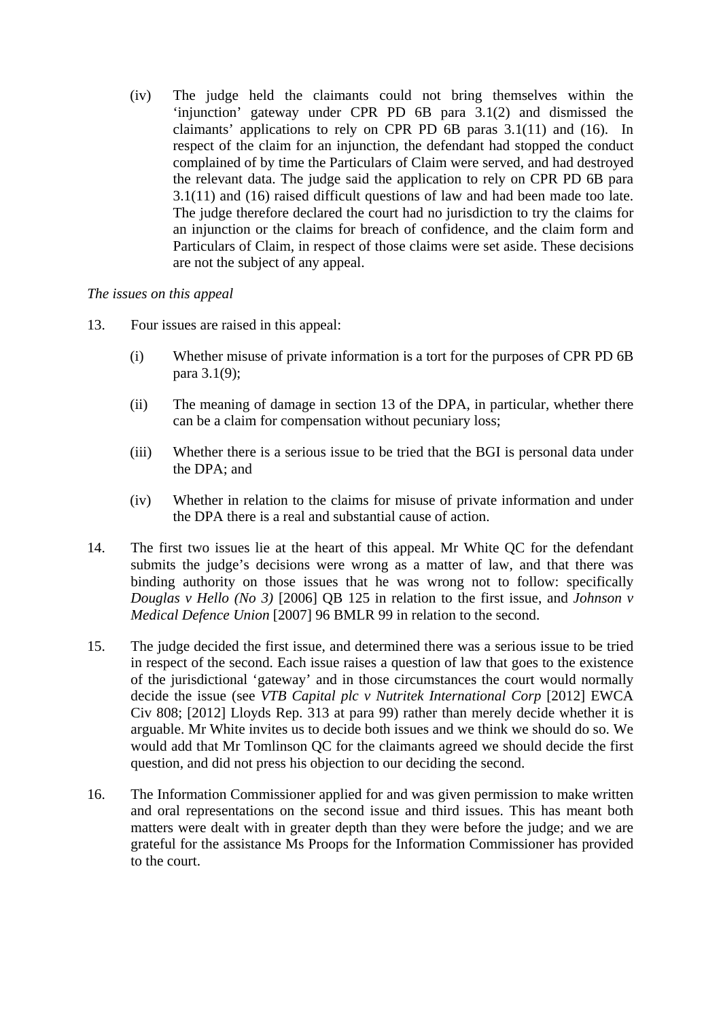(iv) The judge held the claimants could not bring themselves within the 'injunction' gateway under CPR PD 6B para 3.1(2) and dismissed the claimants' applications to rely on CPR PD 6B paras 3.1(11) and (16). In respect of the claim for an injunction, the defendant had stopped the conduct complained of by time the Particulars of Claim were served, and had destroyed the relevant data. The judge said the application to rely on CPR PD 6B para 3.1(11) and (16) raised difficult questions of law and had been made too late. The judge therefore declared the court had no jurisdiction to try the claims for an injunction or the claims for breach of confidence, and the claim form and Particulars of Claim, in respect of those claims were set aside. These decisions are not the subject of any appeal.

# *The issues on this appeal*

- 13. Four issues are raised in this appeal:
	- (i) Whether misuse of private information is a tort for the purposes of CPR PD 6B para 3.1(9);
	- (ii) The meaning of damage in section 13 of the DPA, in particular, whether there can be a claim for compensation without pecuniary loss;
	- (iii) Whether there is a serious issue to be tried that the BGI is personal data under the DPA; and
	- (iv) Whether in relation to the claims for misuse of private information and under the DPA there is a real and substantial cause of action.
- 14. The first two issues lie at the heart of this appeal. Mr White QC for the defendant submits the judge's decisions were wrong as a matter of law, and that there was binding authority on those issues that he was wrong not to follow: specifically *Douglas v Hello (No 3)* [2006] QB 125 in relation to the first issue, and *Johnson v Medical Defence Union* [2007] 96 BMLR 99 in relation to the second.
- 15. The judge decided the first issue, and determined there was a serious issue to be tried in respect of the second. Each issue raises a question of law that goes to the existence of the jurisdictional 'gateway' and in those circumstances the court would normally decide the issue (see *VTB Capital plc v Nutritek International Corp* [2012] EWCA Civ 808; [2012] Lloyds Rep. 313 at para 99) rather than merely decide whether it is arguable. Mr White invites us to decide both issues and we think we should do so. We would add that Mr Tomlinson QC for the claimants agreed we should decide the first question, and did not press his objection to our deciding the second.
- 16. The Information Commissioner applied for and was given permission to make written and oral representations on the second issue and third issues. This has meant both matters were dealt with in greater depth than they were before the judge; and we are grateful for the assistance Ms Proops for the Information Commissioner has provided to the court.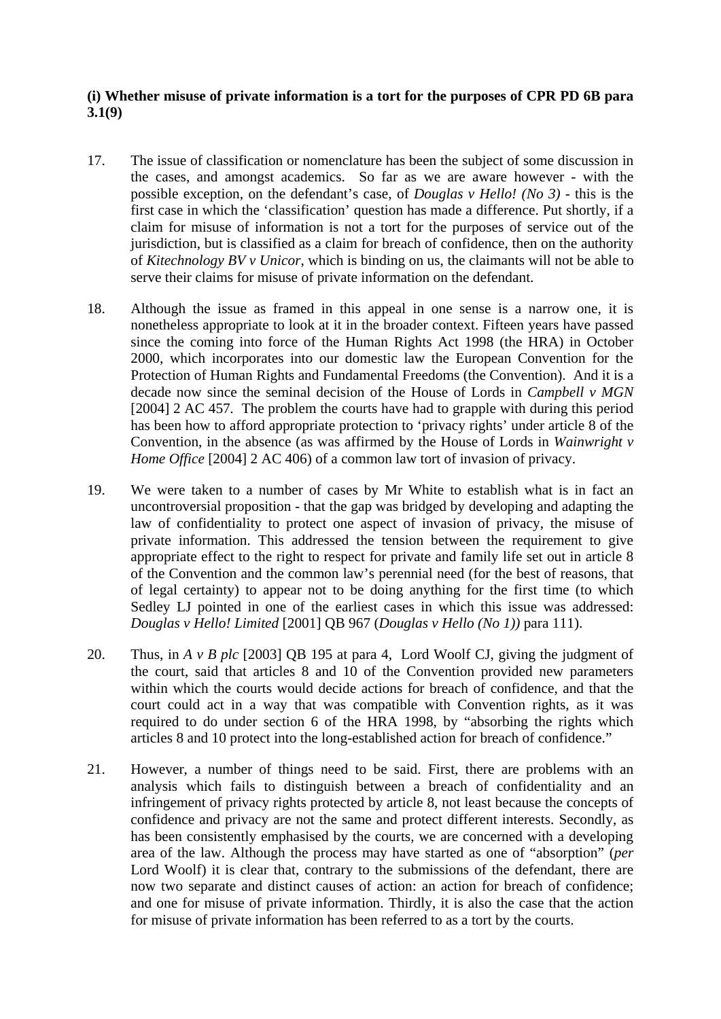# **(i) Whether misuse of private information is a tort for the purposes of CPR PD 6B para 3.1(9)**

- 17. The issue of classification or nomenclature has been the subject of some discussion in the cases, and amongst academics. So far as we are aware however - with the possible exception, on the defendant's case, of *Douglas v Hello! (No 3)* - this is the first case in which the 'classification' question has made a difference. Put shortly, if a claim for misuse of information is not a tort for the purposes of service out of the jurisdiction, but is classified as a claim for breach of confidence, then on the authority of *Kitechnology BV v Unicor*, which is binding on us, the claimants will not be able to serve their claims for misuse of private information on the defendant.
- 18. Although the issue as framed in this appeal in one sense is a narrow one, it is nonetheless appropriate to look at it in the broader context. Fifteen years have passed since the coming into force of the Human Rights Act 1998 (the HRA) in October 2000, which incorporates into our domestic law the European Convention for the Protection of Human Rights and Fundamental Freedoms (the Convention). And it is a decade now since the seminal decision of the House of Lords in *Campbell v MGN*  [2004] 2 AC 457. The problem the courts have had to grapple with during this period has been how to afford appropriate protection to 'privacy rights' under article 8 of the Convention, in the absence (as was affirmed by the House of Lords in *Wainwright v Home Office* [2004] 2 AC 406) of a common law tort of invasion of privacy.
- 19. We were taken to a number of cases by Mr White to establish what is in fact an uncontroversial proposition - that the gap was bridged by developing and adapting the law of confidentiality to protect one aspect of invasion of privacy, the misuse of private information. This addressed the tension between the requirement to give appropriate effect to the right to respect for private and family life set out in article 8 of the Convention and the common law's perennial need (for the best of reasons, that of legal certainty) to appear not to be doing anything for the first time (to which Sedley LJ pointed in one of the earliest cases in which this issue was addressed: *Douglas v Hello! Limited* [2001] QB 967 (*Douglas v Hello (No 1))* para 111).
- 20. Thus, in *A v B plc* [2003] QB 195 at para 4, Lord Woolf CJ, giving the judgment of the court, said that articles 8 and 10 of the Convention provided new parameters within which the courts would decide actions for breach of confidence, and that the court could act in a way that was compatible with Convention rights, as it was required to do under section 6 of the HRA 1998, by "absorbing the rights which articles 8 and 10 protect into the long-established action for breach of confidence."
- 21. However, a number of things need to be said. First, there are problems with an analysis which fails to distinguish between a breach of confidentiality and an infringement of privacy rights protected by article 8, not least because the concepts of confidence and privacy are not the same and protect different interests. Secondly, as has been consistently emphasised by the courts, we are concerned with a developing area of the law. Although the process may have started as one of "absorption" (*per* Lord Woolf) it is clear that, contrary to the submissions of the defendant, there are now two separate and distinct causes of action: an action for breach of confidence; and one for misuse of private information. Thirdly, it is also the case that the action for misuse of private information has been referred to as a tort by the courts.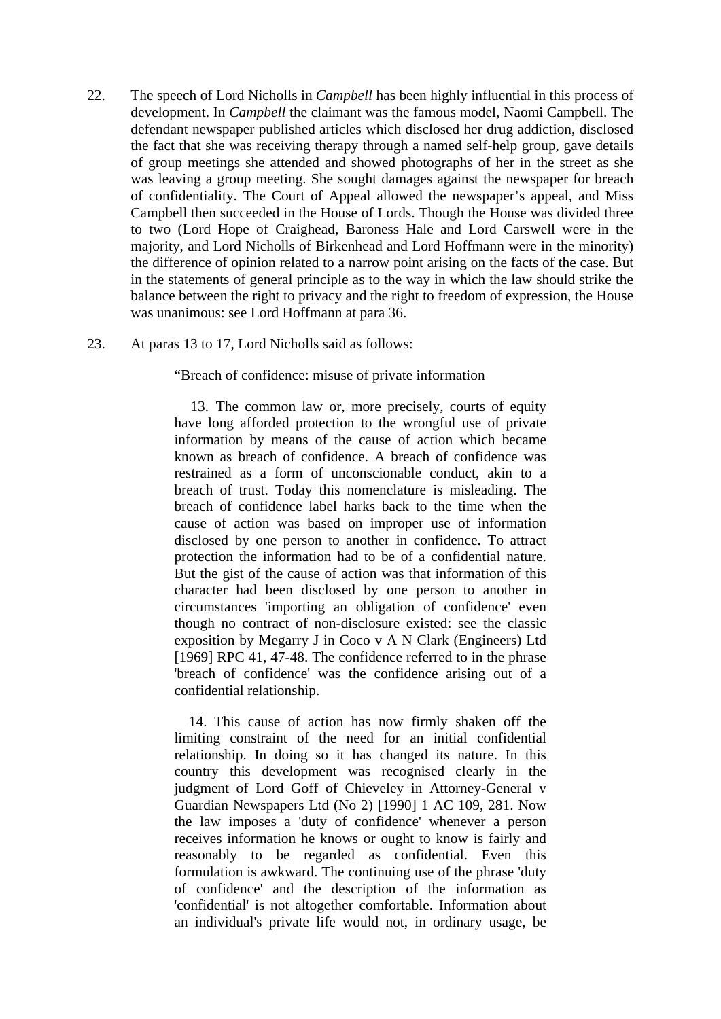- 22. The speech of Lord Nicholls in *Campbell* has been highly influential in this process of development. In *Campbell* the claimant was the famous model, Naomi Campbell. The defendant newspaper published articles which disclosed her drug addiction, disclosed the fact that she was receiving therapy through a named self-help group, gave details of group meetings she attended and showed photographs of her in the street as she was leaving a group meeting. She sought damages against the newspaper for breach of confidentiality. The Court of Appeal allowed the newspaper's appeal, and Miss Campbell then succeeded in the House of Lords. Though the House was divided three to two (Lord Hope of Craighead, Baroness Hale and Lord Carswell were in the majority, and Lord Nicholls of Birkenhead and Lord Hoffmann were in the minority) the difference of opinion related to a narrow point arising on the facts of the case. But in the statements of general principle as to the way in which the law should strike the balance between the right to privacy and the right to freedom of expression, the House was unanimous: see Lord Hoffmann at para 36.
- 23. At paras 13 to 17, Lord Nicholls said as follows:

"Breach of confidence: misuse of private information

 13. The common law or, more precisely, courts of equity have long afforded protection to the wrongful use of private information by means of the cause of action which became known as breach of confidence. A breach of confidence was restrained as a form of unconscionable conduct, akin to a breach of trust. Today this nomenclature is misleading. The breach of confidence label harks back to the time when the cause of action was based on improper use of information disclosed by one person to another in confidence. To attract protection the information had to be of a confidential nature. But the gist of the cause of action was that information of this character had been disclosed by one person to another in circumstances 'importing an obligation of confidence' even though no contract of non-disclosure existed: see the classic exposition by Megarry J in Coco v A N Clark (Engineers) Ltd [1969] RPC 41, 47-48. The confidence referred to in the phrase 'breach of confidence' was the confidence arising out of a confidential relationship.

 14. This cause of action has now firmly shaken off the limiting constraint of the need for an initial confidential relationship. In doing so it has changed its nature. In this country this development was recognised clearly in the judgment of Lord Goff of Chieveley in Attorney-General v Guardian Newspapers Ltd (No 2) [1990] 1 AC 109, 281. Now the law imposes a 'duty of confidence' whenever a person receives information he knows or ought to know is fairly and reasonably to be regarded as confidential. Even this formulation is awkward. The continuing use of the phrase 'duty of confidence' and the description of the information as 'confidential' is not altogether comfortable. Information about an individual's private life would not, in ordinary usage, be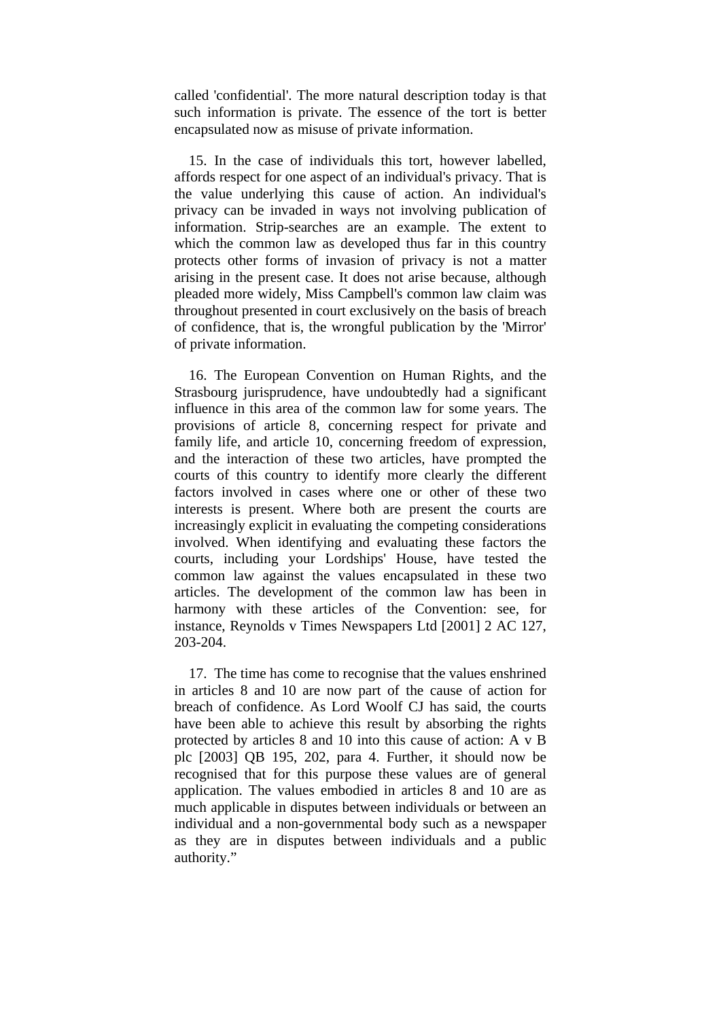called 'confidential'. The more natural description today is that such information is private. The essence of the tort is better encapsulated now as misuse of private information.

 15. In the case of individuals this tort, however labelled, affords respect for one aspect of an individual's privacy. That is the value underlying this cause of action. An individual's privacy can be invaded in ways not involving publication of information. Strip-searches are an example. The extent to which the common law as developed thus far in this country protects other forms of invasion of privacy is not a matter arising in the present case. It does not arise because, although pleaded more widely, Miss Campbell's common law claim was throughout presented in court exclusively on the basis of breach of confidence, that is, the wrongful publication by the 'Mirror' of private information.

 16. The European Convention on Human Rights, and the Strasbourg jurisprudence, have undoubtedly had a significant influence in this area of the common law for some years. The provisions of article 8, concerning respect for private and family life, and article 10, concerning freedom of expression, and the interaction of these two articles, have prompted the courts of this country to identify more clearly the different factors involved in cases where one or other of these two interests is present. Where both are present the courts are increasingly explicit in evaluating the competing considerations involved. When identifying and evaluating these factors the courts, including your Lordships' House, have tested the common law against the values encapsulated in these two articles. The development of the common law has been in harmony with these articles of the Convention: see, for instance, Reynolds v Times Newspapers Ltd [2001] 2 AC 127, 203-204.

 17. The time has come to recognise that the values enshrined in articles 8 and 10 are now part of the cause of action for breach of confidence. As Lord Woolf CJ has said, the courts have been able to achieve this result by absorbing the rights protected by articles 8 and 10 into this cause of action: A v B plc [2003] QB 195, 202, para 4. Further, it should now be recognised that for this purpose these values are of general application. The values embodied in articles 8 and 10 are as much applicable in disputes between individuals or between an individual and a non-governmental body such as a newspaper as they are in disputes between individuals and a public authority."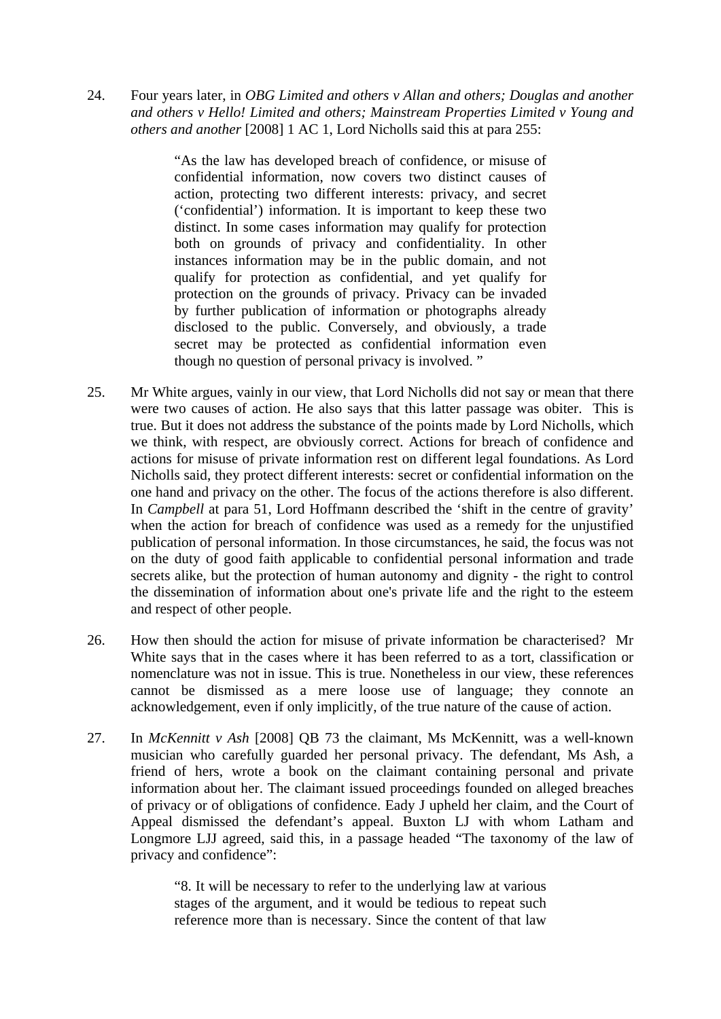24. Four years later, in *OBG Limited and others v Allan and others; Douglas and another and others v Hello! Limited and others; Mainstream Properties Limited v Young and others and another* [2008] 1 AC 1, Lord Nicholls said this at para 255:

> "As the law has developed breach of confidence, or misuse of confidential information, now covers two distinct causes of action, protecting two different interests: privacy, and secret ('confidential') information. It is important to keep these two distinct. In some cases information may qualify for protection both on grounds of privacy and confidentiality. In other instances information may be in the public domain, and not qualify for protection as confidential, and yet qualify for protection on the grounds of privacy. Privacy can be invaded by further publication of information or photographs already disclosed to the public. Conversely, and obviously, a trade secret may be protected as confidential information even though no question of personal privacy is involved. "

- 25. Mr White argues, vainly in our view, that Lord Nicholls did not say or mean that there were two causes of action. He also says that this latter passage was obiter. This is true. But it does not address the substance of the points made by Lord Nicholls, which we think, with respect, are obviously correct. Actions for breach of confidence and actions for misuse of private information rest on different legal foundations. As Lord Nicholls said, they protect different interests: secret or confidential information on the one hand and privacy on the other. The focus of the actions therefore is also different. In *Campbell* at para 51, Lord Hoffmann described the 'shift in the centre of gravity' when the action for breach of confidence was used as a remedy for the unjustified publication of personal information. In those circumstances, he said, the focus was not on the duty of good faith applicable to confidential personal information and trade secrets alike, but the protection of human autonomy and dignity - the right to control the dissemination of information about one's private life and the right to the esteem and respect of other people.
- 26. How then should the action for misuse of private information be characterised? Mr White says that in the cases where it has been referred to as a tort, classification or nomenclature was not in issue. This is true. Nonetheless in our view, these references cannot be dismissed as a mere loose use of language; they connote an acknowledgement, even if only implicitly, of the true nature of the cause of action.
- 27. In *McKennitt v Ash* [2008] QB 73 the claimant, Ms McKennitt, was a well-known musician who carefully guarded her personal privacy. The defendant, Ms Ash, a friend of hers, wrote a book on the claimant containing personal and private information about her. The claimant issued proceedings founded on alleged breaches of privacy or of obligations of confidence. Eady J upheld her claim, and the Court of Appeal dismissed the defendant's appeal. Buxton LJ with whom Latham and Longmore LJJ agreed, said this, in a passage headed "The taxonomy of the law of privacy and confidence":

"8. It will be necessary to refer to the underlying law at various stages of the argument, and it would be tedious to repeat such reference more than is necessary. Since the content of that law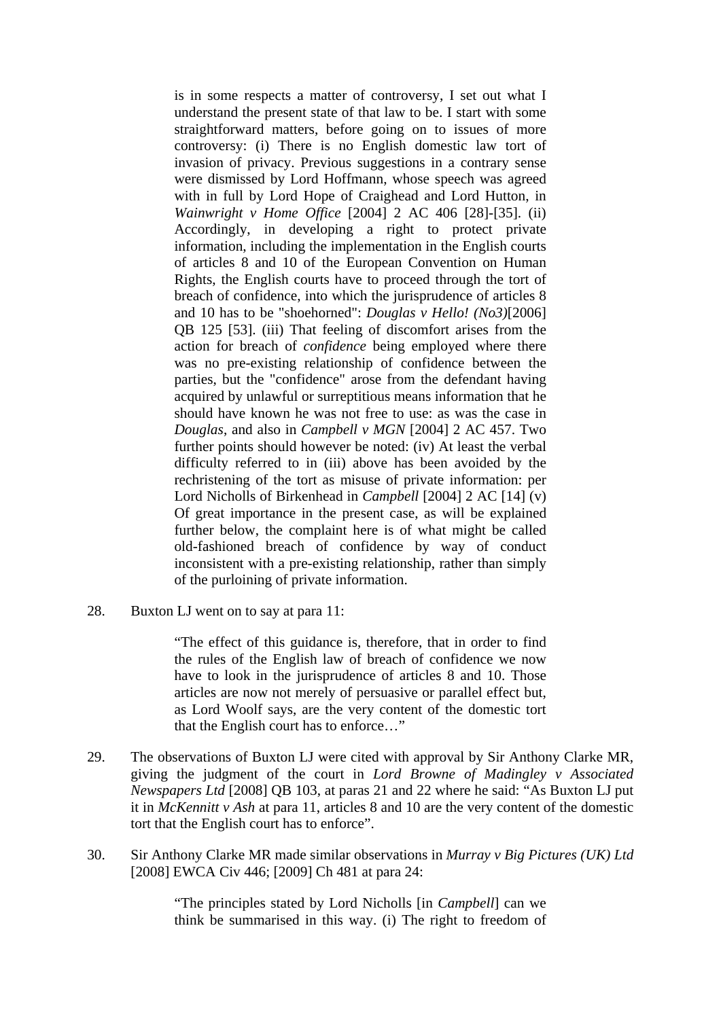is in some respects a matter of controversy, I set out what I understand the present state of that law to be. I start with some straightforward matters, before going on to issues of more controversy: (i) There is no English domestic law tort of invasion of privacy. Previous suggestions in a contrary sense were dismissed by Lord Hoffmann, whose speech was agreed with in full by Lord Hope of Craighead and Lord Hutton, in *Wainwright v Home Office* [2004] 2 AC 406 [28]-[35]. (ii) Accordingly, in developing a right to protect private information, including the implementation in the English courts of articles 8 and 10 of the European Convention on Human Rights, the English courts have to proceed through the tort of breach of confidence, into which the jurisprudence of articles 8 and 10 has to be "shoehorned": *Douglas v Hello! (No3)*[2006] QB 125 [53]. (iii) That feeling of discomfort arises from the action for breach of *confidence* being employed where there was no pre-existing relationship of confidence between the parties, but the "confidence" arose from the defendant having acquired by unlawful or surreptitious means information that he should have known he was not free to use: as was the case in *Douglas*, and also in *Campbell v MGN* [2004] 2 AC 457. Two further points should however be noted: (iv) At least the verbal difficulty referred to in (iii) above has been avoided by the rechristening of the tort as misuse of private information: per Lord Nicholls of Birkenhead in *Campbell* [2004] 2 AC [14] (v) Of great importance in the present case, as will be explained further below, the complaint here is of what might be called old-fashioned breach of confidence by way of conduct inconsistent with a pre-existing relationship, rather than simply of the purloining of private information.

28. Buxton LJ went on to say at para 11:

"The effect of this guidance is, therefore, that in order to find the rules of the English law of breach of confidence we now have to look in the jurisprudence of articles 8 and 10. Those articles are now not merely of persuasive or parallel effect but, as Lord Woolf says, are the very content of the domestic tort that the English court has to enforce…"

- 29. The observations of Buxton LJ were cited with approval by Sir Anthony Clarke MR, giving the judgment of the court in *Lord Browne of Madingley v Associated Newspapers Ltd* [2008] QB 103, at paras 21 and 22 where he said: "As Buxton LJ put it in *McKennitt v Ash* at para 11, articles 8 and 10 are the very content of the domestic tort that the English court has to enforce".
- 30. Sir Anthony Clarke MR made similar observations in *Murray v Big Pictures (UK) Ltd*  [2008] EWCA Civ 446; [2009] Ch 481 at para 24:

"The principles stated by Lord Nicholls [in *Campbell*] can we think be summarised in this way. (i) The right to freedom of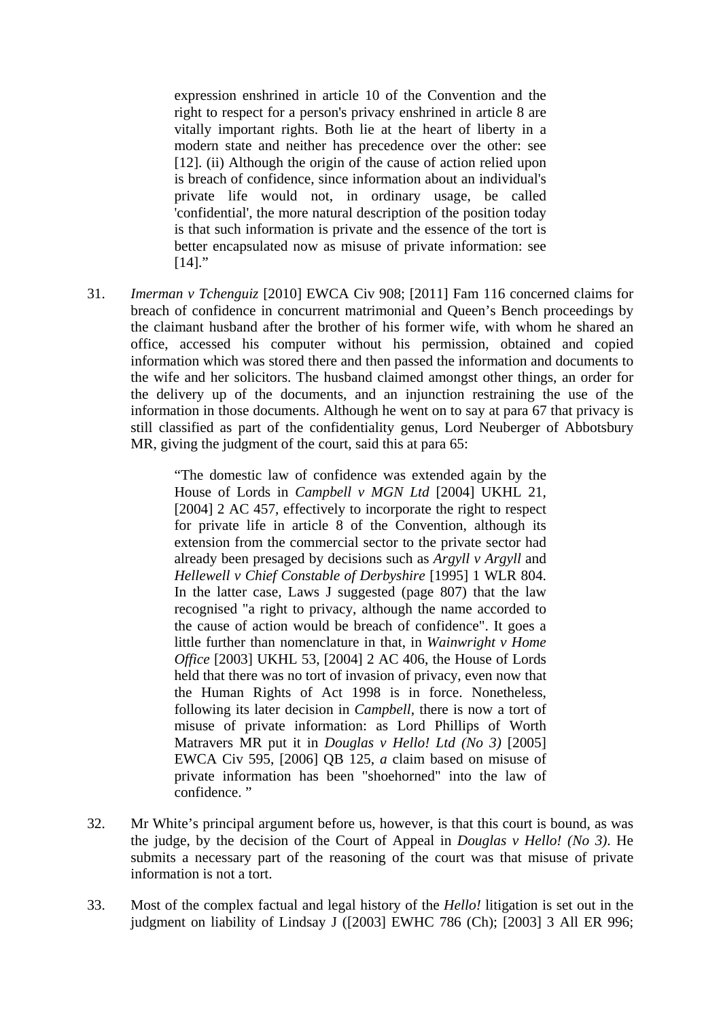expression enshrined in article 10 of the Convention and the right to respect for a person's privacy enshrined in article 8 are vitally important rights. Both lie at the heart of liberty in a modern state and neither has precedence over the other: see [12]. (ii) Although the origin of the cause of action relied upon is breach of confidence, since information about an individual's private life would not, in ordinary usage, be called 'confidential', the more natural description of the position today is that such information is private and the essence of the tort is better encapsulated now as misuse of private information: see  $[14]$ ."

31. *Imerman v Tchenguiz* [2010] EWCA Civ 908; [2011] Fam 116 concerned claims for breach of confidence in concurrent matrimonial and Queen's Bench proceedings by the claimant husband after the brother of his former wife, with whom he shared an office, accessed his computer without his permission, obtained and copied information which was stored there and then passed the information and documents to the wife and her solicitors. The husband claimed amongst other things, an order for the delivery up of the documents, and an injunction restraining the use of the information in those documents. Although he went on to say at para 67 that privacy is still classified as part of the confidentiality genus, Lord Neuberger of Abbotsbury MR, giving the judgment of the court, said this at para 65:

> "The domestic law of confidence was extended again by the House of Lords in *Campbell v MGN Ltd* [2004] UKHL 21, [2004] 2 AC 457, effectively to incorporate the right to respect for private life in article 8 of the Convention, although its extension from the commercial sector to the private sector had already been presaged by decisions such as *Argyll v Argyll* and *Hellewell v Chief Constable of Derbyshire* [1995] 1 WLR 804. In the latter case, Laws J suggested (page 807) that the law recognised "a right to privacy, although the name accorded to the cause of action would be breach of confidence". It goes a little further than nomenclature in that, in *Wainwright v Home Office* [2003] UKHL 53, [2004] 2 AC 406, the House of Lords held that there was no tort of invasion of privacy, even now that the Human Rights of Act 1998 is in force. Nonetheless, following its later decision in *Campbell*, there is now a tort of misuse of private information: as Lord Phillips of Worth Matravers MR put it in *Douglas v Hello! Ltd (No 3)* [2005] EWCA Civ 595, [2006] QB 125, *a* claim based on misuse of private information has been "shoehorned" into the law of confidence."

- 32. Mr White's principal argument before us, however, is that this court is bound, as was the judge, by the decision of the Court of Appeal in *Douglas v Hello! (No 3)*. He submits a necessary part of the reasoning of the court was that misuse of private information is not a tort.
- 33. Most of the complex factual and legal history of the *Hello!* litigation is set out in the judgment on liability of Lindsay J ([2003] EWHC 786 (Ch); [2003] 3 All ER 996;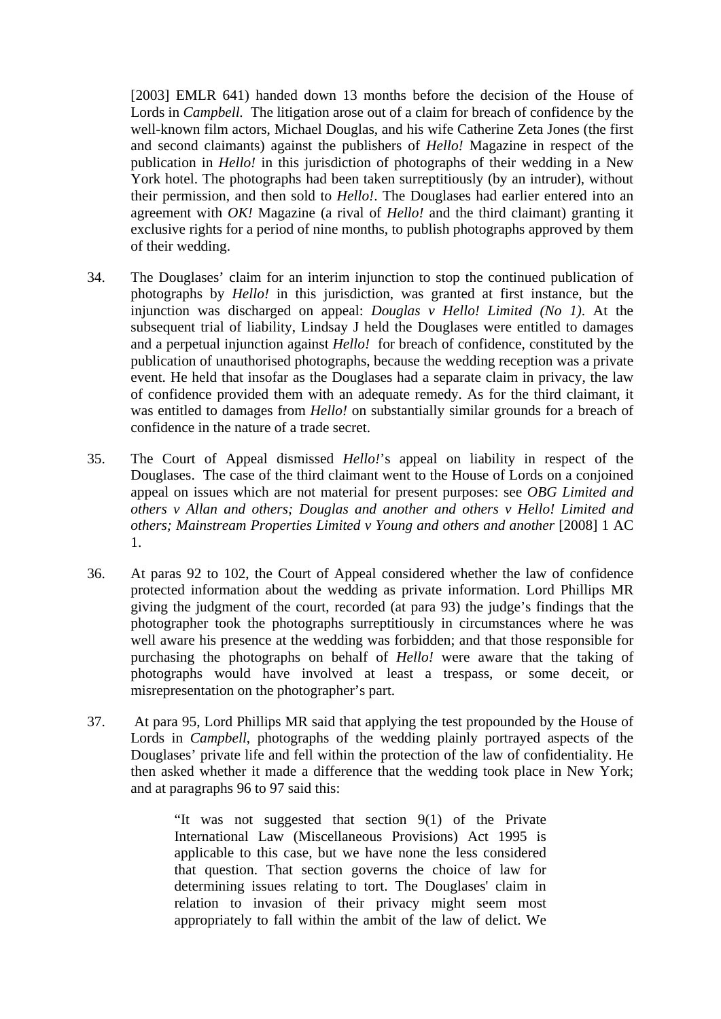[2003] EMLR 641) handed down 13 months before the decision of the House of Lords in *Campbell.* The litigation arose out of a claim for breach of confidence by the well-known film actors, Michael Douglas, and his wife Catherine Zeta Jones (the first and second claimants) against the publishers of *Hello!* Magazine in respect of the publication in *Hello!* in this jurisdiction of photographs of their wedding in a New York hotel. The photographs had been taken surreptitiously (by an intruder), without their permission, and then sold to *Hello!*. The Douglases had earlier entered into an agreement with *OK!* Magazine (a rival of *Hello!* and the third claimant) granting it exclusive rights for a period of nine months, to publish photographs approved by them of their wedding.

- 34. The Douglases' claim for an interim injunction to stop the continued publication of photographs by *Hello!* in this jurisdiction, was granted at first instance, but the injunction was discharged on appeal: *Douglas v Hello! Limited (No 1)*. At the subsequent trial of liability, Lindsay J held the Douglases were entitled to damages and a perpetual injunction against *Hello!* for breach of confidence, constituted by the publication of unauthorised photographs, because the wedding reception was a private event. He held that insofar as the Douglases had a separate claim in privacy, the law of confidence provided them with an adequate remedy. As for the third claimant, it was entitled to damages from *Hello!* on substantially similar grounds for a breach of confidence in the nature of a trade secret.
- 35. The Court of Appeal dismissed *Hello!*'s appeal on liability in respect of the Douglases. The case of the third claimant went to the House of Lords on a conjoined appeal on issues which are not material for present purposes: see *OBG Limited and others v Allan and others; Douglas and another and others v Hello! Limited and others; Mainstream Properties Limited v Young and others and another* [2008] 1 AC 1.
- 36. At paras 92 to 102, the Court of Appeal considered whether the law of confidence protected information about the wedding as private information. Lord Phillips MR giving the judgment of the court, recorded (at para 93) the judge's findings that the photographer took the photographs surreptitiously in circumstances where he was well aware his presence at the wedding was forbidden; and that those responsible for purchasing the photographs on behalf of *Hello!* were aware that the taking of photographs would have involved at least a trespass, or some deceit, or misrepresentation on the photographer's part.
- 37. At para 95, Lord Phillips MR said that applying the test propounded by the House of Lords in *Campbell*, photographs of the wedding plainly portrayed aspects of the Douglases' private life and fell within the protection of the law of confidentiality. He then asked whether it made a difference that the wedding took place in New York; and at paragraphs 96 to 97 said this:

"It was not suggested that section 9(1) of the Private International Law (Miscellaneous Provisions) Act 1995 is applicable to this case, but we have none the less considered that question. That section governs the choice of law for determining issues relating to tort. The Douglases' claim in relation to invasion of their privacy might seem most appropriately to fall within the ambit of the law of delict. We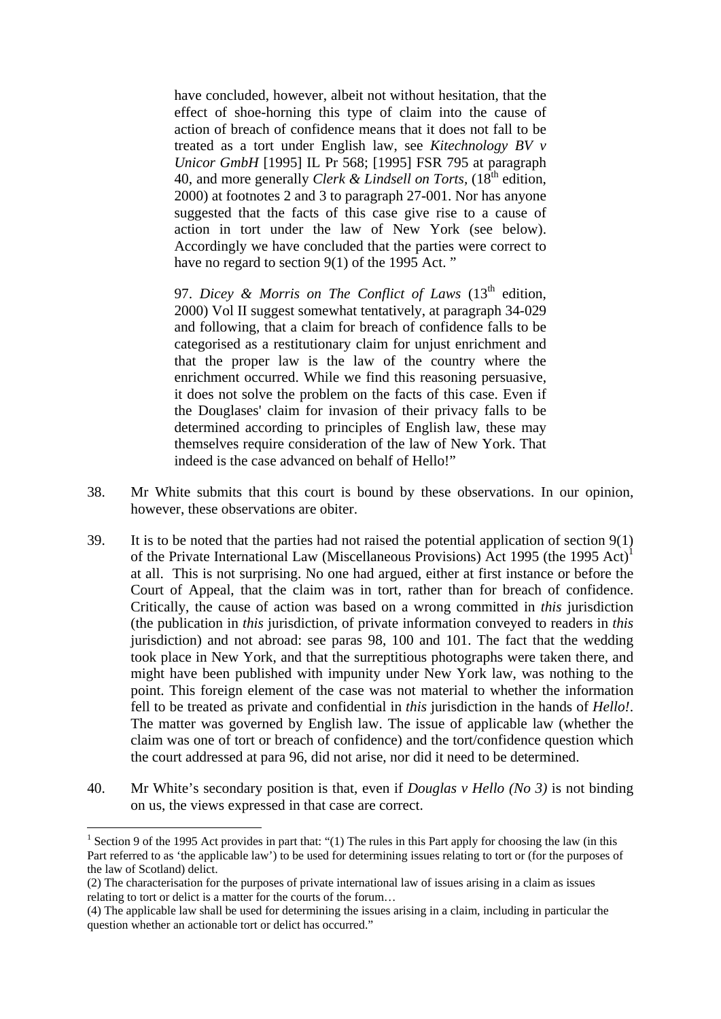have concluded, however, albeit not without hesitation, that the effect of shoe-horning this type of claim into the cause of action of breach of confidence means that it does not fall to be treated as a tort under English law, see *Kitechnology BV v Unicor GmbH* [1995] IL Pr 568; [1995] FSR 795 at paragraph 40, and more generally *Clerk & Lindsell on Torts*,  $(18<sup>th</sup>$  edition, 2000) at footnotes 2 and 3 to paragraph 27-001. Nor has anyone suggested that the facts of this case give rise to a cause of action in tort under the law of New York (see below). Accordingly we have concluded that the parties were correct to have no regard to section 9(1) of the 1995 Act."

97. *Dicey & Morris on The Conflict of Laws* (13<sup>th</sup> edition, 2000) Vol II suggest somewhat tentatively, at paragraph 34-029 and following, that a claim for breach of confidence falls to be categorised as a restitutionary claim for unjust enrichment and that the proper law is the law of the country where the enrichment occurred. While we find this reasoning persuasive, it does not solve the problem on the facts of this case. Even if the Douglases' claim for invasion of their privacy falls to be determined according to principles of English law, these may themselves require consideration of the law of New York. That indeed is the case advanced on behalf of Hello!"

- 38. Mr White submits that this court is bound by these observations. In our opinion, however, these observations are obiter.
- 39. It is to be noted that the parties had not raised the potential application of section 9(1) of the Private International Law (Miscellaneous Provisions) Act 1995 (the 1995 Act)<sup>1</sup> at all. This is not surprising. No one had argued, either at first instance or before the Court of Appeal, that the claim was in tort, rather than for breach of confidence. Critically, the cause of action was based on a wrong committed in *this* jurisdiction (the publication in *this* jurisdiction, of private information conveyed to readers in *this* jurisdiction) and not abroad: see paras 98, 100 and 101. The fact that the wedding took place in New York, and that the surreptitious photographs were taken there, and might have been published with impunity under New York law, was nothing to the point. This foreign element of the case was not material to whether the information fell to be treated as private and confidential in *this* jurisdiction in the hands of *Hello!*. The matter was governed by English law. The issue of applicable law (whether the claim was one of tort or breach of confidence) and the tort/confidence question which the court addressed at para 96, did not arise, nor did it need to be determined.
- 40. Mr White's secondary position is that, even if *Douglas v Hello (No 3)* is not binding on us, the views expressed in that case are correct.

1

<sup>&</sup>lt;sup>1</sup> Section 9 of the 1995 Act provides in part that: "(1) The rules in this Part apply for choosing the law (in this Part referred to as 'the applicable law') to be used for determining issues relating to tort or (for the purposes of the law of Scotland) delict.

<sup>(2)</sup> The characterisation for the purposes of private international law of issues arising in a claim as issues relating to tort or delict is a matter for the courts of the forum…

<sup>(4)</sup> The applicable law shall be used for determining the issues arising in a claim, including in particular the question whether an actionable tort or delict has occurred."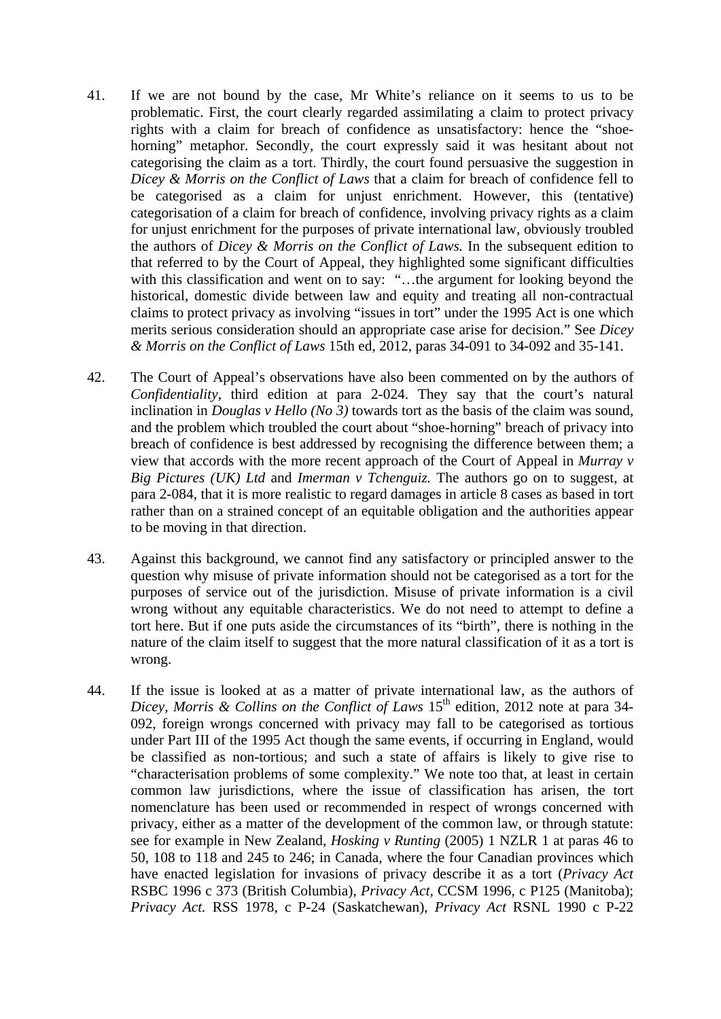- 41. If we are not bound by the case, Mr White's reliance on it seems to us to be problematic. First, the court clearly regarded assimilating a claim to protect privacy rights with a claim for breach of confidence as unsatisfactory: hence the "shoehorning" metaphor. Secondly, the court expressly said it was hesitant about not categorising the claim as a tort. Thirdly, the court found persuasive the suggestion in *Dicey & Morris on the Conflict of Laws* that a claim for breach of confidence fell to be categorised as a claim for unjust enrichment. However, this (tentative) categorisation of a claim for breach of confidence, involving privacy rights as a claim for unjust enrichment for the purposes of private international law, obviously troubled the authors of *Dicey & Morris on the Conflict of Laws.* In the subsequent edition to that referred to by the Court of Appeal, they highlighted some significant difficulties with this classification and went on to say: "...the argument for looking beyond the historical, domestic divide between law and equity and treating all non-contractual claims to protect privacy as involving "issues in tort" under the 1995 Act is one which merits serious consideration should an appropriate case arise for decision." See *Dicey & Morris on the Conflict of Laws* 15th ed, 2012, paras 34-091 to 34-092 and 35-141.
- 42. The Court of Appeal's observations have also been commented on by the authors of *Confidentiality*, third edition at para 2-024. They say that the court's natural inclination in *Douglas v Hello (No 3)* towards tort as the basis of the claim was sound, and the problem which troubled the court about "shoe-horning" breach of privacy into breach of confidence is best addressed by recognising the difference between them; a view that accords with the more recent approach of the Court of Appeal in *Murray v Big Pictures (UK) Ltd* and *Imerman v Tchenguiz.* The authors go on to suggest, at para 2-084, that it is more realistic to regard damages in article 8 cases as based in tort rather than on a strained concept of an equitable obligation and the authorities appear to be moving in that direction.
- 43. Against this background, we cannot find any satisfactory or principled answer to the question why misuse of private information should not be categorised as a tort for the purposes of service out of the jurisdiction. Misuse of private information is a civil wrong without any equitable characteristics. We do not need to attempt to define a tort here. But if one puts aside the circumstances of its "birth", there is nothing in the nature of the claim itself to suggest that the more natural classification of it as a tort is wrong.
- 44. If the issue is looked at as a matter of private international law, as the authors of *Dicey, Morris & Collins on the Conflict of Laws* 15<sup>th</sup> edition, 2012 note at para 34-092, foreign wrongs concerned with privacy may fall to be categorised as tortious under Part III of the 1995 Act though the same events, if occurring in England, would be classified as non-tortious; and such a state of affairs is likely to give rise to "characterisation problems of some complexity." We note too that, at least in certain common law jurisdictions, where the issue of classification has arisen, the tort nomenclature has been used or recommended in respect of wrongs concerned with privacy, either as a matter of the development of the common law, or through statute: see for example in New Zealand, *Hosking v Runting* (2005) 1 NZLR 1 at paras 46 to 50, 108 to 118 and 245 to 246; in Canada, where the four Canadian provinces which have enacted legislation for invasions of privacy describe it as a tort (*Privacy Act*  RSBC 1996 c 373 (British Columbia), *Privacy Act,* CCSM 1996, c P125 (Manitoba); *Privacy Act.* RSS 1978, c P-24 (Saskatchewan), *Privacy Act* RSNL 1990 c P-22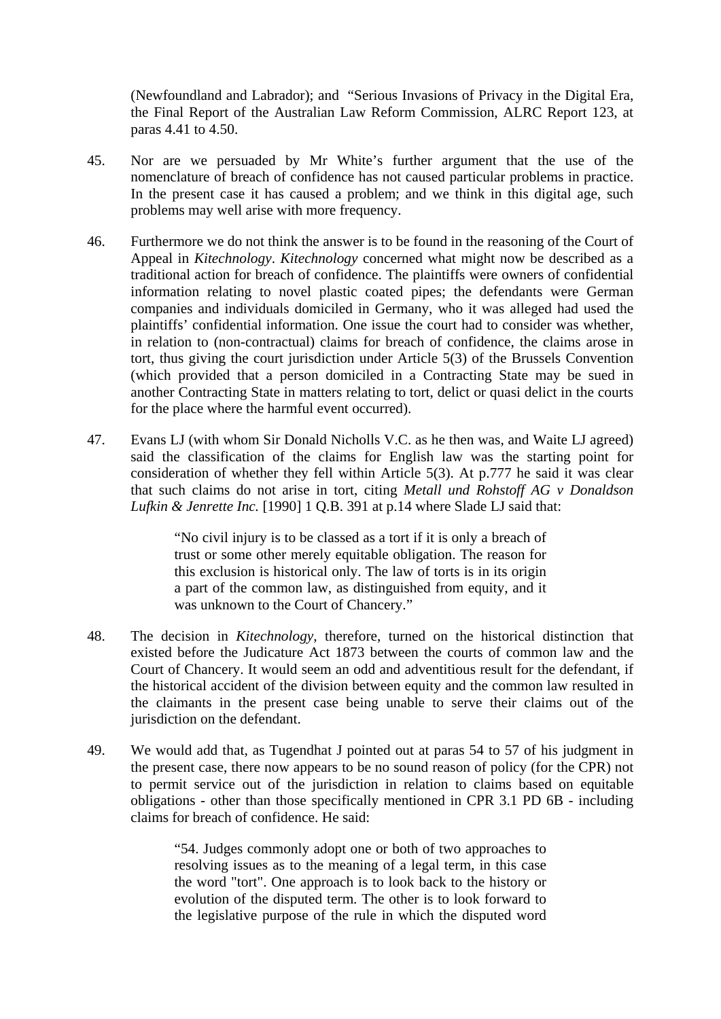(Newfoundland and Labrador); and "Serious Invasions of Privacy in the Digital Era, the Final Report of the Australian Law Reform Commission, ALRC Report 123, at paras 4.41 to 4.50.

- 45. Nor are we persuaded by Mr White's further argument that the use of the nomenclature of breach of confidence has not caused particular problems in practice. In the present case it has caused a problem; and we think in this digital age, such problems may well arise with more frequency.
- 46. Furthermore we do not think the answer is to be found in the reasoning of the Court of Appeal in *Kitechnology*. *Kitechnology* concerned what might now be described as a traditional action for breach of confidence. The plaintiffs were owners of confidential information relating to novel plastic coated pipes; the defendants were German companies and individuals domiciled in Germany, who it was alleged had used the plaintiffs' confidential information. One issue the court had to consider was whether, in relation to (non-contractual) claims for breach of confidence, the claims arose in tort, thus giving the court jurisdiction under Article 5(3) of the Brussels Convention (which provided that a person domiciled in a Contracting State may be sued in another Contracting State in matters relating to tort, delict or quasi delict in the courts for the place where the harmful event occurred).
- 47. Evans LJ (with whom Sir Donald Nicholls V.C. as he then was, and Waite LJ agreed) said the classification of the claims for English law was the starting point for consideration of whether they fell within Article 5(3). At p.777 he said it was clear that such claims do not arise in tort, citing *Metall und Rohstoff AG v Donaldson Lufkin & Jenrette Inc.* [1990] 1 Q.B. 391 at p.14 where Slade LJ said that:

"No civil injury is to be classed as a tort if it is only a breach of trust or some other merely equitable obligation. The reason for this exclusion is historical only. The law of torts is in its origin a part of the common law, as distinguished from equity, and it was unknown to the Court of Chancery."

- 48. The decision in *Kitechnology*, therefore, turned on the historical distinction that existed before the Judicature Act 1873 between the courts of common law and the Court of Chancery. It would seem an odd and adventitious result for the defendant, if the historical accident of the division between equity and the common law resulted in the claimants in the present case being unable to serve their claims out of the jurisdiction on the defendant.
- 49. We would add that, as Tugendhat J pointed out at paras 54 to 57 of his judgment in the present case, there now appears to be no sound reason of policy (for the CPR) not to permit service out of the jurisdiction in relation to claims based on equitable obligations - other than those specifically mentioned in CPR 3.1 PD 6B - including claims for breach of confidence. He said:

"54. Judges commonly adopt one or both of two approaches to resolving issues as to the meaning of a legal term, in this case the word "tort". One approach is to look back to the history or evolution of the disputed term. The other is to look forward to the legislative purpose of the rule in which the disputed word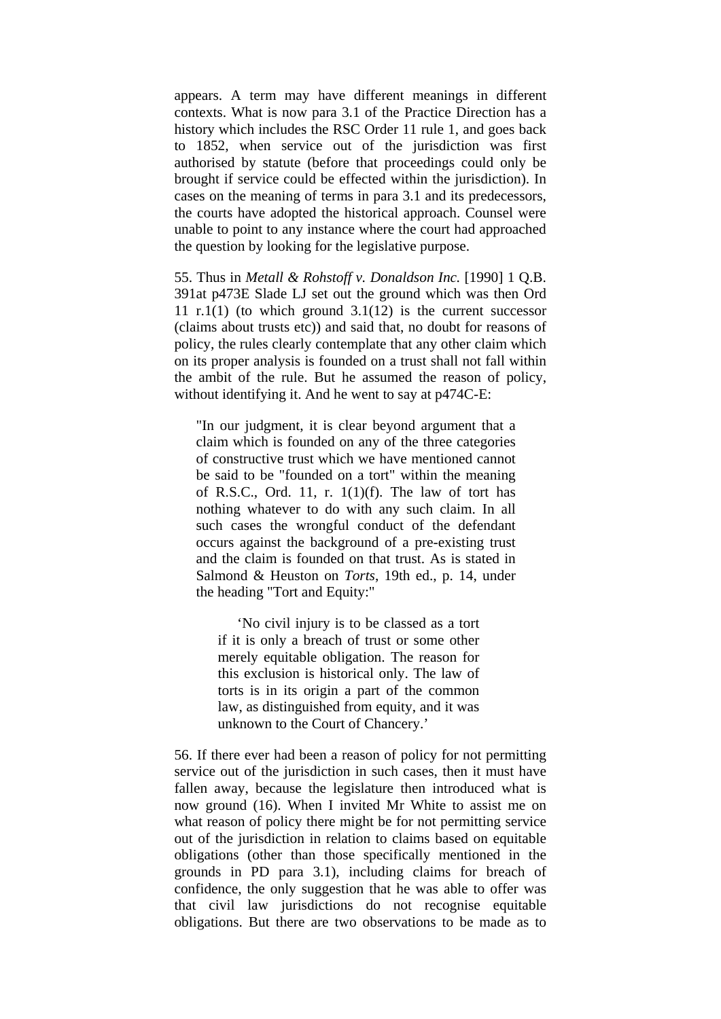appears. A term may have different meanings in different contexts. What is now para 3.1 of the Practice Direction has a history which includes the RSC Order 11 rule 1, and goes back to 1852, when service out of the jurisdiction was first authorised by statute (before that proceedings could only be brought if service could be effected within the jurisdiction). In cases on the meaning of terms in para 3.1 and its predecessors, the courts have adopted the historical approach. Counsel were unable to point to any instance where the court had approached the question by looking for the legislative purpose.

55. Thus in *Metall & Rohstoff v. Donaldson Inc.* [1990] 1 Q.B. 391at p473E Slade LJ set out the ground which was then Ord 11 r.1(1) (to which ground  $3.1(12)$  is the current successor (claims about trusts etc)) and said that, no doubt for reasons of policy, the rules clearly contemplate that any other claim which on its proper analysis is founded on a trust shall not fall within the ambit of the rule. But he assumed the reason of policy, without identifying it. And he went to say at p474C-E:

"In our judgment, it is clear beyond argument that a claim which is founded on any of the three categories of constructive trust which we have mentioned cannot be said to be "founded on a tort" within the meaning of R.S.C., Ord. 11, r.  $1(1)(f)$ . The law of tort has nothing whatever to do with any such claim. In all such cases the wrongful conduct of the defendant occurs against the background of a pre-existing trust and the claim is founded on that trust. As is stated in Salmond & Heuston on *Torts*, 19th ed., p. 14, under the heading "Tort and Equity:"

 'No civil injury is to be classed as a tort if it is only a breach of trust or some other merely equitable obligation. The reason for this exclusion is historical only. The law of torts is in its origin a part of the common law, as distinguished from equity, and it was unknown to the Court of Chancery.'

56. If there ever had been a reason of policy for not permitting service out of the jurisdiction in such cases, then it must have fallen away, because the legislature then introduced what is now ground (16). When I invited Mr White to assist me on what reason of policy there might be for not permitting service out of the jurisdiction in relation to claims based on equitable obligations (other than those specifically mentioned in the grounds in PD para 3.1), including claims for breach of confidence, the only suggestion that he was able to offer was that civil law jurisdictions do not recognise equitable obligations. But there are two observations to be made as to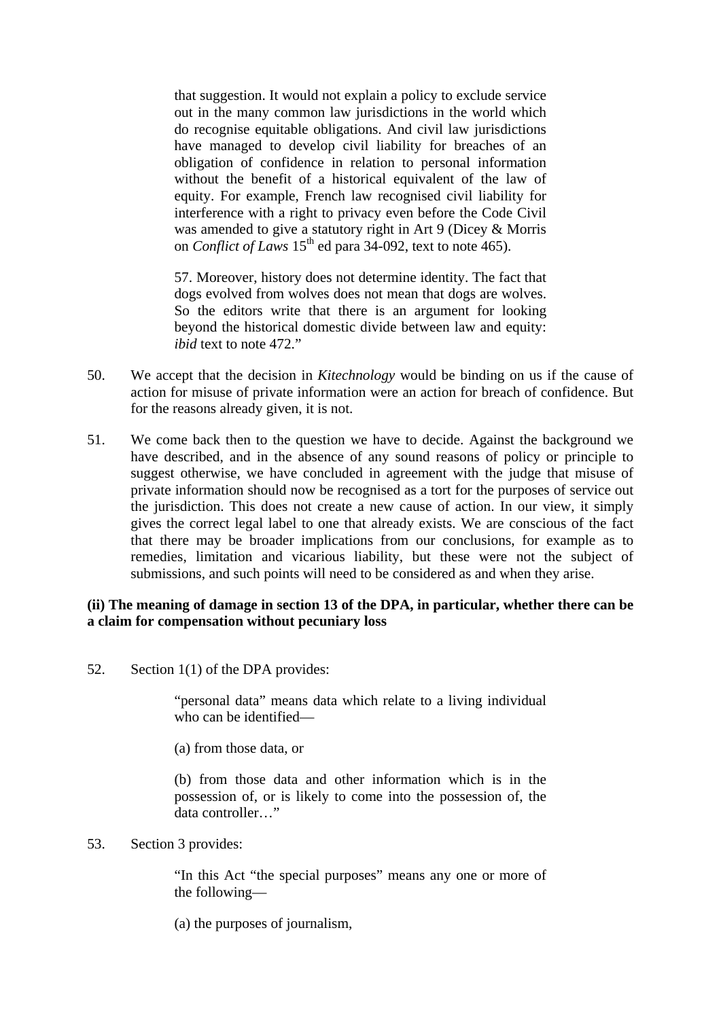that suggestion. It would not explain a policy to exclude service out in the many common law jurisdictions in the world which do recognise equitable obligations. And civil law jurisdictions have managed to develop civil liability for breaches of an obligation of confidence in relation to personal information without the benefit of a historical equivalent of the law of equity. For example, French law recognised civil liability for interference with a right to privacy even before the Code Civil was amended to give a statutory right in Art 9 (Dicey & Morris on *Conflict of Laws* 15<sup>th</sup> ed para 34-092, text to note 465).

57. Moreover, history does not determine identity. The fact that dogs evolved from wolves does not mean that dogs are wolves. So the editors write that there is an argument for looking beyond the historical domestic divide between law and equity: *ibid* text to note 472."

- 50. We accept that the decision in *Kitechnology* would be binding on us if the cause of action for misuse of private information were an action for breach of confidence. But for the reasons already given, it is not.
- 51. We come back then to the question we have to decide. Against the background we have described, and in the absence of any sound reasons of policy or principle to suggest otherwise, we have concluded in agreement with the judge that misuse of private information should now be recognised as a tort for the purposes of service out the jurisdiction. This does not create a new cause of action. In our view, it simply gives the correct legal label to one that already exists. We are conscious of the fact that there may be broader implications from our conclusions, for example as to remedies, limitation and vicarious liability, but these were not the subject of submissions, and such points will need to be considered as and when they arise.

### **(ii) The meaning of damage in section 13 of the DPA, in particular, whether there can be a claim for compensation without pecuniary loss**

52. Section 1(1) of the DPA provides:

"personal data" means data which relate to a living individual who can be identified—

(a) from those data, or

(b) from those data and other information which is in the possession of, or is likely to come into the possession of, the data controller…"

#### 53. Section 3 provides:

"In this Act "the special purposes" means any one or more of the following—

(a) the purposes of journalism,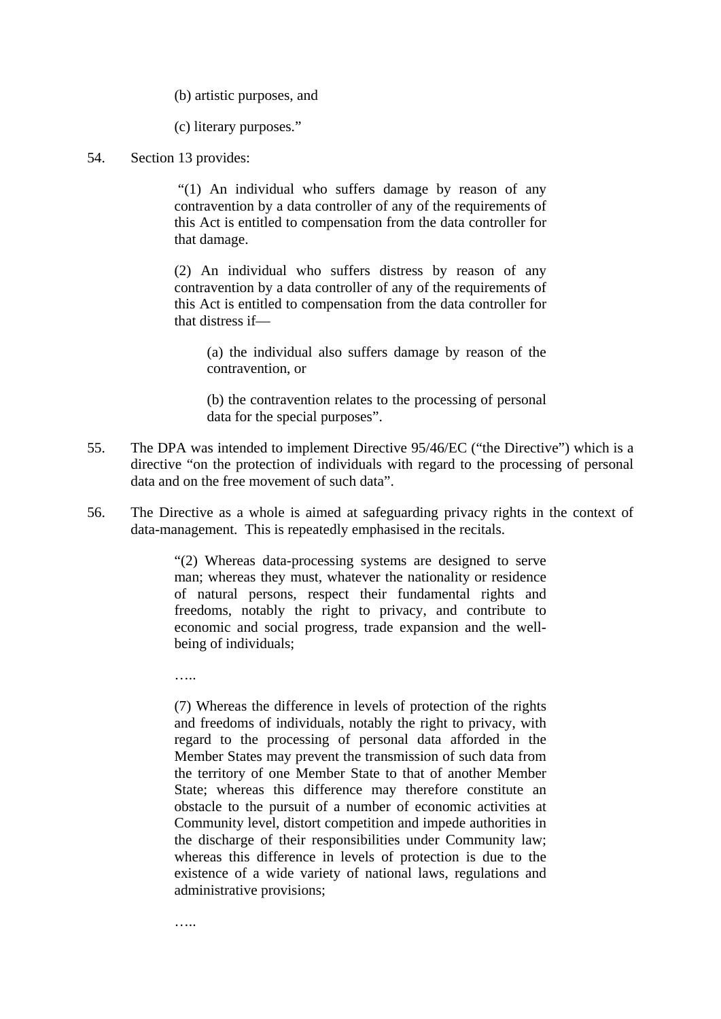(b) artistic purposes, and

(c) literary purposes."

54. Section 13 provides:

 "(1) An individual who suffers damage by reason of any contravention by a data controller of any of the requirements of this Act is entitled to compensation from the data controller for that damage.

(2) An individual who suffers distress by reason of any contravention by a data controller of any of the requirements of this Act is entitled to compensation from the data controller for that distress if—

(a) the individual also suffers damage by reason of the contravention, or

(b) the contravention relates to the processing of personal data for the special purposes".

- 55. The DPA was intended to implement Directive 95/46/EC ("the Directive") which is a directive "on the protection of individuals with regard to the processing of personal data and on the free movement of such data".
- 56. The Directive as a whole is aimed at safeguarding privacy rights in the context of data-management. This is repeatedly emphasised in the recitals.

"(2) Whereas data-processing systems are designed to serve man; whereas they must, whatever the nationality or residence of natural persons, respect their fundamental rights and freedoms, notably the right to privacy, and contribute to economic and social progress, trade expansion and the wellbeing of individuals;

……

(7) Whereas the difference in levels of protection of the rights and freedoms of individuals, notably the right to privacy, with regard to the processing of personal data afforded in the Member States may prevent the transmission of such data from the territory of one Member State to that of another Member State; whereas this difference may therefore constitute an obstacle to the pursuit of a number of economic activities at Community level, distort competition and impede authorities in the discharge of their responsibilities under Community law; whereas this difference in levels of protection is due to the existence of a wide variety of national laws, regulations and administrative provisions;

…..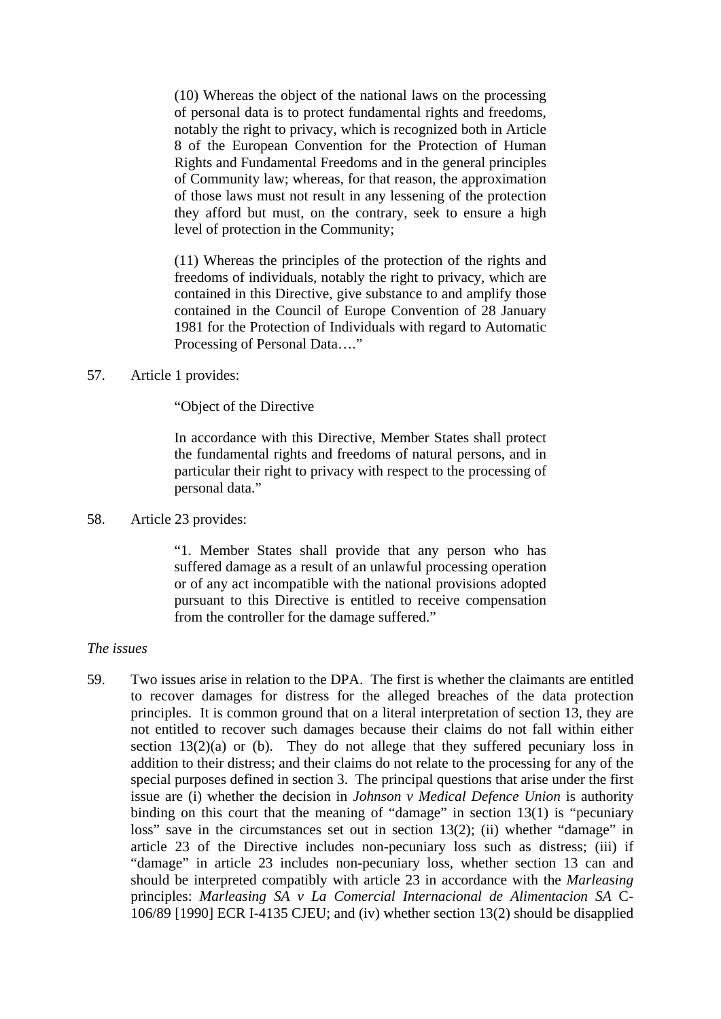(10) Whereas the object of the national laws on the processing of personal data is to protect fundamental rights and freedoms, notably the right to privacy, which is recognized both in Article 8 of the European Convention for the Protection of Human Rights and Fundamental Freedoms and in the general principles of Community law; whereas, for that reason, the approximation of those laws must not result in any lessening of the protection they afford but must, on the contrary, seek to ensure a high level of protection in the Community;

(11) Whereas the principles of the protection of the rights and freedoms of individuals, notably the right to privacy, which are contained in this Directive, give substance to and amplify those contained in the Council of Europe Convention of 28 January 1981 for the Protection of Individuals with regard to Automatic Processing of Personal Data…."

57. Article 1 provides:

### "Object of the Directive

In accordance with this Directive, Member States shall protect the fundamental rights and freedoms of natural persons, and in particular their right to privacy with respect to the processing of personal data."

58. Article 23 provides:

"1. Member States shall provide that any person who has suffered damage as a result of an unlawful processing operation or of any act incompatible with the national provisions adopted pursuant to this Directive is entitled to receive compensation from the controller for the damage suffered."

### *The issues*

59. Two issues arise in relation to the DPA. The first is whether the claimants are entitled to recover damages for distress for the alleged breaches of the data protection principles. It is common ground that on a literal interpretation of section 13, they are not entitled to recover such damages because their claims do not fall within either section  $13(2)(a)$  or (b). They do not allege that they suffered pecuniary loss in addition to their distress; and their claims do not relate to the processing for any of the special purposes defined in section 3. The principal questions that arise under the first issue are (i) whether the decision in *Johnson v Medical Defence Union* is authority binding on this court that the meaning of "damage" in section 13(1) is "pecuniary loss" save in the circumstances set out in section 13(2); (ii) whether "damage" in article 23 of the Directive includes non-pecuniary loss such as distress; (iii) if "damage" in article 23 includes non-pecuniary loss, whether section 13 can and should be interpreted compatibly with article 23 in accordance with the *Marleasing*  principles: *Marleasing SA v La Comercial Internacional de Alimentacion SA* C-106/89 [1990] ECR I-4135 CJEU; and (iv) whether section 13(2) should be disapplied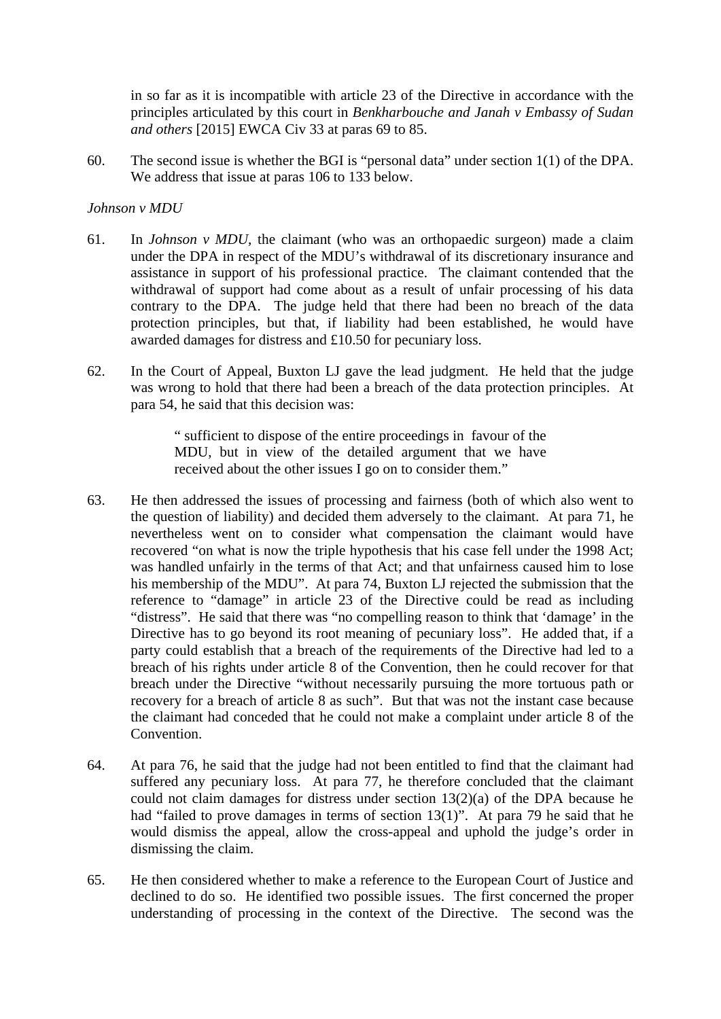in so far as it is incompatible with article 23 of the Directive in accordance with the principles articulated by this court in *Benkharbouche and Janah v Embassy of Sudan and others* [2015] EWCA Civ 33 at paras 69 to 85.

60. The second issue is whether the BGI is "personal data" under section 1(1) of the DPA. We address that issue at paras 106 to 133 below.

# *Johnson v MDU*

- 61. In *Johnson v MDU,* the claimant (who was an orthopaedic surgeon) made a claim under the DPA in respect of the MDU's withdrawal of its discretionary insurance and assistance in support of his professional practice. The claimant contended that the withdrawal of support had come about as a result of unfair processing of his data contrary to the DPA. The judge held that there had been no breach of the data protection principles, but that, if liability had been established, he would have awarded damages for distress and £10.50 for pecuniary loss.
- 62. In the Court of Appeal, Buxton LJ gave the lead judgment. He held that the judge was wrong to hold that there had been a breach of the data protection principles. At para 54, he said that this decision was:

" sufficient to dispose of the entire proceedings in favour of the MDU, but in view of the detailed argument that we have received about the other issues I go on to consider them."

- 63. He then addressed the issues of processing and fairness (both of which also went to the question of liability) and decided them adversely to the claimant. At para 71, he nevertheless went on to consider what compensation the claimant would have recovered "on what is now the triple hypothesis that his case fell under the 1998 Act; was handled unfairly in the terms of that Act; and that unfairness caused him to lose his membership of the MDU". At para 74, Buxton LJ rejected the submission that the reference to "damage" in article 23 of the Directive could be read as including "distress". He said that there was "no compelling reason to think that 'damage' in the Directive has to go beyond its root meaning of pecuniary loss". He added that, if a party could establish that a breach of the requirements of the Directive had led to a breach of his rights under article 8 of the Convention, then he could recover for that breach under the Directive "without necessarily pursuing the more tortuous path or recovery for a breach of article 8 as such". But that was not the instant case because the claimant had conceded that he could not make a complaint under article 8 of the Convention.
- 64. At para 76, he said that the judge had not been entitled to find that the claimant had suffered any pecuniary loss. At para 77, he therefore concluded that the claimant could not claim damages for distress under section 13(2)(a) of the DPA because he had "failed to prove damages in terms of section 13(1)". At para 79 he said that he would dismiss the appeal, allow the cross-appeal and uphold the judge's order in dismissing the claim.
- 65. He then considered whether to make a reference to the European Court of Justice and declined to do so. He identified two possible issues. The first concerned the proper understanding of processing in the context of the Directive. The second was the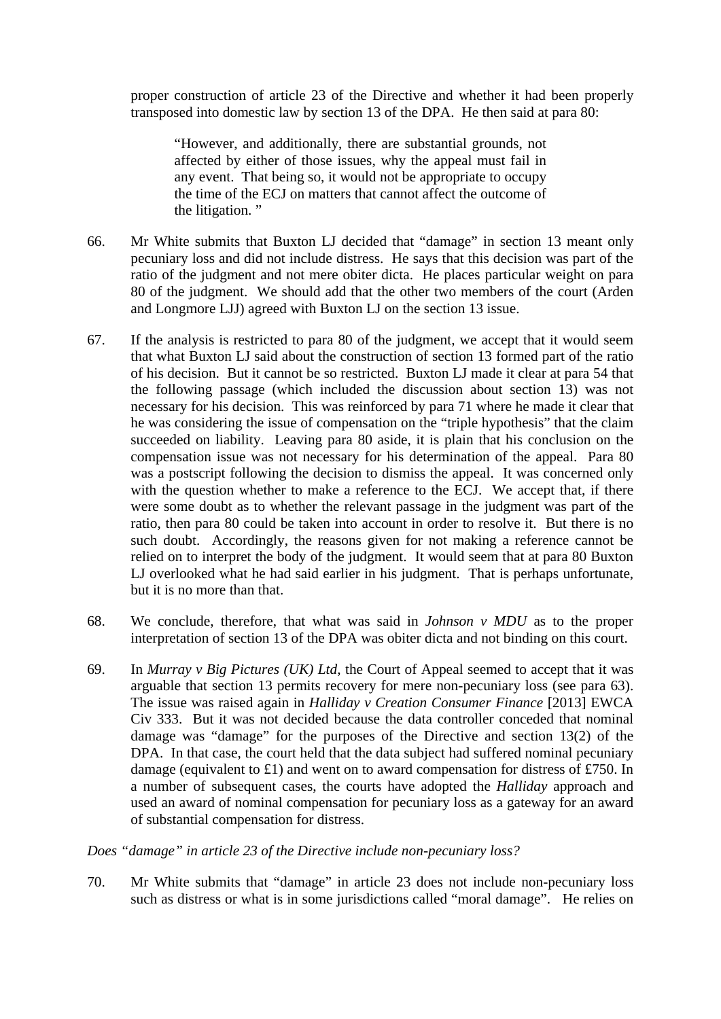proper construction of article 23 of the Directive and whether it had been properly transposed into domestic law by section 13 of the DPA. He then said at para 80:

"However, and additionally, there are substantial grounds, not affected by either of those issues, why the appeal must fail in any event. That being so, it would not be appropriate to occupy the time of the ECJ on matters that cannot affect the outcome of the litigation. "

- 66. Mr White submits that Buxton LJ decided that "damage" in section 13 meant only pecuniary loss and did not include distress. He says that this decision was part of the ratio of the judgment and not mere obiter dicta. He places particular weight on para 80 of the judgment. We should add that the other two members of the court (Arden and Longmore LJJ) agreed with Buxton LJ on the section 13 issue.
- 67. If the analysis is restricted to para 80 of the judgment, we accept that it would seem that what Buxton LJ said about the construction of section 13 formed part of the ratio of his decision. But it cannot be so restricted. Buxton LJ made it clear at para 54 that the following passage (which included the discussion about section 13) was not necessary for his decision. This was reinforced by para 71 where he made it clear that he was considering the issue of compensation on the "triple hypothesis" that the claim succeeded on liability. Leaving para 80 aside, it is plain that his conclusion on the compensation issue was not necessary for his determination of the appeal. Para 80 was a postscript following the decision to dismiss the appeal. It was concerned only with the question whether to make a reference to the ECJ. We accept that, if there were some doubt as to whether the relevant passage in the judgment was part of the ratio, then para 80 could be taken into account in order to resolve it. But there is no such doubt. Accordingly, the reasons given for not making a reference cannot be relied on to interpret the body of the judgment. It would seem that at para 80 Buxton LJ overlooked what he had said earlier in his judgment. That is perhaps unfortunate, but it is no more than that.
- 68. We conclude, therefore, that what was said in *Johnson v MDU* as to the proper interpretation of section 13 of the DPA was obiter dicta and not binding on this court.
- 69. In *Murray v Big Pictures (UK) Ltd*, the Court of Appeal seemed to accept that it was arguable that section 13 permits recovery for mere non-pecuniary loss (see para 63). The issue was raised again in *Halliday v Creation Consumer Finance* [2013] EWCA Civ 333. But it was not decided because the data controller conceded that nominal damage was "damage" for the purposes of the Directive and section 13(2) of the DPA. In that case, the court held that the data subject had suffered nominal pecuniary damage (equivalent to £1) and went on to award compensation for distress of £750. In a number of subsequent cases, the courts have adopted the *Halliday* approach and used an award of nominal compensation for pecuniary loss as a gateway for an award of substantial compensation for distress.

*Does "damage" in article 23 of the Directive include non-pecuniary loss?* 

70. Mr White submits that "damage" in article 23 does not include non-pecuniary loss such as distress or what is in some jurisdictions called "moral damage". He relies on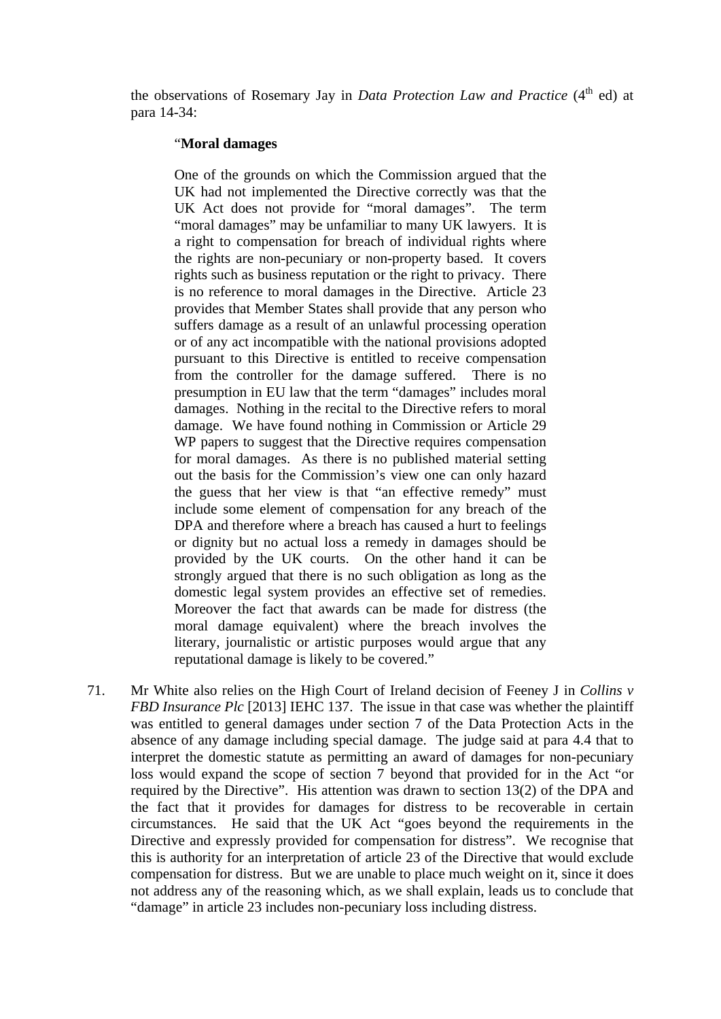the observations of Rosemary Jay in *Data Protection Law and Practice* (4<sup>th</sup> ed) at para 14-34:

#### "**Moral damages**

One of the grounds on which the Commission argued that the UK had not implemented the Directive correctly was that the UK Act does not provide for "moral damages". The term "moral damages" may be unfamiliar to many UK lawyers. It is a right to compensation for breach of individual rights where the rights are non-pecuniary or non-property based. It covers rights such as business reputation or the right to privacy. There is no reference to moral damages in the Directive. Article 23 provides that Member States shall provide that any person who suffers damage as a result of an unlawful processing operation or of any act incompatible with the national provisions adopted pursuant to this Directive is entitled to receive compensation from the controller for the damage suffered. There is no presumption in EU law that the term "damages" includes moral damages. Nothing in the recital to the Directive refers to moral damage. We have found nothing in Commission or Article 29 WP papers to suggest that the Directive requires compensation for moral damages. As there is no published material setting out the basis for the Commission's view one can only hazard the guess that her view is that "an effective remedy" must include some element of compensation for any breach of the DPA and therefore where a breach has caused a hurt to feelings or dignity but no actual loss a remedy in damages should be provided by the UK courts. On the other hand it can be strongly argued that there is no such obligation as long as the domestic legal system provides an effective set of remedies. Moreover the fact that awards can be made for distress (the moral damage equivalent) where the breach involves the literary, journalistic or artistic purposes would argue that any reputational damage is likely to be covered."

71. Mr White also relies on the High Court of Ireland decision of Feeney J in *Collins v FBD Insurance Plc* [2013] IEHC 137. The issue in that case was whether the plaintiff was entitled to general damages under section 7 of the Data Protection Acts in the absence of any damage including special damage. The judge said at para 4.4 that to interpret the domestic statute as permitting an award of damages for non-pecuniary loss would expand the scope of section 7 beyond that provided for in the Act "or required by the Directive". His attention was drawn to section 13(2) of the DPA and the fact that it provides for damages for distress to be recoverable in certain circumstances. He said that the UK Act "goes beyond the requirements in the Directive and expressly provided for compensation for distress". We recognise that this is authority for an interpretation of article 23 of the Directive that would exclude compensation for distress. But we are unable to place much weight on it, since it does not address any of the reasoning which, as we shall explain, leads us to conclude that "damage" in article 23 includes non-pecuniary loss including distress.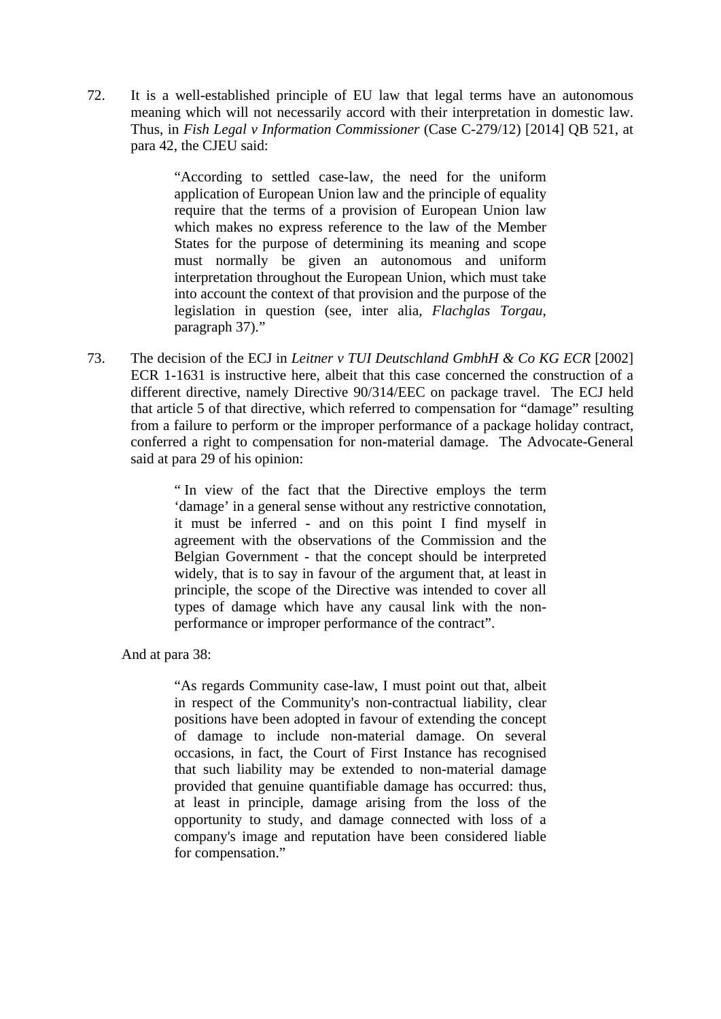72. It is a well-established principle of EU law that legal terms have an autonomous meaning which will not necessarily accord with their interpretation in domestic law. Thus, in *Fish Legal v Information Commissioner* (Case C-279/12) [2014] QB 521, at para 42, the CJEU said:

> "According to settled case-law, the need for the uniform application of European Union law and the principle of equality require that the terms of a provision of European Union law which makes no express reference to the law of the Member States for the purpose of determining its meaning and scope must normally be given an autonomous and uniform interpretation throughout the European Union, which must take into account the context of that provision and the purpose of the legislation in question (see, inter alia, *Flachglas Torgau*, paragraph 37)."

73. The decision of the ECJ in *Leitner v TUI Deutschland GmbhH & Co KG ECR* [2002] ECR 1-1631 is instructive here, albeit that this case concerned the construction of a different directive, namely Directive 90/314/EEC on package travel. The ECJ held that article 5 of that directive, which referred to compensation for "damage" resulting from a failure to perform or the improper performance of a package holiday contract, conferred a right to compensation for non-material damage. The Advocate-General said at para 29 of his opinion:

> " In view of the fact that the Directive employs the term 'damage' in a general sense without any restrictive connotation, it must be inferred - and on this point I find myself in agreement with the observations of the Commission and the Belgian Government - that the concept should be interpreted widely, that is to say in favour of the argument that, at least in principle, the scope of the Directive was intended to cover all types of damage which have any causal link with the nonperformance or improper performance of the contract".

And at para 38:

"As regards Community case-law, I must point out that, albeit in respect of the Community's non-contractual liability, clear positions have been adopted in favour of extending the concept of damage to include non-material damage. On several occasions, in fact, the Court of First Instance has recognised that such liability may be extended to non-material damage provided that genuine quantifiable damage has occurred: thus, at least in principle, damage arising from the loss of the opportunity to study, and damage connected with loss of a company's image and reputation have been considered liable for compensation."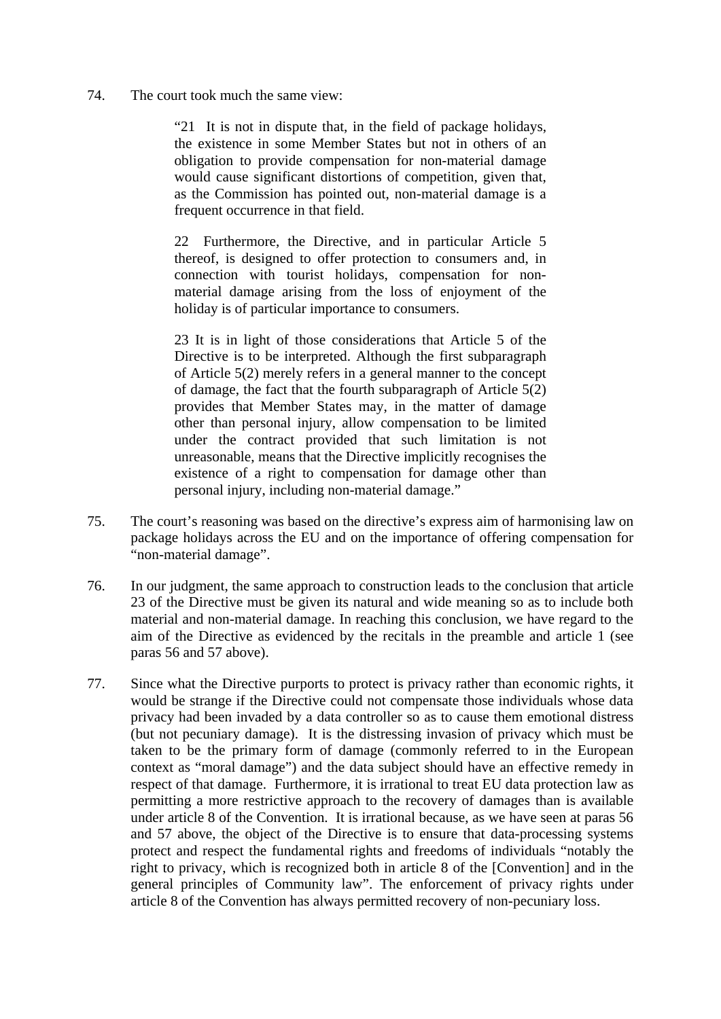74. The court took much the same view:

"21 It is not in dispute that, in the field of package holidays, the existence in some Member States but not in others of an obligation to provide compensation for non-material damage would cause significant distortions of competition, given that, as the Commission has pointed out, non-material damage is a frequent occurrence in that field.

22 Furthermore, the Directive, and in particular Article 5 thereof, is designed to offer protection to consumers and, in connection with tourist holidays, compensation for nonmaterial damage arising from the loss of enjoyment of the holiday is of particular importance to consumers.

23 It is in light of those considerations that Article 5 of the Directive is to be interpreted. Although the first subparagraph of Article 5(2) merely refers in a general manner to the concept of damage, the fact that the fourth subparagraph of Article 5(2) provides that Member States may, in the matter of damage other than personal injury, allow compensation to be limited under the contract provided that such limitation is not unreasonable, means that the Directive implicitly recognises the existence of a right to compensation for damage other than personal injury, including non-material damage."

- 75. The court's reasoning was based on the directive's express aim of harmonising law on package holidays across the EU and on the importance of offering compensation for "non-material damage".
- 76. In our judgment, the same approach to construction leads to the conclusion that article 23 of the Directive must be given its natural and wide meaning so as to include both material and non-material damage. In reaching this conclusion, we have regard to the aim of the Directive as evidenced by the recitals in the preamble and article 1 (see paras 56 and 57 above).
- 77. Since what the Directive purports to protect is privacy rather than economic rights, it would be strange if the Directive could not compensate those individuals whose data privacy had been invaded by a data controller so as to cause them emotional distress (but not pecuniary damage). It is the distressing invasion of privacy which must be taken to be the primary form of damage (commonly referred to in the European context as "moral damage") and the data subject should have an effective remedy in respect of that damage. Furthermore, it is irrational to treat EU data protection law as permitting a more restrictive approach to the recovery of damages than is available under article 8 of the Convention. It is irrational because, as we have seen at paras 56 and 57 above, the object of the Directive is to ensure that data-processing systems protect and respect the fundamental rights and freedoms of individuals "notably the right to privacy, which is recognized both in article 8 of the [Convention] and in the general principles of Community law". The enforcement of privacy rights under article 8 of the Convention has always permitted recovery of non-pecuniary loss.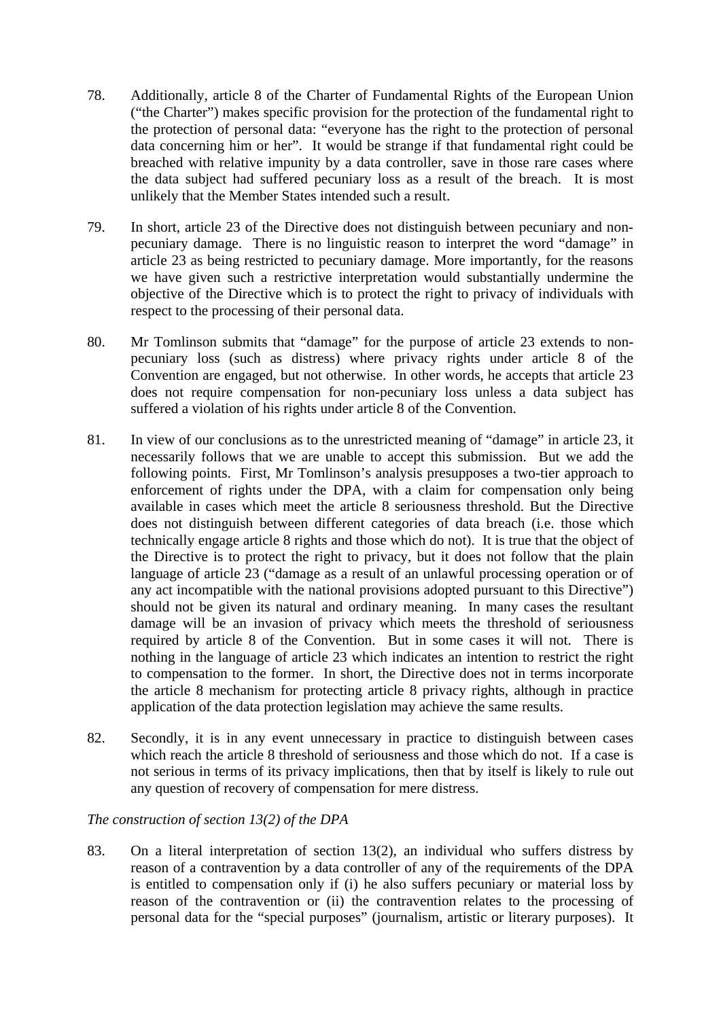- 78. Additionally, article 8 of the Charter of Fundamental Rights of the European Union ("the Charter") makes specific provision for the protection of the fundamental right to the protection of personal data: "everyone has the right to the protection of personal data concerning him or her". It would be strange if that fundamental right could be breached with relative impunity by a data controller, save in those rare cases where the data subject had suffered pecuniary loss as a result of the breach. It is most unlikely that the Member States intended such a result.
- 79. In short, article 23 of the Directive does not distinguish between pecuniary and nonpecuniary damage. There is no linguistic reason to interpret the word "damage" in article 23 as being restricted to pecuniary damage. More importantly, for the reasons we have given such a restrictive interpretation would substantially undermine the objective of the Directive which is to protect the right to privacy of individuals with respect to the processing of their personal data.
- 80. Mr Tomlinson submits that "damage" for the purpose of article 23 extends to nonpecuniary loss (such as distress) where privacy rights under article 8 of the Convention are engaged, but not otherwise. In other words, he accepts that article 23 does not require compensation for non-pecuniary loss unless a data subject has suffered a violation of his rights under article 8 of the Convention.
- 81. In view of our conclusions as to the unrestricted meaning of "damage" in article 23, it necessarily follows that we are unable to accept this submission. But we add the following points. First, Mr Tomlinson's analysis presupposes a two-tier approach to enforcement of rights under the DPA, with a claim for compensation only being available in cases which meet the article 8 seriousness threshold. But the Directive does not distinguish between different categories of data breach (i.e. those which technically engage article 8 rights and those which do not). It is true that the object of the Directive is to protect the right to privacy, but it does not follow that the plain language of article 23 ("damage as a result of an unlawful processing operation or of any act incompatible with the national provisions adopted pursuant to this Directive") should not be given its natural and ordinary meaning. In many cases the resultant damage will be an invasion of privacy which meets the threshold of seriousness required by article 8 of the Convention. But in some cases it will not. There is nothing in the language of article 23 which indicates an intention to restrict the right to compensation to the former. In short, the Directive does not in terms incorporate the article 8 mechanism for protecting article 8 privacy rights, although in practice application of the data protection legislation may achieve the same results.
- 82. Secondly, it is in any event unnecessary in practice to distinguish between cases which reach the article 8 threshold of seriousness and those which do not. If a case is not serious in terms of its privacy implications, then that by itself is likely to rule out any question of recovery of compensation for mere distress.

# *The construction of section 13(2) of the DPA*

83. On a literal interpretation of section 13(2), an individual who suffers distress by reason of a contravention by a data controller of any of the requirements of the DPA is entitled to compensation only if (i) he also suffers pecuniary or material loss by reason of the contravention or (ii) the contravention relates to the processing of personal data for the "special purposes" (journalism, artistic or literary purposes). It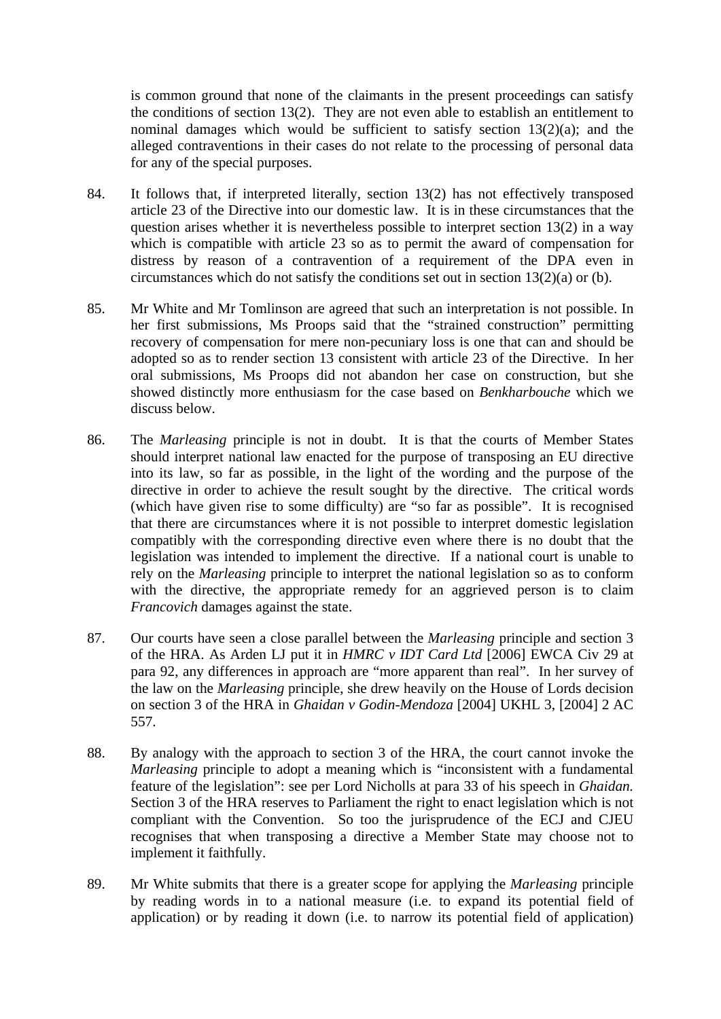is common ground that none of the claimants in the present proceedings can satisfy the conditions of section 13(2). They are not even able to establish an entitlement to nominal damages which would be sufficient to satisfy section 13(2)(a); and the alleged contraventions in their cases do not relate to the processing of personal data for any of the special purposes.

- 84. It follows that, if interpreted literally, section 13(2) has not effectively transposed article 23 of the Directive into our domestic law. It is in these circumstances that the question arises whether it is nevertheless possible to interpret section 13(2) in a way which is compatible with article 23 so as to permit the award of compensation for distress by reason of a contravention of a requirement of the DPA even in circumstances which do not satisfy the conditions set out in section 13(2)(a) or (b).
- 85. Mr White and Mr Tomlinson are agreed that such an interpretation is not possible. In her first submissions, Ms Proops said that the "strained construction" permitting recovery of compensation for mere non-pecuniary loss is one that can and should be adopted so as to render section 13 consistent with article 23 of the Directive. In her oral submissions, Ms Proops did not abandon her case on construction, but she showed distinctly more enthusiasm for the case based on *Benkharbouche* which we discuss below.
- 86. The *Marleasing* principle is not in doubt. It is that the courts of Member States should interpret national law enacted for the purpose of transposing an EU directive into its law, so far as possible, in the light of the wording and the purpose of the directive in order to achieve the result sought by the directive. The critical words (which have given rise to some difficulty) are "so far as possible". It is recognised that there are circumstances where it is not possible to interpret domestic legislation compatibly with the corresponding directive even where there is no doubt that the legislation was intended to implement the directive. If a national court is unable to rely on the *Marleasing* principle to interpret the national legislation so as to conform with the directive, the appropriate remedy for an aggrieved person is to claim *Francovich* damages against the state.
- 87. Our courts have seen a close parallel between the *Marleasing* principle and section 3 of the HRA. As Arden LJ put it in *HMRC v IDT Card Ltd* [2006] EWCA Civ 29 at para 92, any differences in approach are "more apparent than real". In her survey of the law on the *Marleasing* principle, she drew heavily on the House of Lords decision on section 3 of the HRA in *Ghaidan v Godin-Mendoza* [2004] UKHL 3, [2004] 2 AC 557.
- 88. By analogy with the approach to section 3 of the HRA, the court cannot invoke the *Marleasing* principle to adopt a meaning which is "inconsistent with a fundamental feature of the legislation": see per Lord Nicholls at para 33 of his speech in *Ghaidan.*  Section 3 of the HRA reserves to Parliament the right to enact legislation which is not compliant with the Convention. So too the jurisprudence of the ECJ and CJEU recognises that when transposing a directive a Member State may choose not to implement it faithfully.
- 89. Mr White submits that there is a greater scope for applying the *Marleasing* principle by reading words in to a national measure (i.e. to expand its potential field of application) or by reading it down (i.e. to narrow its potential field of application)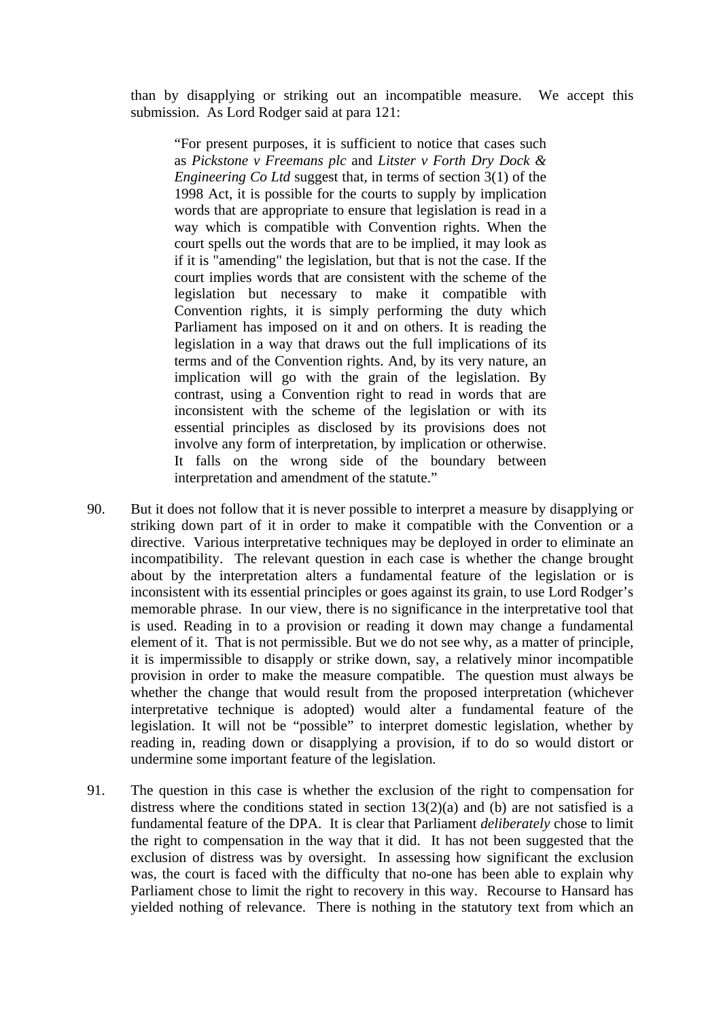than by disapplying or striking out an incompatible measure. We accept this submission. As Lord Rodger said at para 121:

"For present purposes, it is sufficient to notice that cases such as *Pickstone v Freemans plc* and *Litster v Forth Dry Dock & Engineering Co Ltd* suggest that, in terms of section 3(1) of the 1998 Act, it is possible for the courts to supply by implication words that are appropriate to ensure that legislation is read in a way which is compatible with Convention rights. When the court spells out the words that are to be implied, it may look as if it is "amending" the legislation, but that is not the case. If the court implies words that are consistent with the scheme of the legislation but necessary to make it compatible with Convention rights, it is simply performing the duty which Parliament has imposed on it and on others. It is reading the legislation in a way that draws out the full implications of its terms and of the Convention rights. And, by its very nature, an implication will go with the grain of the legislation. By contrast, using a Convention right to read in words that are inconsistent with the scheme of the legislation or with its essential principles as disclosed by its provisions does not involve any form of interpretation, by implication or otherwise. It falls on the wrong side of the boundary between interpretation and amendment of the statute."

- 90. But it does not follow that it is never possible to interpret a measure by disapplying or striking down part of it in order to make it compatible with the Convention or a directive. Various interpretative techniques may be deployed in order to eliminate an incompatibility. The relevant question in each case is whether the change brought about by the interpretation alters a fundamental feature of the legislation or is inconsistent with its essential principles or goes against its grain, to use Lord Rodger's memorable phrase. In our view, there is no significance in the interpretative tool that is used. Reading in to a provision or reading it down may change a fundamental element of it. That is not permissible. But we do not see why, as a matter of principle, it is impermissible to disapply or strike down, say, a relatively minor incompatible provision in order to make the measure compatible. The question must always be whether the change that would result from the proposed interpretation (whichever interpretative technique is adopted) would alter a fundamental feature of the legislation. It will not be "possible" to interpret domestic legislation, whether by reading in, reading down or disapplying a provision, if to do so would distort or undermine some important feature of the legislation.
- 91. The question in this case is whether the exclusion of the right to compensation for distress where the conditions stated in section  $13(2)(a)$  and (b) are not satisfied is a fundamental feature of the DPA. It is clear that Parliament *deliberately* chose to limit the right to compensation in the way that it did. It has not been suggested that the exclusion of distress was by oversight. In assessing how significant the exclusion was, the court is faced with the difficulty that no-one has been able to explain why Parliament chose to limit the right to recovery in this way. Recourse to Hansard has yielded nothing of relevance. There is nothing in the statutory text from which an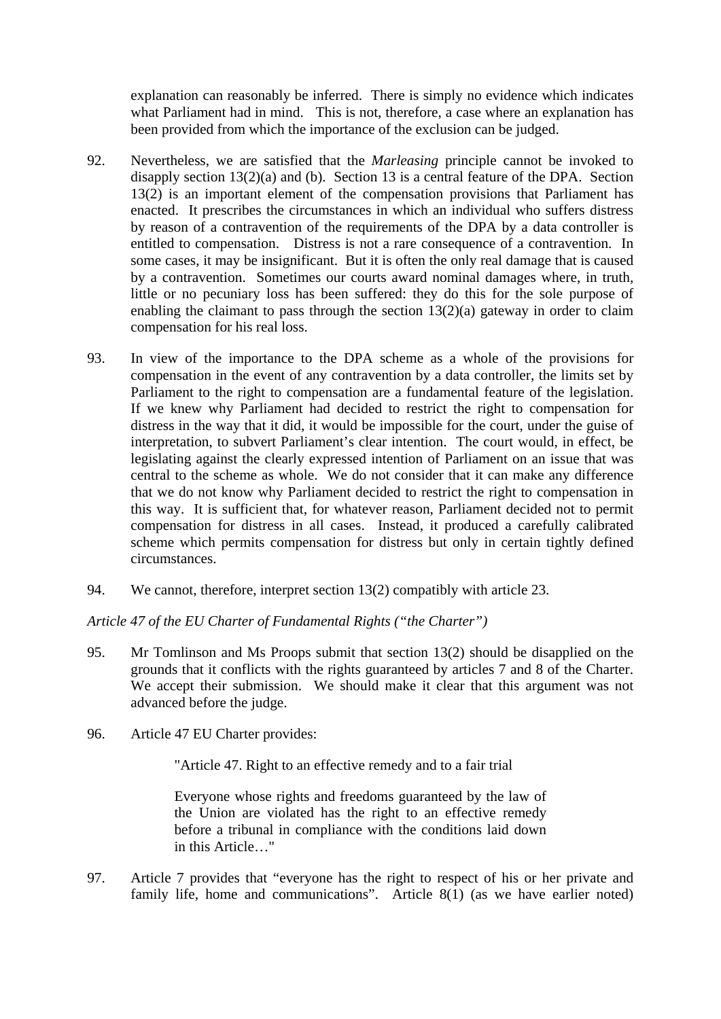explanation can reasonably be inferred. There is simply no evidence which indicates what Parliament had in mind. This is not, therefore, a case where an explanation has been provided from which the importance of the exclusion can be judged.

- 92. Nevertheless, we are satisfied that the *Marleasing* principle cannot be invoked to disapply section 13(2)(a) and (b). Section 13 is a central feature of the DPA. Section 13(2) is an important element of the compensation provisions that Parliament has enacted. It prescribes the circumstances in which an individual who suffers distress by reason of a contravention of the requirements of the DPA by a data controller is entitled to compensation. Distress is not a rare consequence of a contravention. In some cases, it may be insignificant. But it is often the only real damage that is caused by a contravention. Sometimes our courts award nominal damages where, in truth, little or no pecuniary loss has been suffered: they do this for the sole purpose of enabling the claimant to pass through the section  $13(2)(a)$  gateway in order to claim compensation for his real loss.
- 93. In view of the importance to the DPA scheme as a whole of the provisions for compensation in the event of any contravention by a data controller, the limits set by Parliament to the right to compensation are a fundamental feature of the legislation. If we knew why Parliament had decided to restrict the right to compensation for distress in the way that it did, it would be impossible for the court, under the guise of interpretation, to subvert Parliament's clear intention. The court would, in effect, be legislating against the clearly expressed intention of Parliament on an issue that was central to the scheme as whole. We do not consider that it can make any difference that we do not know why Parliament decided to restrict the right to compensation in this way. It is sufficient that, for whatever reason, Parliament decided not to permit compensation for distress in all cases. Instead, it produced a carefully calibrated scheme which permits compensation for distress but only in certain tightly defined circumstances.
- 94. We cannot, therefore, interpret section 13(2) compatibly with article 23.

### *Article 47 of the EU Charter of Fundamental Rights ("the Charter")*

- 95. Mr Tomlinson and Ms Proops submit that section 13(2) should be disapplied on the grounds that it conflicts with the rights guaranteed by articles 7 and 8 of the Charter. We accept their submission. We should make it clear that this argument was not advanced before the judge.
- 96. Article 47 EU Charter provides:

"Article 47. Right to an effective remedy and to a fair trial

Everyone whose rights and freedoms guaranteed by the law of the Union are violated has the right to an effective remedy before a tribunal in compliance with the conditions laid down in this Article…"

97. Article 7 provides that "everyone has the right to respect of his or her private and family life, home and communications". Article 8(1) (as we have earlier noted)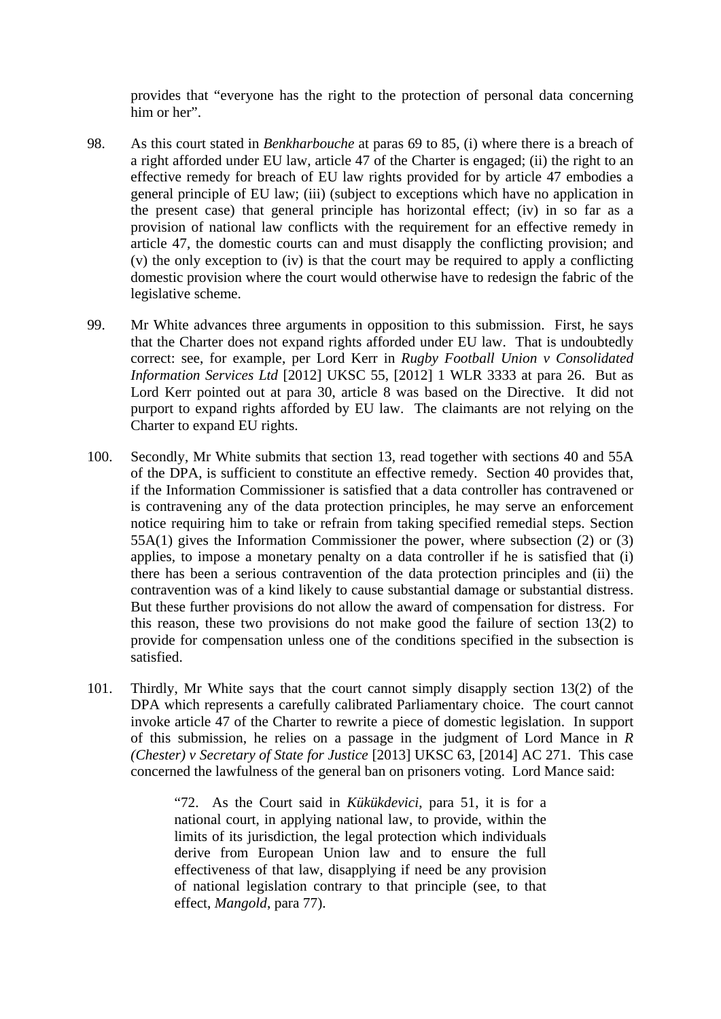provides that "everyone has the right to the protection of personal data concerning him or her".

- 98. As this court stated in *Benkharbouche* at paras 69 to 85, (i) where there is a breach of a right afforded under EU law, article 47 of the Charter is engaged; (ii) the right to an effective remedy for breach of EU law rights provided for by article 47 embodies a general principle of EU law; (iii) (subject to exceptions which have no application in the present case) that general principle has horizontal effect; (iv) in so far as a provision of national law conflicts with the requirement for an effective remedy in article 47, the domestic courts can and must disapply the conflicting provision; and (v) the only exception to (iv) is that the court may be required to apply a conflicting domestic provision where the court would otherwise have to redesign the fabric of the legislative scheme.
- 99. Mr White advances three arguments in opposition to this submission. First, he says that the Charter does not expand rights afforded under EU law. That is undoubtedly correct: see, for example, per Lord Kerr in *Rugby Football Union v Consolidated Information Services Ltd* [2012] UKSC 55, [2012] 1 WLR 3333 at para 26. But as Lord Kerr pointed out at para 30, article 8 was based on the Directive. It did not purport to expand rights afforded by EU law. The claimants are not relying on the Charter to expand EU rights.
- 100. Secondly, Mr White submits that section 13, read together with sections 40 and 55A of the DPA, is sufficient to constitute an effective remedy. Section 40 provides that, if the Information Commissioner is satisfied that a data controller has contravened or is contravening any of the data protection principles, he may serve an enforcement notice requiring him to take or refrain from taking specified remedial steps. Section 55A(1) gives the Information Commissioner the power, where subsection (2) or (3) applies, to impose a monetary penalty on a data controller if he is satisfied that (i) there has been a serious contravention of the data protection principles and (ii) the contravention was of a kind likely to cause substantial damage or substantial distress. But these further provisions do not allow the award of compensation for distress. For this reason, these two provisions do not make good the failure of section 13(2) to provide for compensation unless one of the conditions specified in the subsection is satisfied.
- 101. Thirdly, Mr White says that the court cannot simply disapply section 13(2) of the DPA which represents a carefully calibrated Parliamentary choice. The court cannot invoke article 47 of the Charter to rewrite a piece of domestic legislation. In support of this submission, he relies on a passage in the judgment of Lord Mance in *R (Chester) v Secretary of State for Justice* [2013] UKSC 63, [2014] AC 271. This case concerned the lawfulness of the general ban on prisoners voting. Lord Mance said:

"72. As the Court said in *Kükükdevici*, para 51, it is for a national court, in applying national law, to provide, within the limits of its jurisdiction, the legal protection which individuals derive from European Union law and to ensure the full effectiveness of that law, disapplying if need be any provision of national legislation contrary to that principle (see, to that effect, *Mangold*, para 77).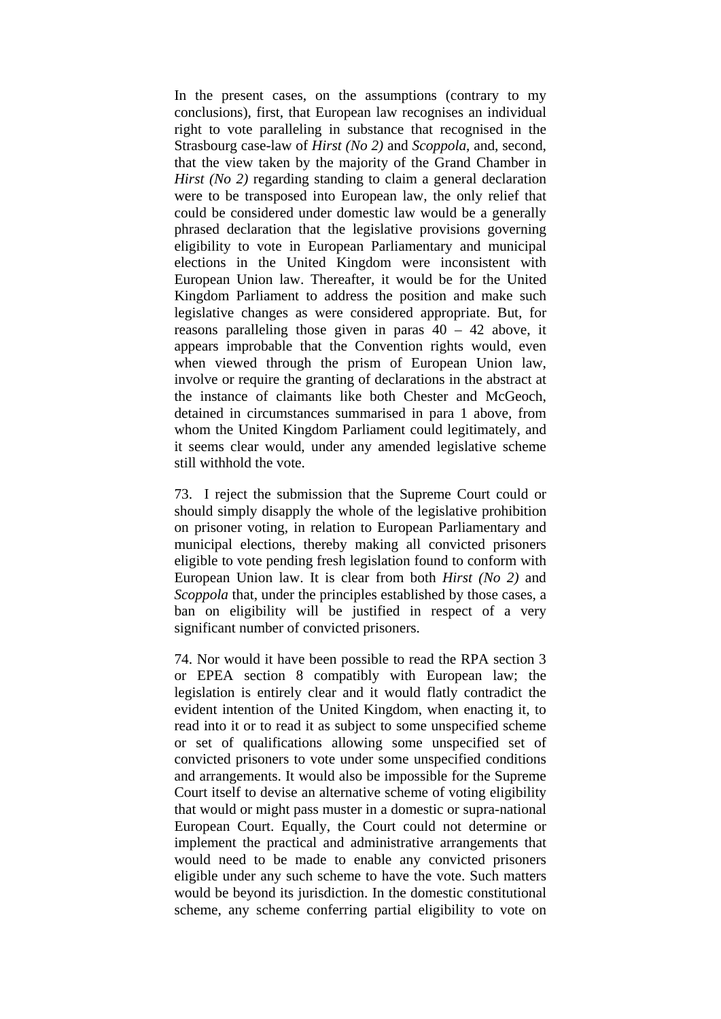In the present cases, on the assumptions (contrary to my conclusions), first, that European law recognises an individual right to vote paralleling in substance that recognised in the Strasbourg case-law of *Hirst (No 2)* and *Scoppola*, and, second, that the view taken by the majority of the Grand Chamber in *Hirst (No 2)* regarding standing to claim a general declaration were to be transposed into European law, the only relief that could be considered under domestic law would be a generally phrased declaration that the legislative provisions governing eligibility to vote in European Parliamentary and municipal elections in the United Kingdom were inconsistent with European Union law. Thereafter, it would be for the United Kingdom Parliament to address the position and make such legislative changes as were considered appropriate. But, for reasons paralleling those given in paras 40 – 42 above, it appears improbable that the Convention rights would, even when viewed through the prism of European Union law, involve or require the granting of declarations in the abstract at the instance of claimants like both Chester and McGeoch, detained in circumstances summarised in para 1 above, from whom the United Kingdom Parliament could legitimately, and it seems clear would, under any amended legislative scheme still withhold the vote.

73. I reject the submission that the Supreme Court could or should simply disapply the whole of the legislative prohibition on prisoner voting, in relation to European Parliamentary and municipal elections, thereby making all convicted prisoners eligible to vote pending fresh legislation found to conform with European Union law. It is clear from both *Hirst (No 2)* and *Scoppola* that, under the principles established by those cases, a ban on eligibility will be justified in respect of a very significant number of convicted prisoners.

74. Nor would it have been possible to read the RPA section 3 or EPEA section 8 compatibly with European law; the legislation is entirely clear and it would flatly contradict the evident intention of the United Kingdom, when enacting it, to read into it or to read it as subject to some unspecified scheme or set of qualifications allowing some unspecified set of convicted prisoners to vote under some unspecified conditions and arrangements. It would also be impossible for the Supreme Court itself to devise an alternative scheme of voting eligibility that would or might pass muster in a domestic or supra-national European Court. Equally, the Court could not determine or implement the practical and administrative arrangements that would need to be made to enable any convicted prisoners eligible under any such scheme to have the vote. Such matters would be beyond its jurisdiction. In the domestic constitutional scheme, any scheme conferring partial eligibility to vote on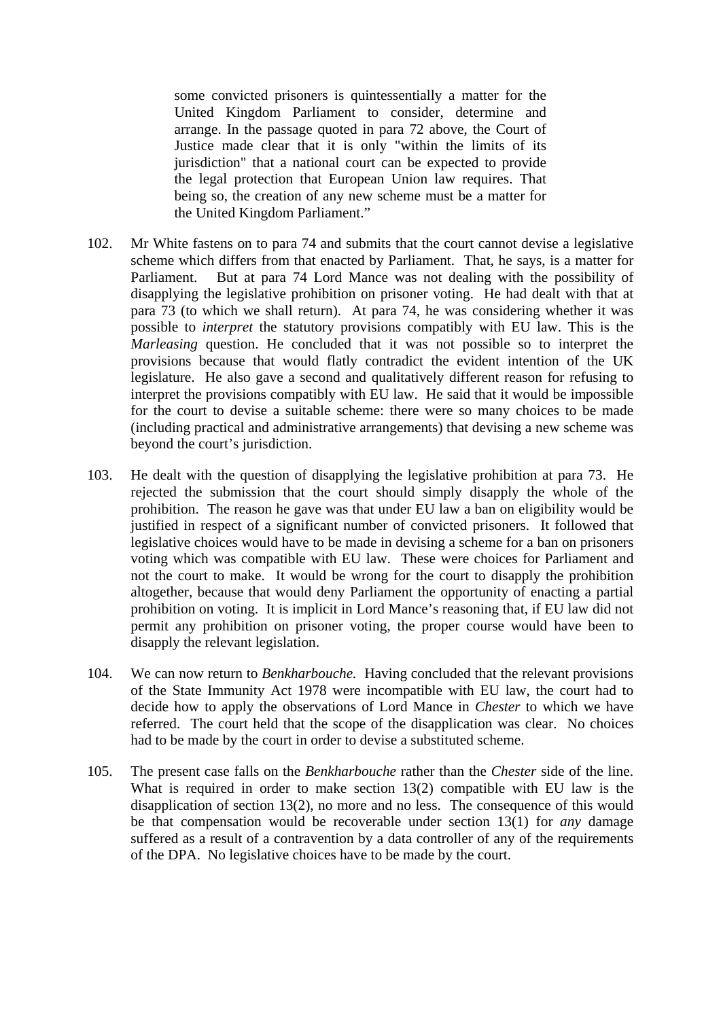some convicted prisoners is quintessentially a matter for the United Kingdom Parliament to consider, determine and arrange. In the passage quoted in para 72 above, the Court of Justice made clear that it is only "within the limits of its jurisdiction" that a national court can be expected to provide the legal protection that European Union law requires. That being so, the creation of any new scheme must be a matter for the United Kingdom Parliament."

- 102. Mr White fastens on to para 74 and submits that the court cannot devise a legislative scheme which differs from that enacted by Parliament. That, he says, is a matter for Parliament. But at para 74 Lord Mance was not dealing with the possibility of disapplying the legislative prohibition on prisoner voting. He had dealt with that at para 73 (to which we shall return). At para 74, he was considering whether it was possible to *interpret* the statutory provisions compatibly with EU law. This is the *Marleasing* question. He concluded that it was not possible so to interpret the provisions because that would flatly contradict the evident intention of the UK legislature. He also gave a second and qualitatively different reason for refusing to interpret the provisions compatibly with EU law. He said that it would be impossible for the court to devise a suitable scheme: there were so many choices to be made (including practical and administrative arrangements) that devising a new scheme was beyond the court's jurisdiction.
- 103. He dealt with the question of disapplying the legislative prohibition at para 73. He rejected the submission that the court should simply disapply the whole of the prohibition. The reason he gave was that under EU law a ban on eligibility would be justified in respect of a significant number of convicted prisoners. It followed that legislative choices would have to be made in devising a scheme for a ban on prisoners voting which was compatible with EU law. These were choices for Parliament and not the court to make. It would be wrong for the court to disapply the prohibition altogether, because that would deny Parliament the opportunity of enacting a partial prohibition on voting. It is implicit in Lord Mance's reasoning that, if EU law did not permit any prohibition on prisoner voting, the proper course would have been to disapply the relevant legislation.
- 104. We can now return to *Benkharbouche.* Having concluded that the relevant provisions of the State Immunity Act 1978 were incompatible with EU law, the court had to decide how to apply the observations of Lord Mance in *Chester* to which we have referred. The court held that the scope of the disapplication was clear. No choices had to be made by the court in order to devise a substituted scheme.
- 105. The present case falls on the *Benkharbouche* rather than the *Chester* side of the line. What is required in order to make section 13(2) compatible with EU law is the disapplication of section 13(2), no more and no less. The consequence of this would be that compensation would be recoverable under section 13(1) for *any* damage suffered as a result of a contravention by a data controller of any of the requirements of the DPA. No legislative choices have to be made by the court.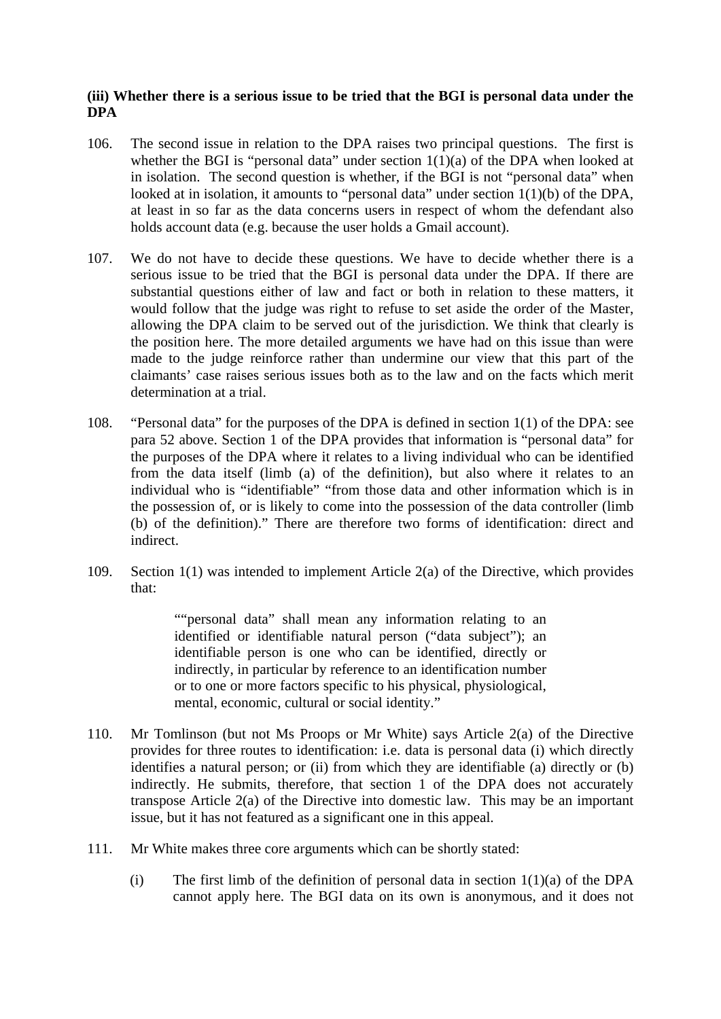# **(iii) Whether there is a serious issue to be tried that the BGI is personal data under the DPA**

- 106. The second issue in relation to the DPA raises two principal questions. The first is whether the BGI is "personal data" under section  $1(1)(a)$  of the DPA when looked at in isolation. The second question is whether, if the BGI is not "personal data" when looked at in isolation, it amounts to "personal data" under section 1(1)(b) of the DPA, at least in so far as the data concerns users in respect of whom the defendant also holds account data (e.g. because the user holds a Gmail account).
- 107. We do not have to decide these questions. We have to decide whether there is a serious issue to be tried that the BGI is personal data under the DPA. If there are substantial questions either of law and fact or both in relation to these matters, it would follow that the judge was right to refuse to set aside the order of the Master, allowing the DPA claim to be served out of the jurisdiction. We think that clearly is the position here. The more detailed arguments we have had on this issue than were made to the judge reinforce rather than undermine our view that this part of the claimants' case raises serious issues both as to the law and on the facts which merit determination at a trial.
- 108. "Personal data" for the purposes of the DPA is defined in section 1(1) of the DPA: see para 52 above. Section 1 of the DPA provides that information is "personal data" for the purposes of the DPA where it relates to a living individual who can be identified from the data itself (limb (a) of the definition), but also where it relates to an individual who is "identifiable" "from those data and other information which is in the possession of, or is likely to come into the possession of the data controller (limb (b) of the definition)." There are therefore two forms of identification: direct and indirect.
- 109. Section 1(1) was intended to implement Article 2(a) of the Directive, which provides that:

""personal data" shall mean any information relating to an identified or identifiable natural person ("data subject"); an identifiable person is one who can be identified, directly or indirectly, in particular by reference to an identification number or to one or more factors specific to his physical, physiological, mental, economic, cultural or social identity."

- 110. Mr Tomlinson (but not Ms Proops or Mr White) says Article 2(a) of the Directive provides for three routes to identification: i.e. data is personal data (i) which directly identifies a natural person; or (ii) from which they are identifiable (a) directly or  $(b)$ indirectly. He submits, therefore, that section 1 of the DPA does not accurately transpose Article 2(a) of the Directive into domestic law. This may be an important issue, but it has not featured as a significant one in this appeal.
- 111. Mr White makes three core arguments which can be shortly stated:
	- (i) The first limb of the definition of personal data in section  $1(1)(a)$  of the DPA cannot apply here. The BGI data on its own is anonymous, and it does not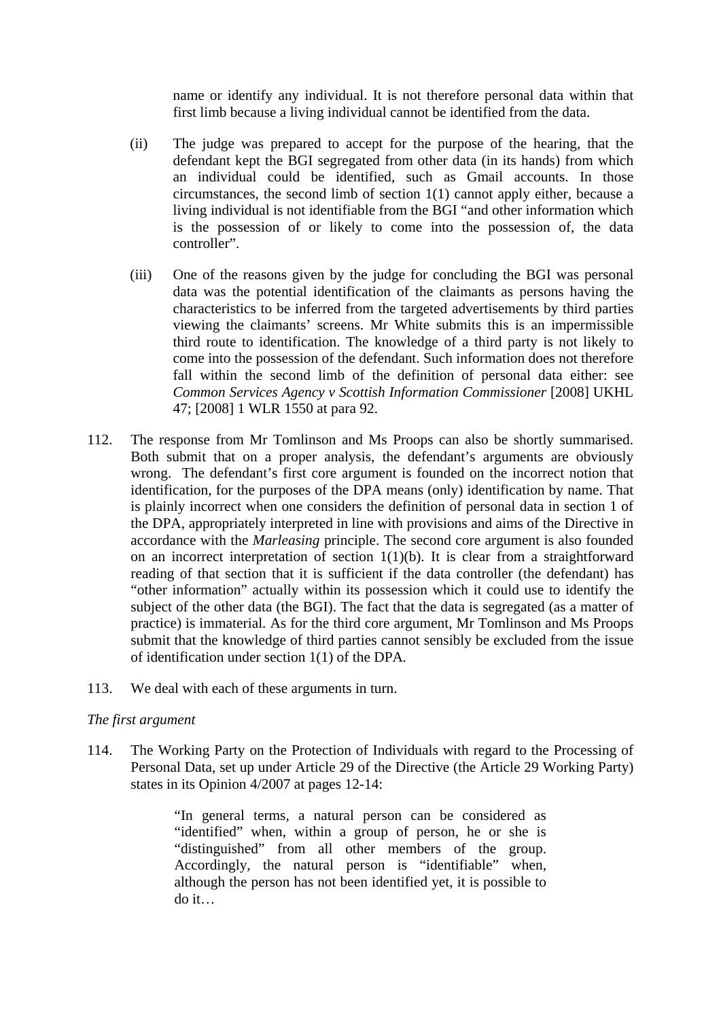name or identify any individual. It is not therefore personal data within that first limb because a living individual cannot be identified from the data.

- (ii) The judge was prepared to accept for the purpose of the hearing, that the defendant kept the BGI segregated from other data (in its hands) from which an individual could be identified, such as Gmail accounts. In those circumstances, the second limb of section 1(1) cannot apply either, because a living individual is not identifiable from the BGI "and other information which is the possession of or likely to come into the possession of, the data controller".
- (iii) One of the reasons given by the judge for concluding the BGI was personal data was the potential identification of the claimants as persons having the characteristics to be inferred from the targeted advertisements by third parties viewing the claimants' screens. Mr White submits this is an impermissible third route to identification. The knowledge of a third party is not likely to come into the possession of the defendant. Such information does not therefore fall within the second limb of the definition of personal data either: see *Common Services Agency v Scottish Information Commissioner* [2008] UKHL 47; [2008] 1 WLR 1550 at para 92.
- 112. The response from Mr Tomlinson and Ms Proops can also be shortly summarised. Both submit that on a proper analysis, the defendant's arguments are obviously wrong. The defendant's first core argument is founded on the incorrect notion that identification, for the purposes of the DPA means (only) identification by name. That is plainly incorrect when one considers the definition of personal data in section 1 of the DPA, appropriately interpreted in line with provisions and aims of the Directive in accordance with the *Marleasing* principle. The second core argument is also founded on an incorrect interpretation of section 1(1)(b). It is clear from a straightforward reading of that section that it is sufficient if the data controller (the defendant) has "other information" actually within its possession which it could use to identify the subject of the other data (the BGI). The fact that the data is segregated (as a matter of practice) is immaterial. As for the third core argument, Mr Tomlinson and Ms Proops submit that the knowledge of third parties cannot sensibly be excluded from the issue of identification under section 1(1) of the DPA*.*
- 113. We deal with each of these arguments in turn.

### *The first argument*

114. The Working Party on the Protection of Individuals with regard to the Processing of Personal Data, set up under Article 29 of the Directive (the Article 29 Working Party) states in its Opinion 4/2007 at pages 12-14:

> "In general terms, a natural person can be considered as "identified" when, within a group of person, he or she is "distinguished" from all other members of the group. Accordingly, the natural person is "identifiable" when, although the person has not been identified yet, it is possible to do it…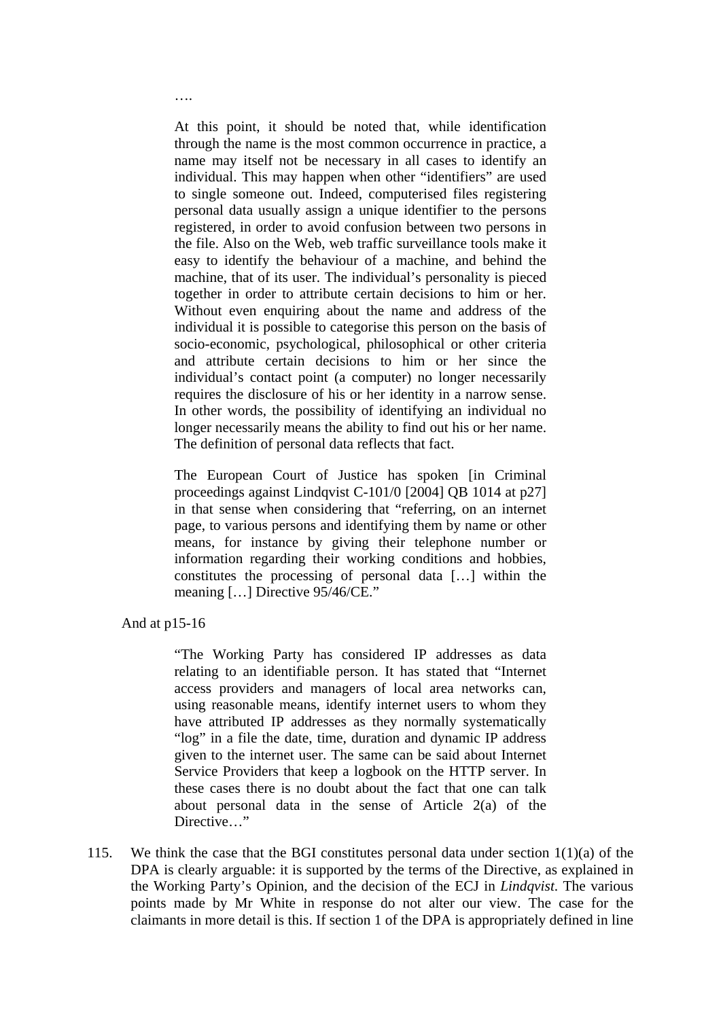At this point, it should be noted that, while identification through the name is the most common occurrence in practice, a name may itself not be necessary in all cases to identify an individual. This may happen when other "identifiers" are used to single someone out. Indeed, computerised files registering personal data usually assign a unique identifier to the persons registered, in order to avoid confusion between two persons in the file. Also on the Web, web traffic surveillance tools make it easy to identify the behaviour of a machine, and behind the machine, that of its user. The individual's personality is pieced together in order to attribute certain decisions to him or her. Without even enquiring about the name and address of the individual it is possible to categorise this person on the basis of socio-economic, psychological, philosophical or other criteria and attribute certain decisions to him or her since the individual's contact point (a computer) no longer necessarily requires the disclosure of his or her identity in a narrow sense. In other words, the possibility of identifying an individual no longer necessarily means the ability to find out his or her name. The definition of personal data reflects that fact.

The European Court of Justice has spoken [in Criminal proceedings against Lindqvist C-101/0 [2004] QB 1014 at p27] in that sense when considering that "referring, on an internet page, to various persons and identifying them by name or other means, for instance by giving their telephone number or information regarding their working conditions and hobbies, constitutes the processing of personal data […] within the meaning […] Directive 95/46/CE."

And at p15-16

….

"The Working Party has considered IP addresses as data relating to an identifiable person. It has stated that "Internet access providers and managers of local area networks can, using reasonable means, identify internet users to whom they have attributed IP addresses as they normally systematically "log" in a file the date, time, duration and dynamic IP address given to the internet user. The same can be said about Internet Service Providers that keep a logbook on the HTTP server. In these cases there is no doubt about the fact that one can talk about personal data in the sense of Article 2(a) of the Directive..."

115. We think the case that the BGI constitutes personal data under section 1(1)(a) of the DPA is clearly arguable: it is supported by the terms of the Directive, as explained in the Working Party's Opinion, and the decision of the ECJ in *Lindqvist*. The various points made by Mr White in response do not alter our view. The case for the claimants in more detail is this. If section 1 of the DPA is appropriately defined in line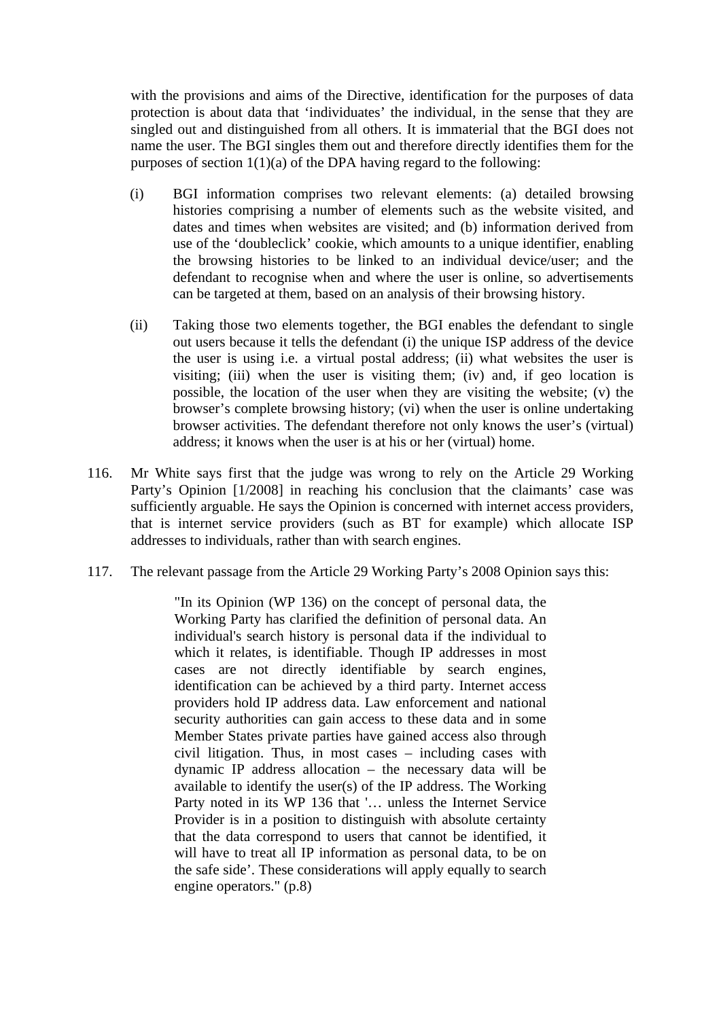with the provisions and aims of the Directive, identification for the purposes of data protection is about data that 'individuates' the individual, in the sense that they are singled out and distinguished from all others. It is immaterial that the BGI does not name the user. The BGI singles them out and therefore directly identifies them for the purposes of section  $1(1)(a)$  of the DPA having regard to the following:

- (i) BGI information comprises two relevant elements: (a) detailed browsing histories comprising a number of elements such as the website visited, and dates and times when websites are visited; and (b) information derived from use of the 'doubleclick' cookie, which amounts to a unique identifier, enabling the browsing histories to be linked to an individual device/user; and the defendant to recognise when and where the user is online, so advertisements can be targeted at them, based on an analysis of their browsing history.
- (ii) Taking those two elements together, the BGI enables the defendant to single out users because it tells the defendant (i) the unique ISP address of the device the user is using i.e. a virtual postal address; (ii) what websites the user is visiting; (iii) when the user is visiting them; (iv) and, if geo location is possible, the location of the user when they are visiting the website; (v) the browser's complete browsing history; (vi) when the user is online undertaking browser activities. The defendant therefore not only knows the user's (virtual) address; it knows when the user is at his or her (virtual) home.
- 116. Mr White says first that the judge was wrong to rely on the Article 29 Working Party's Opinion [1/2008] in reaching his conclusion that the claimants' case was sufficiently arguable. He says the Opinion is concerned with internet access providers, that is internet service providers (such as BT for example) which allocate ISP addresses to individuals, rather than with search engines.
- 117. The relevant passage from the Article 29 Working Party's 2008 Opinion says this:

"In its Opinion (WP 136) on the concept of personal data, the Working Party has clarified the definition of personal data. An individual's search history is personal data if the individual to which it relates, is identifiable. Though IP addresses in most cases are not directly identifiable by search engines, identification can be achieved by a third party. Internet access providers hold IP address data. Law enforcement and national security authorities can gain access to these data and in some Member States private parties have gained access also through civil litigation. Thus, in most cases – including cases with dynamic IP address allocation – the necessary data will be available to identify the user(s) of the IP address. The Working Party noted in its WP 136 that '… unless the Internet Service Provider is in a position to distinguish with absolute certainty that the data correspond to users that cannot be identified, it will have to treat all IP information as personal data, to be on the safe side'. These considerations will apply equally to search engine operators." (p.8)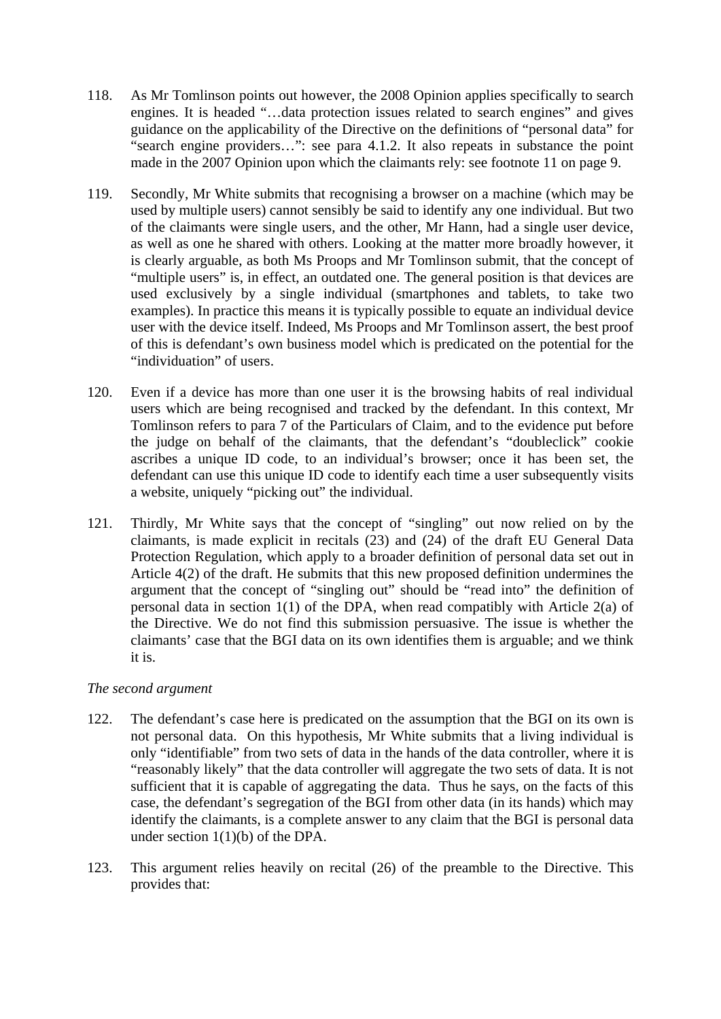- 118. As Mr Tomlinson points out however, the 2008 Opinion applies specifically to search engines. It is headed "…data protection issues related to search engines" and gives guidance on the applicability of the Directive on the definitions of "personal data" for "search engine providers…": see para 4.1.2. It also repeats in substance the point made in the 2007 Opinion upon which the claimants rely: see footnote 11 on page 9.
- 119. Secondly, Mr White submits that recognising a browser on a machine (which may be used by multiple users) cannot sensibly be said to identify any one individual. But two of the claimants were single users, and the other, Mr Hann, had a single user device, as well as one he shared with others. Looking at the matter more broadly however, it is clearly arguable, as both Ms Proops and Mr Tomlinson submit, that the concept of "multiple users" is, in effect, an outdated one. The general position is that devices are used exclusively by a single individual (smartphones and tablets, to take two examples). In practice this means it is typically possible to equate an individual device user with the device itself. Indeed, Ms Proops and Mr Tomlinson assert, the best proof of this is defendant's own business model which is predicated on the potential for the "individuation" of users.
- 120. Even if a device has more than one user it is the browsing habits of real individual users which are being recognised and tracked by the defendant. In this context, Mr Tomlinson refers to para 7 of the Particulars of Claim, and to the evidence put before the judge on behalf of the claimants, that the defendant's "doubleclick" cookie ascribes a unique ID code, to an individual's browser; once it has been set, the defendant can use this unique ID code to identify each time a user subsequently visits a website, uniquely "picking out" the individual.
- 121. Thirdly, Mr White says that the concept of "singling" out now relied on by the claimants, is made explicit in recitals (23) and (24) of the draft EU General Data Protection Regulation, which apply to a broader definition of personal data set out in Article 4(2) of the draft. He submits that this new proposed definition undermines the argument that the concept of "singling out" should be "read into" the definition of personal data in section  $1(1)$  of the DPA, when read compatibly with Article  $2(a)$  of the Directive. We do not find this submission persuasive. The issue is whether the claimants' case that the BGI data on its own identifies them is arguable; and we think it is.

# *The second argument*

- 122. The defendant's case here is predicated on the assumption that the BGI on its own is not personal data. On this hypothesis, Mr White submits that a living individual is only "identifiable" from two sets of data in the hands of the data controller, where it is "reasonably likely" that the data controller will aggregate the two sets of data. It is not sufficient that it is capable of aggregating the data. Thus he says, on the facts of this case, the defendant's segregation of the BGI from other data (in its hands) which may identify the claimants, is a complete answer to any claim that the BGI is personal data under section 1(1)(b) of the DPA.
- 123. This argument relies heavily on recital (26) of the preamble to the Directive. This provides that: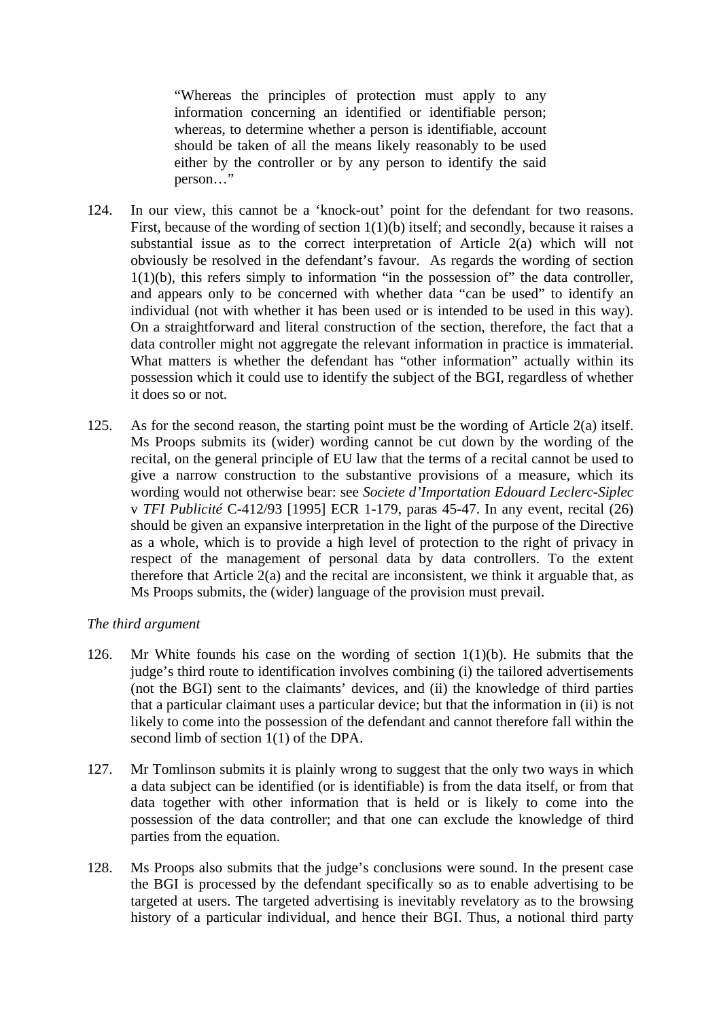"Whereas the principles of protection must apply to any information concerning an identified or identifiable person; whereas, to determine whether a person is identifiable, account should be taken of all the means likely reasonably to be used either by the controller or by any person to identify the said person…"

- 124. In our view, this cannot be a 'knock-out' point for the defendant for two reasons. First, because of the wording of section 1(1)(b) itself; and secondly, because it raises a substantial issue as to the correct interpretation of Article 2(a) which will not obviously be resolved in the defendant's favour. As regards the wording of section  $1(1)(b)$ , this refers simply to information "in the possession of" the data controller, and appears only to be concerned with whether data "can be used" to identify an individual (not with whether it has been used or is intended to be used in this way). On a straightforward and literal construction of the section, therefore, the fact that a data controller might not aggregate the relevant information in practice is immaterial. What matters is whether the defendant has "other information" actually within its possession which it could use to identify the subject of the BGI, regardless of whether it does so or not.
- 125. As for the second reason, the starting point must be the wording of Article 2(a) itself. Ms Proops submits its (wider) wording cannot be cut down by the wording of the recital, on the general principle of EU law that the terms of a recital cannot be used to give a narrow construction to the substantive provisions of a measure, which its wording would not otherwise bear: see *Societe d'Importation Edouard Leclerc-Siplec* v *TFI Publicité* C-412/93 [1995] ECR 1-179, paras 45-47. In any event, recital (26) should be given an expansive interpretation in the light of the purpose of the Directive as a whole, which is to provide a high level of protection to the right of privacy in respect of the management of personal data by data controllers. To the extent therefore that Article 2(a) and the recital are inconsistent, we think it arguable that, as Ms Proops submits, the (wider) language of the provision must prevail.

### *The third argument*

- 126. Mr White founds his case on the wording of section 1(1)(b). He submits that the judge's third route to identification involves combining (i) the tailored advertisements (not the BGI) sent to the claimants' devices, and (ii) the knowledge of third parties that a particular claimant uses a particular device; but that the information in (ii) is not likely to come into the possession of the defendant and cannot therefore fall within the second limb of section 1(1) of the DPA.
- 127. Mr Tomlinson submits it is plainly wrong to suggest that the only two ways in which a data subject can be identified (or is identifiable) is from the data itself, or from that data together with other information that is held or is likely to come into the possession of the data controller; and that one can exclude the knowledge of third parties from the equation.
- 128. Ms Proops also submits that the judge's conclusions were sound. In the present case the BGI is processed by the defendant specifically so as to enable advertising to be targeted at users. The targeted advertising is inevitably revelatory as to the browsing history of a particular individual, and hence their BGI. Thus, a notional third party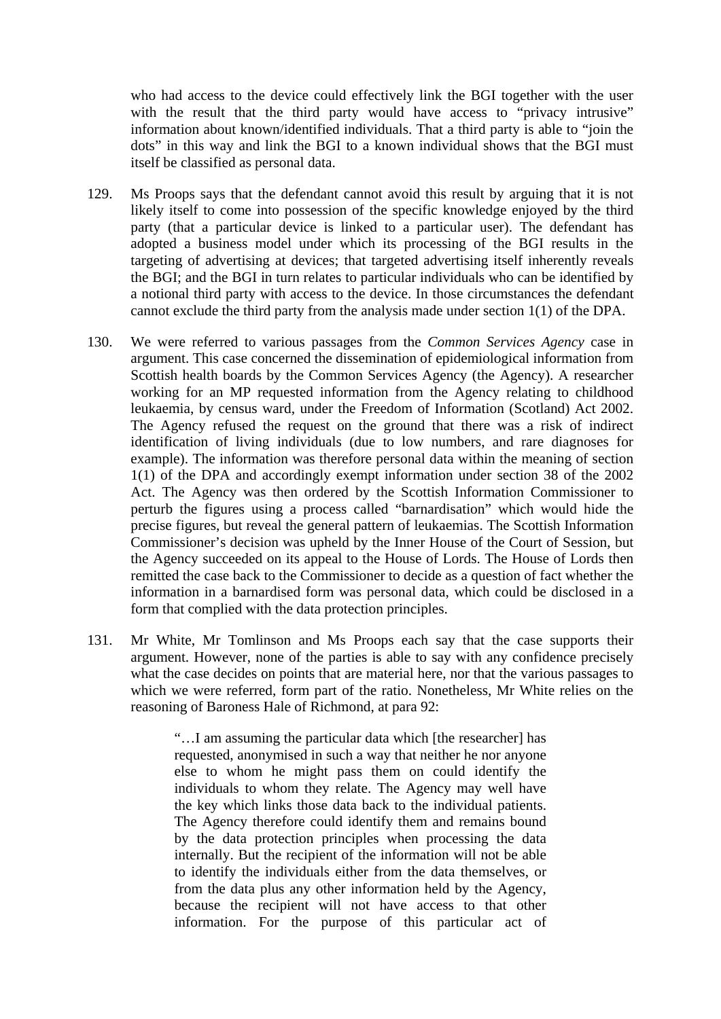who had access to the device could effectively link the BGI together with the user with the result that the third party would have access to "privacy intrusive" information about known/identified individuals. That a third party is able to "join the dots" in this way and link the BGI to a known individual shows that the BGI must itself be classified as personal data.

- 129. Ms Proops says that the defendant cannot avoid this result by arguing that it is not likely itself to come into possession of the specific knowledge enjoyed by the third party (that a particular device is linked to a particular user). The defendant has adopted a business model under which its processing of the BGI results in the targeting of advertising at devices; that targeted advertising itself inherently reveals the BGI; and the BGI in turn relates to particular individuals who can be identified by a notional third party with access to the device. In those circumstances the defendant cannot exclude the third party from the analysis made under section 1(1) of the DPA.
- 130. We were referred to various passages from the *Common Services Agency* case in argument. This case concerned the dissemination of epidemiological information from Scottish health boards by the Common Services Agency (the Agency). A researcher working for an MP requested information from the Agency relating to childhood leukaemia, by census ward, under the Freedom of Information (Scotland) Act 2002. The Agency refused the request on the ground that there was a risk of indirect identification of living individuals (due to low numbers, and rare diagnoses for example). The information was therefore personal data within the meaning of section 1(1) of the DPA and accordingly exempt information under section 38 of the 2002 Act. The Agency was then ordered by the Scottish Information Commissioner to perturb the figures using a process called "barnardisation" which would hide the precise figures, but reveal the general pattern of leukaemias. The Scottish Information Commissioner's decision was upheld by the Inner House of the Court of Session, but the Agency succeeded on its appeal to the House of Lords. The House of Lords then remitted the case back to the Commissioner to decide as a question of fact whether the information in a barnardised form was personal data, which could be disclosed in a form that complied with the data protection principles.
- 131. Mr White, Mr Tomlinson and Ms Proops each say that the case supports their argument. However, none of the parties is able to say with any confidence precisely what the case decides on points that are material here, nor that the various passages to which we were referred, form part of the ratio. Nonetheless, Mr White relies on the reasoning of Baroness Hale of Richmond, at para 92:

"…I am assuming the particular data which [the researcher] has requested, anonymised in such a way that neither he nor anyone else to whom he might pass them on could identify the individuals to whom they relate. The Agency may well have the key which links those data back to the individual patients. The Agency therefore could identify them and remains bound by the data protection principles when processing the data internally. But the recipient of the information will not be able to identify the individuals either from the data themselves, or from the data plus any other information held by the Agency, because the recipient will not have access to that other information. For the purpose of this particular act of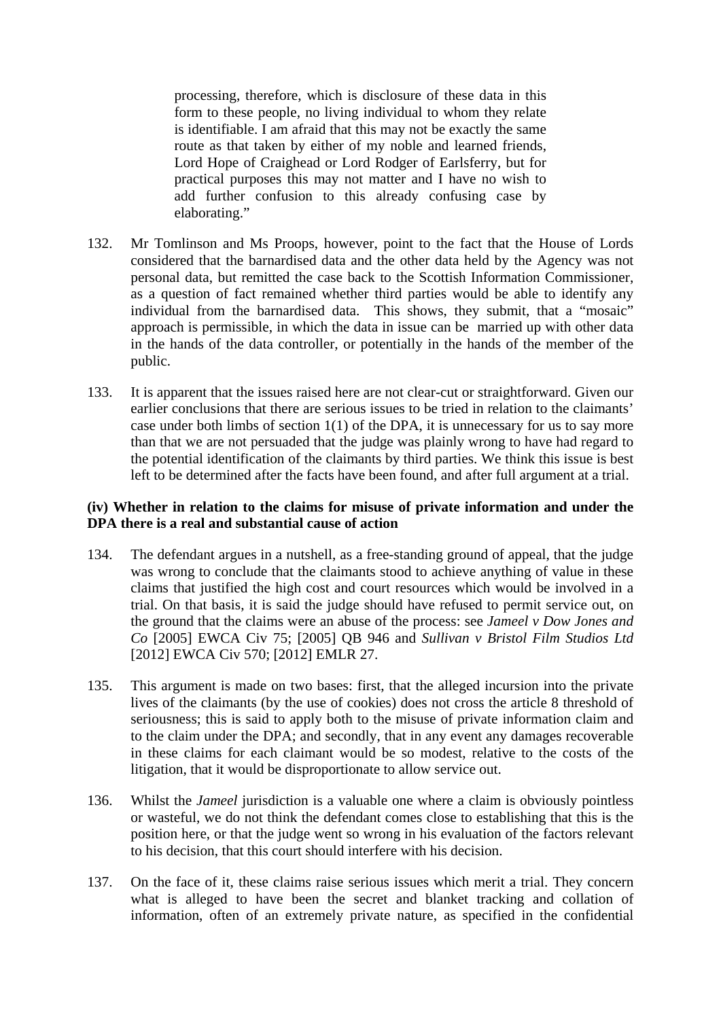processing, therefore, which is disclosure of these data in this form to these people, no living individual to whom they relate is identifiable. I am afraid that this may not be exactly the same route as that taken by either of my noble and learned friends, Lord Hope of Craighead or Lord Rodger of Earlsferry, but for practical purposes this may not matter and I have no wish to add further confusion to this already confusing case by elaborating."

- 132. Mr Tomlinson and Ms Proops, however, point to the fact that the House of Lords considered that the barnardised data and the other data held by the Agency was not personal data, but remitted the case back to the Scottish Information Commissioner, as a question of fact remained whether third parties would be able to identify any individual from the barnardised data. This shows, they submit, that a "mosaic" approach is permissible, in which the data in issue can be married up with other data in the hands of the data controller, or potentially in the hands of the member of the public.
- 133. It is apparent that the issues raised here are not clear-cut or straightforward. Given our earlier conclusions that there are serious issues to be tried in relation to the claimants' case under both limbs of section  $1(1)$  of the DPA, it is unnecessary for us to say more than that we are not persuaded that the judge was plainly wrong to have had regard to the potential identification of the claimants by third parties. We think this issue is best left to be determined after the facts have been found, and after full argument at a trial.

### **(iv) Whether in relation to the claims for misuse of private information and under the DPA there is a real and substantial cause of action**

- 134. The defendant argues in a nutshell, as a free-standing ground of appeal, that the judge was wrong to conclude that the claimants stood to achieve anything of value in these claims that justified the high cost and court resources which would be involved in a trial. On that basis, it is said the judge should have refused to permit service out, on the ground that the claims were an abuse of the process: see *Jameel v Dow Jones and Co* [2005] EWCA Civ 75; [2005] QB 946 and *Sullivan v Bristol Film Studios Ltd*  [2012] EWCA Civ 570; [2012] EMLR 27.
- 135. This argument is made on two bases: first, that the alleged incursion into the private lives of the claimants (by the use of cookies) does not cross the article 8 threshold of seriousness; this is said to apply both to the misuse of private information claim and to the claim under the DPA; and secondly, that in any event any damages recoverable in these claims for each claimant would be so modest, relative to the costs of the litigation, that it would be disproportionate to allow service out.
- 136. Whilst the *Jameel* jurisdiction is a valuable one where a claim is obviously pointless or wasteful, we do not think the defendant comes close to establishing that this is the position here, or that the judge went so wrong in his evaluation of the factors relevant to his decision, that this court should interfere with his decision.
- 137. On the face of it, these claims raise serious issues which merit a trial. They concern what is alleged to have been the secret and blanket tracking and collation of information, often of an extremely private nature, as specified in the confidential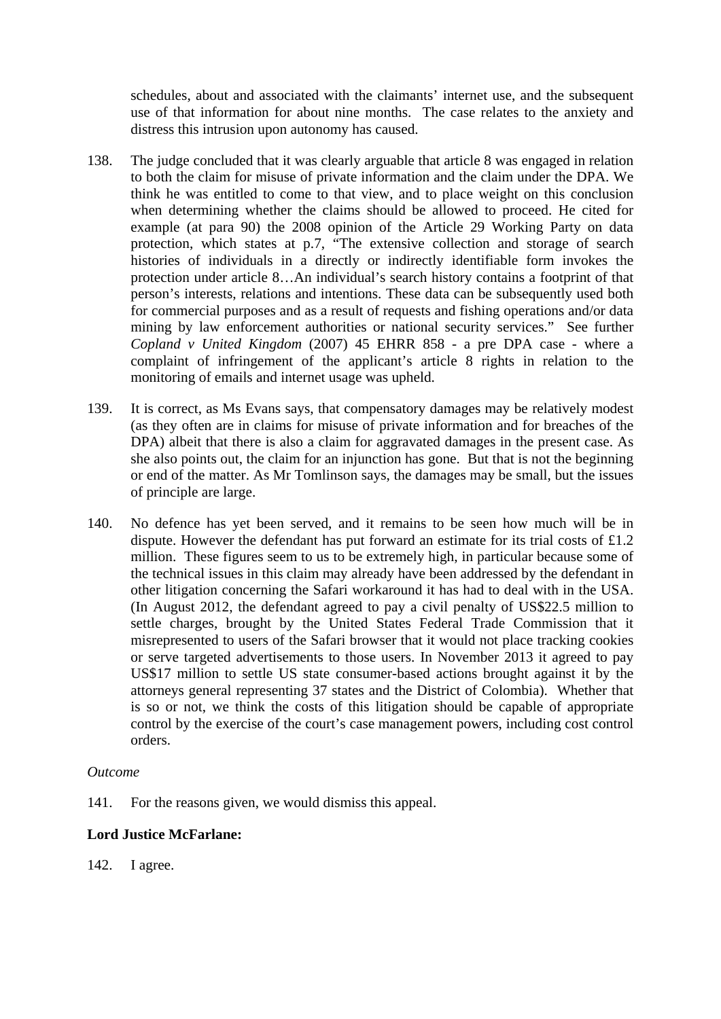schedules, about and associated with the claimants' internet use, and the subsequent use of that information for about nine months. The case relates to the anxiety and distress this intrusion upon autonomy has caused.

- 138. The judge concluded that it was clearly arguable that article 8 was engaged in relation to both the claim for misuse of private information and the claim under the DPA. We think he was entitled to come to that view, and to place weight on this conclusion when determining whether the claims should be allowed to proceed. He cited for example (at para 90) the 2008 opinion of the Article 29 Working Party on data protection, which states at p.7, "The extensive collection and storage of search histories of individuals in a directly or indirectly identifiable form invokes the protection under article 8…An individual's search history contains a footprint of that person's interests, relations and intentions. These data can be subsequently used both for commercial purposes and as a result of requests and fishing operations and/or data mining by law enforcement authorities or national security services." See further *Copland v United Kingdom* (2007) 45 EHRR 858 - a pre DPA case - where a complaint of infringement of the applicant's article 8 rights in relation to the monitoring of emails and internet usage was upheld.
- 139. It is correct, as Ms Evans says, that compensatory damages may be relatively modest (as they often are in claims for misuse of private information and for breaches of the DPA) albeit that there is also a claim for aggravated damages in the present case. As she also points out, the claim for an injunction has gone. But that is not the beginning or end of the matter. As Mr Tomlinson says, the damages may be small, but the issues of principle are large.
- 140. No defence has yet been served, and it remains to be seen how much will be in dispute. However the defendant has put forward an estimate for its trial costs of £1.2 million. These figures seem to us to be extremely high, in particular because some of the technical issues in this claim may already have been addressed by the defendant in other litigation concerning the Safari workaround it has had to deal with in the USA. (In August 2012, the defendant agreed to pay a civil penalty of US\$22.5 million to settle charges, brought by the United States Federal Trade Commission that it misrepresented to users of the Safari browser that it would not place tracking cookies or serve targeted advertisements to those users. In November 2013 it agreed to pay US\$17 million to settle US state consumer-based actions brought against it by the attorneys general representing 37 states and the District of Colombia). Whether that is so or not, we think the costs of this litigation should be capable of appropriate control by the exercise of the court's case management powers, including cost control orders.

### *Outcome*

141. For the reasons given, we would dismiss this appeal.

# **Lord Justice McFarlane:**

142. I agree.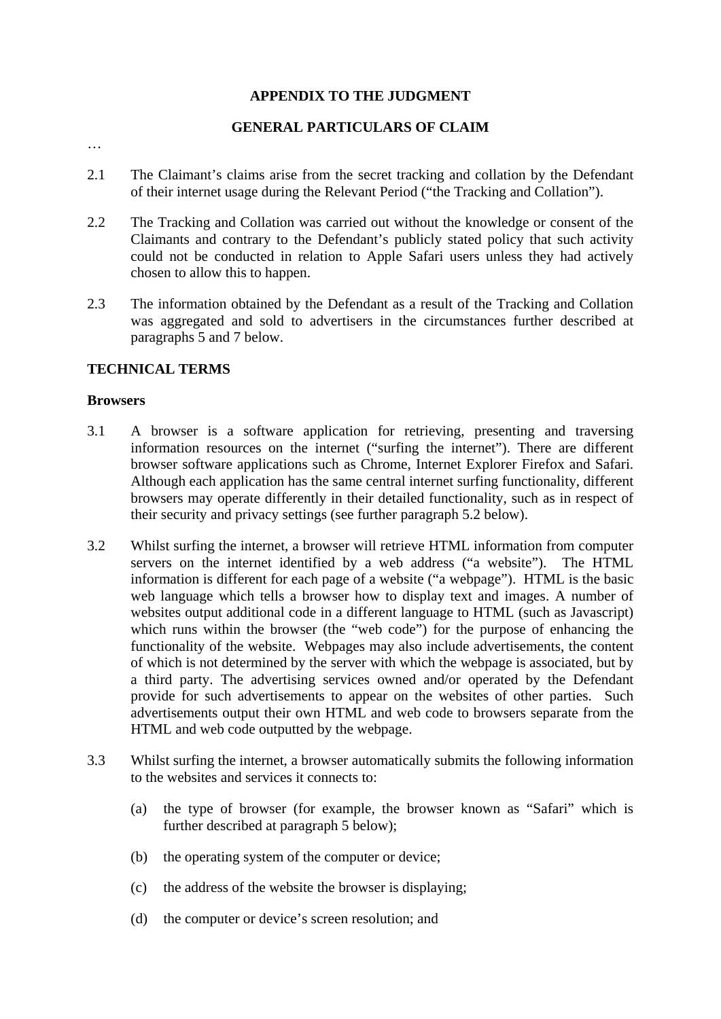# **APPENDIX TO THE JUDGMENT**

# **GENERAL PARTICULARS OF CLAIM**

…

- 2.1 The Claimant's claims arise from the secret tracking and collation by the Defendant of their internet usage during the Relevant Period ("the Tracking and Collation").
- 2.2 The Tracking and Collation was carried out without the knowledge or consent of the Claimants and contrary to the Defendant's publicly stated policy that such activity could not be conducted in relation to Apple Safari users unless they had actively chosen to allow this to happen.
- 2.3 The information obtained by the Defendant as a result of the Tracking and Collation was aggregated and sold to advertisers in the circumstances further described at paragraphs 5 and 7 below.

# **TECHNICAL TERMS**

#### **Browsers**

- 3.1 A browser is a software application for retrieving, presenting and traversing information resources on the internet ("surfing the internet"). There are different browser software applications such as Chrome, Internet Explorer Firefox and Safari. Although each application has the same central internet surfing functionality, different browsers may operate differently in their detailed functionality, such as in respect of their security and privacy settings (see further paragraph 5.2 below).
- 3.2 Whilst surfing the internet, a browser will retrieve HTML information from computer servers on the internet identified by a web address ("a website"). The HTML information is different for each page of a website ("a webpage"). HTML is the basic web language which tells a browser how to display text and images. A number of websites output additional code in a different language to HTML (such as Javascript) which runs within the browser (the "web code") for the purpose of enhancing the functionality of the website. Webpages may also include advertisements, the content of which is not determined by the server with which the webpage is associated, but by a third party. The advertising services owned and/or operated by the Defendant provide for such advertisements to appear on the websites of other parties. Such advertisements output their own HTML and web code to browsers separate from the HTML and web code outputted by the webpage.
- 3.3 Whilst surfing the internet, a browser automatically submits the following information to the websites and services it connects to:
	- (a) the type of browser (for example, the browser known as "Safari" which is further described at paragraph 5 below);
	- (b) the operating system of the computer or device;
	- (c) the address of the website the browser is displaying;
	- (d) the computer or device's screen resolution; and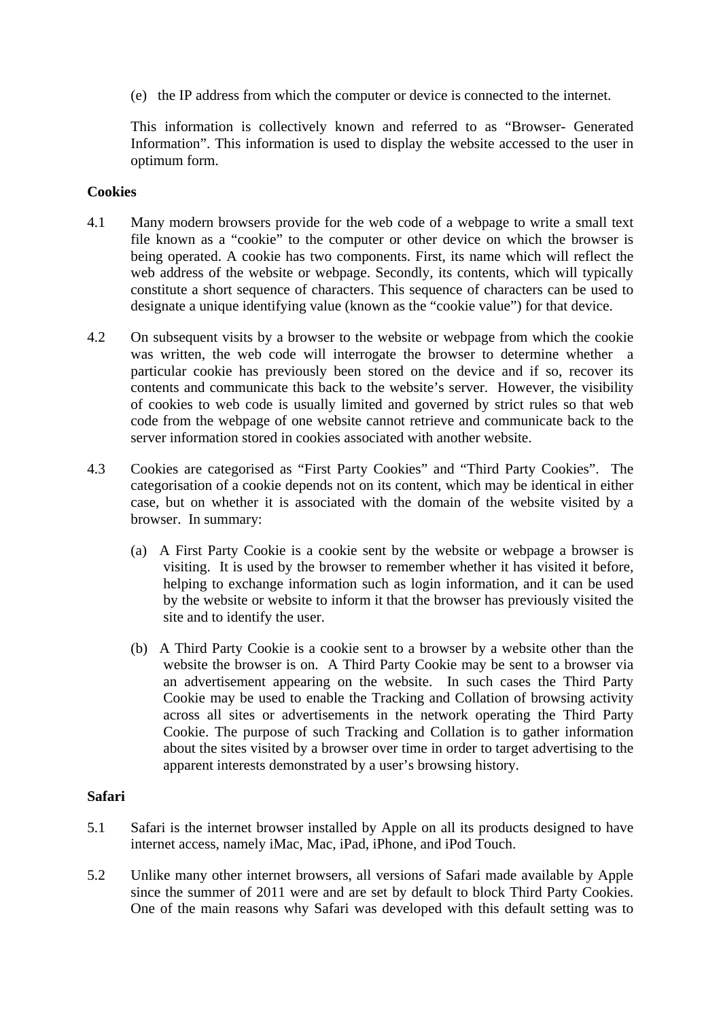(e) the IP address from which the computer or device is connected to the internet.

This information is collectively known and referred to as "Browser- Generated Information". This information is used to display the website accessed to the user in optimum form.

### **Cookies**

- 4.1 Many modern browsers provide for the web code of a webpage to write a small text file known as a "cookie" to the computer or other device on which the browser is being operated. A cookie has two components. First, its name which will reflect the web address of the website or webpage. Secondly, its contents, which will typically constitute a short sequence of characters. This sequence of characters can be used to designate a unique identifying value (known as the "cookie value") for that device.
- 4.2 On subsequent visits by a browser to the website or webpage from which the cookie was written, the web code will interrogate the browser to determine whether a particular cookie has previously been stored on the device and if so, recover its contents and communicate this back to the website's server. However, the visibility of cookies to web code is usually limited and governed by strict rules so that web code from the webpage of one website cannot retrieve and communicate back to the server information stored in cookies associated with another website.
- 4.3 Cookies are categorised as "First Party Cookies" and "Third Party Cookies". The categorisation of a cookie depends not on its content, which may be identical in either case, but on whether it is associated with the domain of the website visited by a browser. In summary:
	- (a) A First Party Cookie is a cookie sent by the website or webpage a browser is visiting. It is used by the browser to remember whether it has visited it before, helping to exchange information such as login information, and it can be used by the website or website to inform it that the browser has previously visited the site and to identify the user.
	- (b) A Third Party Cookie is a cookie sent to a browser by a website other than the website the browser is on. A Third Party Cookie may be sent to a browser via an advertisement appearing on the website. In such cases the Third Party Cookie may be used to enable the Tracking and Collation of browsing activity across all sites or advertisements in the network operating the Third Party Cookie. The purpose of such Tracking and Collation is to gather information about the sites visited by a browser over time in order to target advertising to the apparent interests demonstrated by a user's browsing history.

### **Safari**

- 5.1 Safari is the internet browser installed by Apple on all its products designed to have internet access, namely iMac, Mac, iPad, iPhone, and iPod Touch.
- 5.2 Unlike many other internet browsers, all versions of Safari made available by Apple since the summer of 2011 were and are set by default to block Third Party Cookies. One of the main reasons why Safari was developed with this default setting was to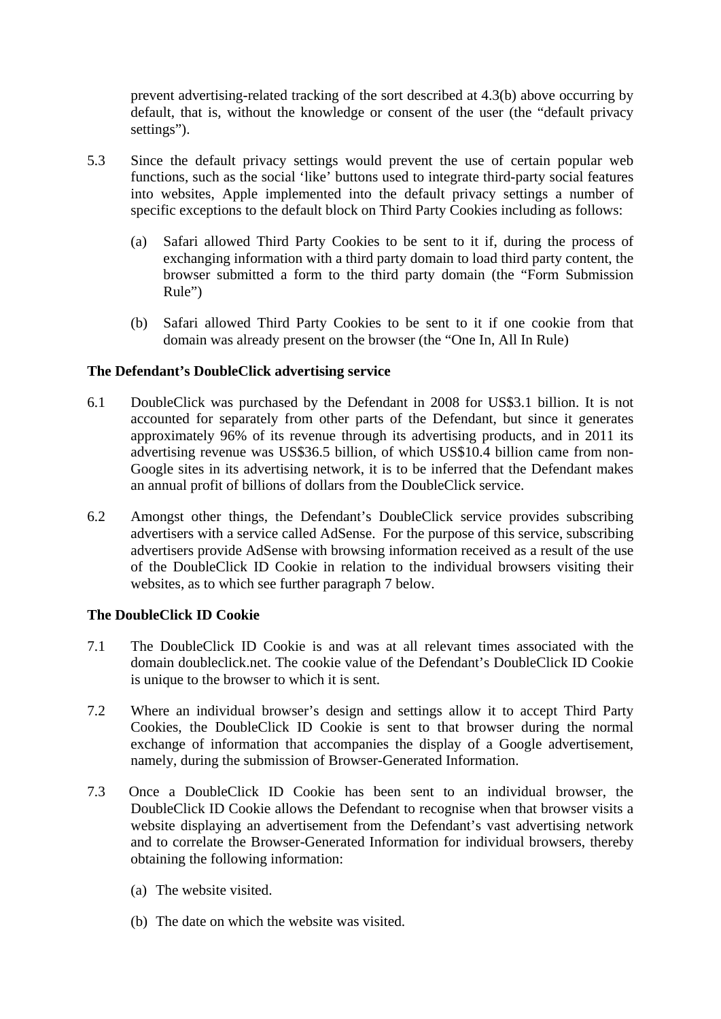prevent advertising-related tracking of the sort described at 4.3(b) above occurring by default, that is, without the knowledge or consent of the user (the "default privacy settings").

- 5.3 Since the default privacy settings would prevent the use of certain popular web functions, such as the social 'like' buttons used to integrate third-party social features into websites, Apple implemented into the default privacy settings a number of specific exceptions to the default block on Third Party Cookies including as follows:
	- (a) Safari allowed Third Party Cookies to be sent to it if, during the process of exchanging information with a third party domain to load third party content, the browser submitted a form to the third party domain (the "Form Submission Rule")
	- (b) Safari allowed Third Party Cookies to be sent to it if one cookie from that domain was already present on the browser (the "One In, All In Rule)

# **The Defendant's DoubleClick advertising service**

- 6.1 DoubleClick was purchased by the Defendant in 2008 for US\$3.1 billion. It is not accounted for separately from other parts of the Defendant, but since it generates approximately 96% of its revenue through its advertising products, and in 2011 its advertising revenue was US\$36.5 billion, of which US\$10.4 billion came from non-Google sites in its advertising network, it is to be inferred that the Defendant makes an annual profit of billions of dollars from the DoubleClick service.
- 6.2 Amongst other things, the Defendant's DoubleClick service provides subscribing advertisers with a service called AdSense. For the purpose of this service, subscribing advertisers provide AdSense with browsing information received as a result of the use of the DoubleClick ID Cookie in relation to the individual browsers visiting their websites, as to which see further paragraph 7 below.

### **The DoubleClick ID Cookie**

- 7.1 The DoubleClick ID Cookie is and was at all relevant times associated with the domain doubleclick.net. The cookie value of the Defendant's DoubleClick ID Cookie is unique to the browser to which it is sent.
- 7.2 Where an individual browser's design and settings allow it to accept Third Party Cookies, the DoubleClick ID Cookie is sent to that browser during the normal exchange of information that accompanies the display of a Google advertisement, namely, during the submission of Browser-Generated Information.
- 7.3 Once a DoubleClick ID Cookie has been sent to an individual browser, the DoubleClick ID Cookie allows the Defendant to recognise when that browser visits a website displaying an advertisement from the Defendant's vast advertising network and to correlate the Browser-Generated Information for individual browsers, thereby obtaining the following information:
	- (a) The website visited.
	- (b) The date on which the website was visited.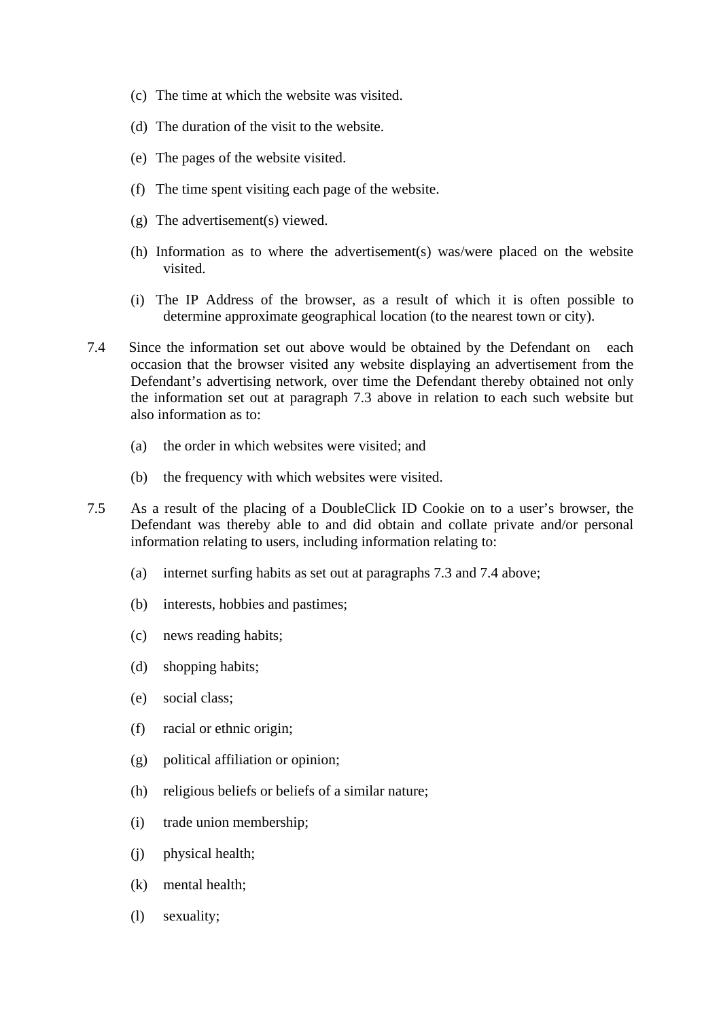- (c) The time at which the website was visited.
- (d) The duration of the visit to the website.
- (e) The pages of the website visited.
- (f) The time spent visiting each page of the website.
- (g) The advertisement(s) viewed.
- (h) Information as to where the advertisement(s) was/were placed on the website visited.
- (i) The IP Address of the browser, as a result of which it is often possible to determine approximate geographical location (to the nearest town or city).
- 7.4 Since the information set out above would be obtained by the Defendant on each occasion that the browser visited any website displaying an advertisement from the Defendant's advertising network, over time the Defendant thereby obtained not only the information set out at paragraph 7.3 above in relation to each such website but also information as to:
	- (a) the order in which websites were visited; and
	- (b) the frequency with which websites were visited.
- 7.5 As a result of the placing of a DoubleClick ID Cookie on to a user's browser, the Defendant was thereby able to and did obtain and collate private and/or personal information relating to users, including information relating to:
	- (a) internet surfing habits as set out at paragraphs 7.3 and 7.4 above;
	- (b) interests, hobbies and pastimes;
	- (c) news reading habits;
	- (d) shopping habits;
	- (e) social class;
	- (f) racial or ethnic origin;
	- (g) political affiliation or opinion;
	- (h) religious beliefs or beliefs of a similar nature;
	- (i) trade union membership;
	- (j) physical health;
	- (k) mental health;
	- (l) sexuality;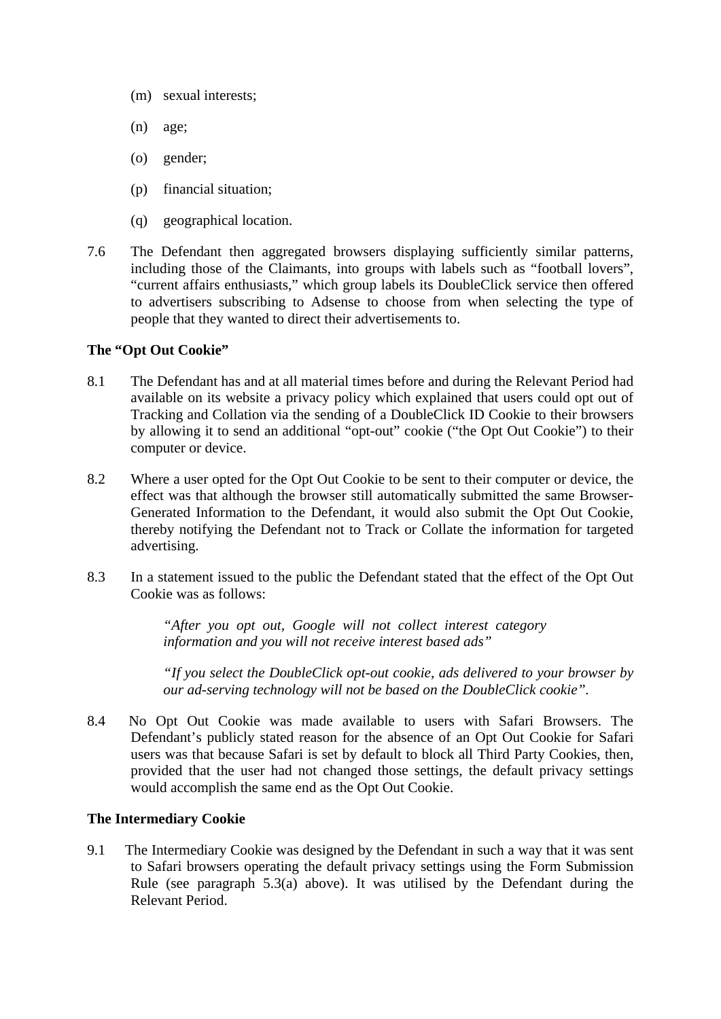- (m) sexual interests;
- (n) age;
- (o) gender;
- (p) financial situation;
- (q) geographical location.
- 7.6 The Defendant then aggregated browsers displaying sufficiently similar patterns, including those of the Claimants, into groups with labels such as "football lovers", "current affairs enthusiasts," which group labels its DoubleClick service then offered to advertisers subscribing to Adsense to choose from when selecting the type of people that they wanted to direct their advertisements to.

### **The "Opt Out Cookie"**

- 8.1 The Defendant has and at all material times before and during the Relevant Period had available on its website a privacy policy which explained that users could opt out of Tracking and Collation via the sending of a DoubleClick ID Cookie to their browsers by allowing it to send an additional "opt-out" cookie ("the Opt Out Cookie") to their computer or device.
- 8.2 Where a user opted for the Opt Out Cookie to be sent to their computer or device, the effect was that although the browser still automatically submitted the same Browser-Generated Information to the Defendant, it would also submit the Opt Out Cookie, thereby notifying the Defendant not to Track or Collate the information for targeted advertising.
- 8.3 In a statement issued to the public the Defendant stated that the effect of the Opt Out Cookie was as follows:

*"After you opt out, Google will not collect interest category information and you will not receive interest based ads"* 

*"If you select the DoubleClick opt-out cookie, ads delivered to your browser by our ad-serving technology will not be based on the DoubleClick cookie".*

8.4 No Opt Out Cookie was made available to users with Safari Browsers. The Defendant's publicly stated reason for the absence of an Opt Out Cookie for Safari users was that because Safari is set by default to block all Third Party Cookies, then, provided that the user had not changed those settings, the default privacy settings would accomplish the same end as the Opt Out Cookie.

### **The Intermediary Cookie**

9.1 The Intermediary Cookie was designed by the Defendant in such a way that it was sent to Safari browsers operating the default privacy settings using the Form Submission Rule (see paragraph 5.3(a) above). It was utilised by the Defendant during the Relevant Period.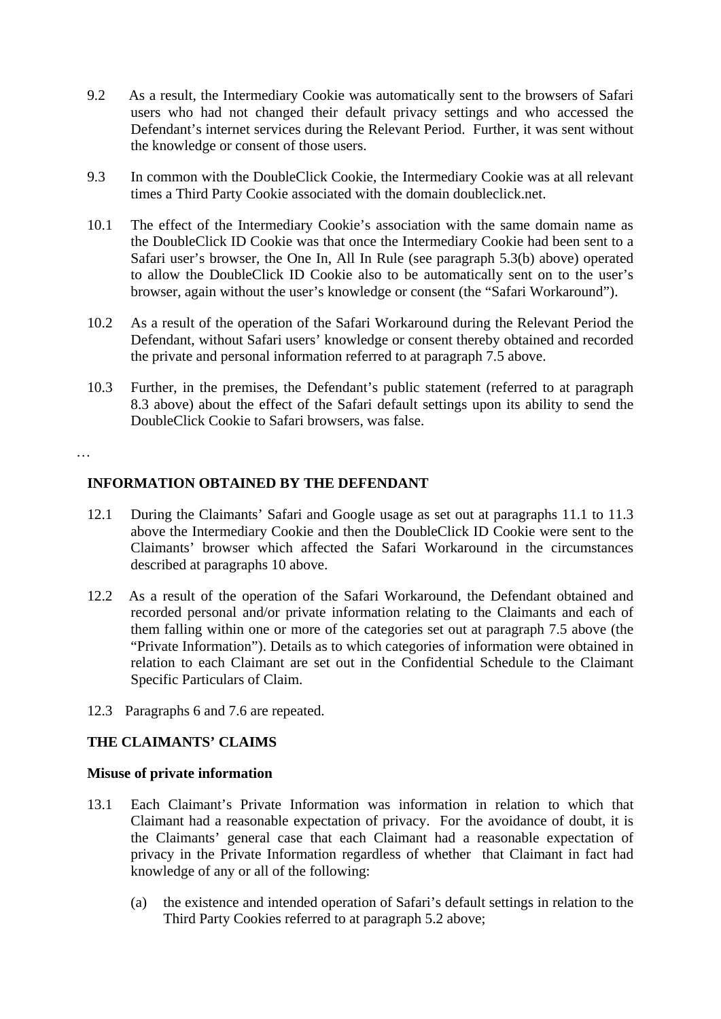- 9.2 As a result, the Intermediary Cookie was automatically sent to the browsers of Safari users who had not changed their default privacy settings and who accessed the Defendant's internet services during the Relevant Period. Further, it was sent without the knowledge or consent of those users.
- 9.3 In common with the DoubleClick Cookie, the Intermediary Cookie was at all relevant times a Third Party Cookie associated with the domain doubleclick.net.
- 10.1 The effect of the Intermediary Cookie's association with the same domain name as the DoubleClick ID Cookie was that once the Intermediary Cookie had been sent to a Safari user's browser, the One In, All In Rule (see paragraph 5.3(b) above) operated to allow the DoubleClick ID Cookie also to be automatically sent on to the user's browser, again without the user's knowledge or consent (the "Safari Workaround").
- 10.2 As a result of the operation of the Safari Workaround during the Relevant Period the Defendant, without Safari users' knowledge or consent thereby obtained and recorded the private and personal information referred to at paragraph 7.5 above.
- 10.3 Further, in the premises, the Defendant's public statement (referred to at paragraph 8.3 above) about the effect of the Safari default settings upon its ability to send the DoubleClick Cookie to Safari browsers, was false.

…

# **INFORMATION OBTAINED BY THE DEFENDANT**

- 12.1 During the Claimants' Safari and Google usage as set out at paragraphs 11.1 to 11.3 above the Intermediary Cookie and then the DoubleClick ID Cookie were sent to the Claimants' browser which affected the Safari Workaround in the circumstances described at paragraphs 10 above.
- 12.2 As a result of the operation of the Safari Workaround, the Defendant obtained and recorded personal and/or private information relating to the Claimants and each of them falling within one or more of the categories set out at paragraph 7.5 above (the "Private Information"). Details as to which categories of information were obtained in relation to each Claimant are set out in the Confidential Schedule to the Claimant Specific Particulars of Claim.
- 12.3 Paragraphs 6 and 7.6 are repeated.

# **THE CLAIMANTS' CLAIMS**

### **Misuse of private information**

- 13.1 Each Claimant's Private Information was information in relation to which that Claimant had a reasonable expectation of privacy. For the avoidance of doubt, it is the Claimants' general case that each Claimant had a reasonable expectation of privacy in the Private Information regardless of whether that Claimant in fact had knowledge of any or all of the following:
	- (a) the existence and intended operation of Safari's default settings in relation to the Third Party Cookies referred to at paragraph 5.2 above;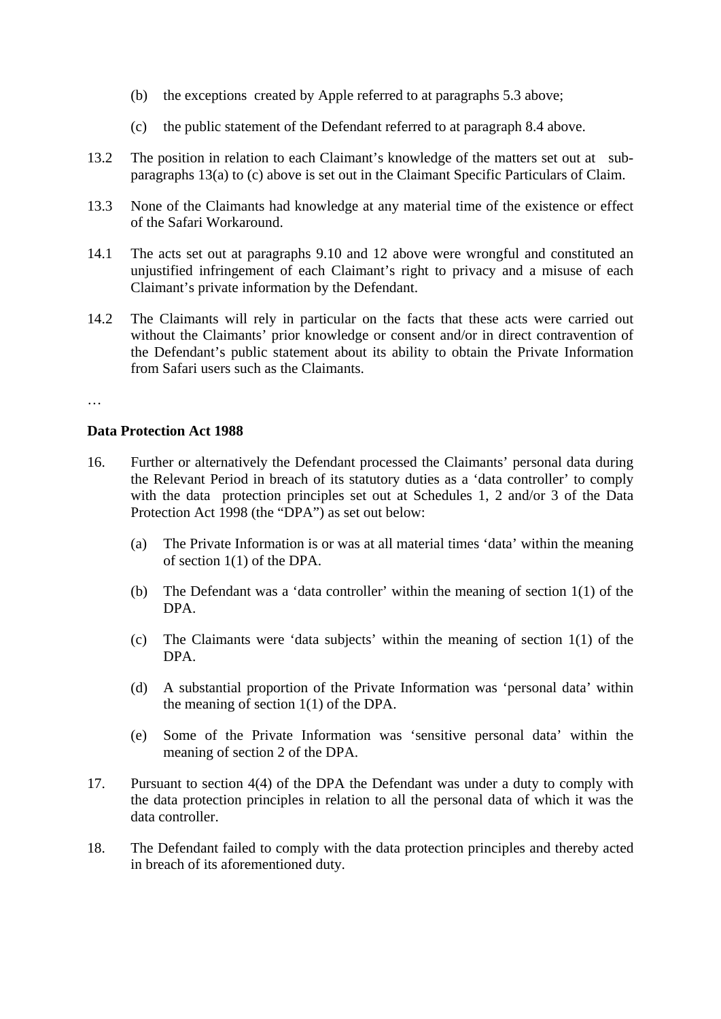- (b) the exceptions created by Apple referred to at paragraphs 5.3 above;
- (c) the public statement of the Defendant referred to at paragraph 8.4 above.
- 13.2 The position in relation to each Claimant's knowledge of the matters set out at subparagraphs 13(a) to (c) above is set out in the Claimant Specific Particulars of Claim.
- 13.3 None of the Claimants had knowledge at any material time of the existence or effect of the Safari Workaround.
- 14.1 The acts set out at paragraphs 9.10 and 12 above were wrongful and constituted an unjustified infringement of each Claimant's right to privacy and a misuse of each Claimant's private information by the Defendant.
- 14.2 The Claimants will rely in particular on the facts that these acts were carried out without the Claimants' prior knowledge or consent and/or in direct contravention of the Defendant's public statement about its ability to obtain the Private Information from Safari users such as the Claimants.

#### …

#### **Data Protection Act 1988**

- 16. Further or alternatively the Defendant processed the Claimants' personal data during the Relevant Period in breach of its statutory duties as a 'data controller' to comply with the data protection principles set out at Schedules 1, 2 and/or 3 of the Data Protection Act 1998 (the "DPA") as set out below:
	- (a) The Private Information is or was at all material times 'data' within the meaning of section 1(1) of the DPA.
	- (b) The Defendant was a 'data controller' within the meaning of section 1(1) of the DPA.
	- (c) The Claimants were 'data subjects' within the meaning of section 1(1) of the DPA.
	- (d) A substantial proportion of the Private Information was 'personal data' within the meaning of section 1(1) of the DPA.
	- (e) Some of the Private Information was 'sensitive personal data' within the meaning of section 2 of the DPA.
- 17. Pursuant to section 4(4) of the DPA the Defendant was under a duty to comply with the data protection principles in relation to all the personal data of which it was the data controller.
- 18. The Defendant failed to comply with the data protection principles and thereby acted in breach of its aforementioned duty.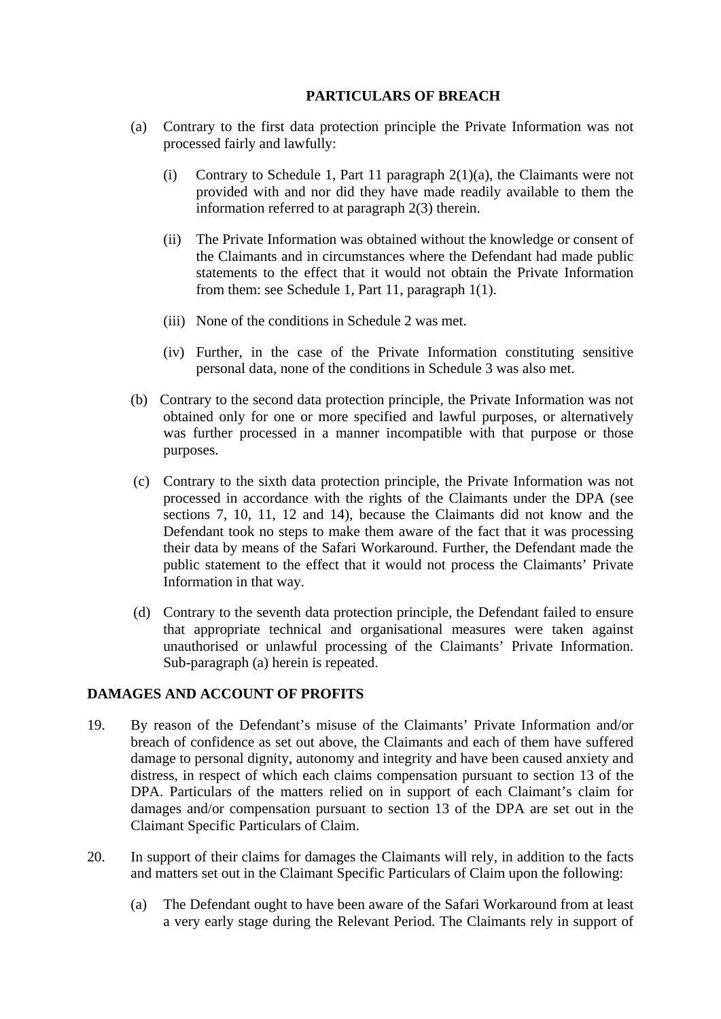# **PARTICULARS OF BREACH**

- (a) Contrary to the first data protection principle the Private Information was not processed fairly and lawfully:
	- (i) Contrary to Schedule 1, Part 11 paragraph  $2(1)(a)$ , the Claimants were not provided with and nor did they have made readily available to them the information referred to at paragraph 2(3) therein.
	- (ii) The Private Information was obtained without the knowledge or consent of the Claimants and in circumstances where the Defendant had made public statements to the effect that it would not obtain the Private Information from them: see Schedule 1, Part 11, paragraph 1(1).
	- (iii) None of the conditions in Schedule 2 was met.
	- (iv) Further, in the case of the Private Information constituting sensitive personal data, none of the conditions in Schedule 3 was also met.
- (b) Contrary to the second data protection principle, the Private Information was not obtained only for one or more specified and lawful purposes, or alternatively was further processed in a manner incompatible with that purpose or those purposes.
- (c) Contrary to the sixth data protection principle, the Private Information was not processed in accordance with the rights of the Claimants under the DPA (see sections 7, 10, 11, 12 and 14), because the Claimants did not know and the Defendant took no steps to make them aware of the fact that it was processing their data by means of the Safari Workaround. Further, the Defendant made the public statement to the effect that it would not process the Claimants' Private Information in that way.
- (d) Contrary to the seventh data protection principle, the Defendant failed to ensure that appropriate technical and organisational measures were taken against unauthorised or unlawful processing of the Claimants' Private Information. Sub-paragraph (a) herein is repeated.

# **DAMAGES AND ACCOUNT OF PROFITS**

- 19. By reason of the Defendant's misuse of the Claimants' Private Information and/or breach of confidence as set out above, the Claimants and each of them have suffered damage to personal dignity, autonomy and integrity and have been caused anxiety and distress, in respect of which each claims compensation pursuant to section 13 of the DPA. Particulars of the matters relied on in support of each Claimant's claim for damages and/or compensation pursuant to section 13 of the DPA are set out in the Claimant Specific Particulars of Claim.
- 20. In support of their claims for damages the Claimants will rely, in addition to the facts and matters set out in the Claimant Specific Particulars of Claim upon the following:
	- (a) The Defendant ought to have been aware of the Safari Workaround from at least a very early stage during the Relevant Period. The Claimants rely in support of